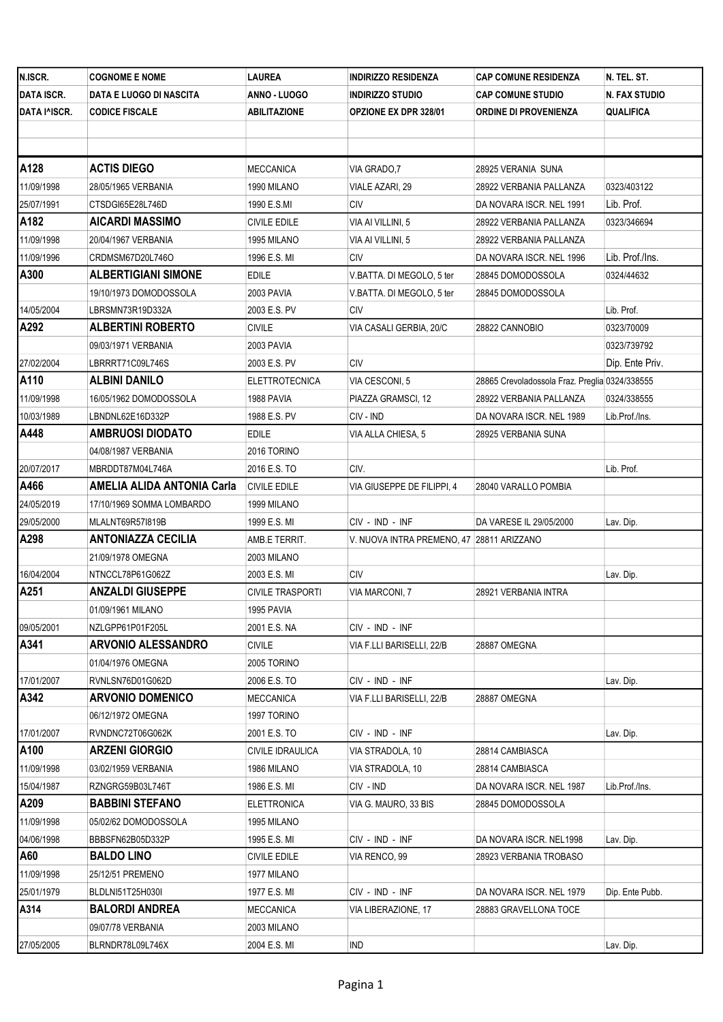| N.ISCR.           | <b>COGNOME E NOME</b>             | LAUREA                  | <b>INDIRIZZO RESIDENZA</b>                | <b>CAP COMUNE RESIDENZA</b>                    | N. TEL. ST.     |
|-------------------|-----------------------------------|-------------------------|-------------------------------------------|------------------------------------------------|-----------------|
| <b>DATA ISCR.</b> | DATA E LUOGO DI NASCITA           | ANNO - LUOGO            | <b>INDIRIZZO STUDIO</b>                   | <b>CAP COMUNE STUDIO</b>                       | N. FAX STUDIO   |
| DATA I^ISCR.      | <b>CODICE FISCALE</b>             | ABILITAZIONE            | <b>OPZIONE EX DPR 328/01</b>              | ORDINE DI PROVENIENZA                          | QUALIFICA       |
|                   |                                   |                         |                                           |                                                |                 |
|                   |                                   |                         |                                           |                                                |                 |
| A128              | <b>ACTIS DIEGO</b>                | MECCANICA               | VIA GRADO, 7                              | 28925 VERANIA SUNA                             |                 |
| 11/09/1998        | 28/05/1965 VERBANIA               | 1990 MILANO             | VIALE AZARI, 29                           | 28922 VERBANIA PALLANZA                        | 0323/403122     |
| 25/07/1991        | CTSDGI65E28L746D                  | 1990 E.S.MI             | <b>CIV</b>                                | DA NOVARA ISCR. NEL 1991                       | Lib. Prof.      |
| A182              | <b>AICARDI MASSIMO</b>            | CIVILE EDILE            | VIA AI VILLINI, 5                         | 28922 VERBANIA PALLANZA                        | 0323/346694     |
| 11/09/1998        | 20/04/1967 VERBANIA               | 1995 MILANO             | VIA AI VILLINI, 5                         | 28922 VERBANIA PALLANZA                        |                 |
| 11/09/1996        | CRDMSM67D20L746O                  | 1996 E.S. MI            | <b>CIV</b>                                | DA NOVARA ISCR. NEL 1996                       | Lib. Prof./Ins. |
| A300              | <b>ALBERTIGIANI SIMONE</b>        | <b>EDILE</b>            | V.BATTA. DI MEGOLO, 5 ter                 | 28845 DOMODOSSOLA                              | 0324/44632      |
|                   | 19/10/1973 DOMODOSSOLA            | 2003 PAVIA              | V.BATTA. DI MEGOLO, 5 ter                 | 28845 DOMODOSSOLA                              |                 |
| 14/05/2004        | LBRSMN73R19D332A                  | 2003 E.S. PV            | <b>CIV</b>                                |                                                | Lib. Prof.      |
| A292              | <b>ALBERTINI ROBERTO</b>          | CIVILE                  | VIA CASALI GERBIA, 20/C                   | 28822 CANNOBIO                                 | 0323/70009      |
|                   | 09/03/1971 VERBANIA               | 2003 PAVIA              |                                           |                                                | 0323/739792     |
| 27/02/2004        | LBRRRT71C09L746S                  | 2003 E.S. PV            | <b>CIV</b>                                |                                                | Dip. Ente Priv. |
| A110              | <b>ALBINI DANILO</b>              | <b>ELETTROTECNICA</b>   | VIA CESCONI, 5                            | 28865 Crevoladossola Fraz. Preglia 0324/338555 |                 |
| 11/09/1998        | 16/05/1962 DOMODOSSOLA            | 1988 PAVIA              | PIAZZA GRAMSCI, 12                        | 28922 VERBANIA PALLANZA                        | 0324/338555     |
| 10/03/1989        | LBNDNL62E16D332P                  | 1988 E.S. PV            | CIV - IND                                 | DA NOVARA ISCR. NEL 1989                       | Lib.Prof./Ins.  |
| A448              | <b>AMBRUOSI DIODATO</b>           | EDILE                   | VIA ALLA CHIESA, 5                        | 28925 VERBANIA SUNA                            |                 |
|                   | 04/08/1987 VERBANIA               | 2016 TORINO             |                                           |                                                |                 |
| 20/07/2017        | MBRDDT87M04L746A                  | 2016 E.S. TO            | CIV.                                      |                                                | Lib. Prof.      |
| A466              | <b>AMELIA ALIDA ANTONIA Carla</b> | <b>CIVILE EDILE</b>     | VIA GIUSEPPE DE FILIPPI, 4                | 28040 VARALLO POMBIA                           |                 |
| 24/05/2019        | 17/10/1969 SOMMA LOMBARDO         | 1999 MILANO             |                                           |                                                |                 |
| 29/05/2000        | MLALNT69R57I819B                  | 1999 E.S. MI            | CIV - IND - INF                           | DA VARESE IL 29/05/2000                        | Lav. Dip.       |
| A298              | <b>ANTONIAZZA CECILIA</b>         | AMB.E TERRIT.           | V. NUOVA INTRA PREMENO, 47 28811 ARIZZANO |                                                |                 |
|                   | 21/09/1978 OMEGNA                 | 2003 MILANO             |                                           |                                                |                 |
| 16/04/2004        | NTNCCL78P61G062Z                  | 2003 E.S. MI            | <b>CIV</b>                                |                                                | Lav. Dip.       |
| A251              | <b>ANZALDI GIUSEPPE</b>           | <b>CIVILE TRASPORTI</b> | VIA MARCONI, 7                            | 28921 VERBANIA INTRA                           |                 |
|                   | 01/09/1961 MILANO                 | 1995 PAVIA              |                                           |                                                |                 |
| 09/05/2001        | NZLGPP61P01F205L                  | 2001 E.S. NA            | CIV - IND - INF                           |                                                |                 |
| A341              | <b>ARVONIO ALESSANDRO</b>         | <b>CIVILE</b>           | VIA F.LLI BARISELLI, 22/B                 | 28887 OMEGNA                                   |                 |
|                   | 01/04/1976 OMEGNA                 | 2005 TORINO             |                                           |                                                |                 |
| 17/01/2007        | RVNLSN76D01G062D                  | 2006 E.S. TO            | CIV - IND - INF                           |                                                | Lav. Dip.       |
| A342              | <b>ARVONIO DOMENICO</b>           | MECCANICA               | VIA F.LLI BARISELLI, 22/B                 | 28887 OMEGNA                                   |                 |
|                   | 06/12/1972 OMEGNA                 | 1997 TORINO             |                                           |                                                |                 |
| 17/01/2007        | RVNDNC72T06G062K                  | 2001 E.S. TO            | CIV - IND - INF                           |                                                | Lav. Dip.       |
| A100              | <b>ARZENI GIORGIO</b>             | CIVILE IDRAULICA        | VIA STRADOLA, 10                          | 28814 CAMBIASCA                                |                 |
| 11/09/1998        | 03/02/1959 VERBANIA               | 1986 MILANO             | VIA STRADOLA, 10                          | 28814 CAMBIASCA                                |                 |
| 15/04/1987        | RZNGRG59B03L746T                  | 1986 E.S. MI            | CIV - IND                                 | DA NOVARA ISCR. NEL 1987                       | Lib.Prof./Ins.  |
| A209              | <b>BABBINI STEFANO</b>            | ELETTRONICA             | VIA G. MAURO, 33 BIS                      | 28845 DOMODOSSOLA                              |                 |
| 11/09/1998        | 05/02/62 DOMODOSSOLA              | 1995 MILANO             |                                           |                                                |                 |
| 04/06/1998        | BBBSFN62B05D332P                  | 1995 E.S. MI            | CIV - IND - INF                           | DA NOVARA ISCR. NEL1998                        | Lav. Dip.       |
| A60               | <b>BALDO LINO</b>                 | <b>CIVILE EDILE</b>     | VIA RENCO, 99                             | 28923 VERBANIA TROBASO                         |                 |
| 11/09/1998        | 25/12/51 PREMENO                  | 1977 MILANO             |                                           |                                                |                 |
| 25/01/1979        | BLDLNI51T25H030I                  | 1977 E.S. MI            | CIV - IND - INF                           | DA NOVARA ISCR. NEL 1979                       | Dip. Ente Pubb. |
| A314              | <b>BALORDI ANDREA</b>             | <b>MECCANICA</b>        | VIA LIBERAZIONE, 17                       | 28883 GRAVELLONA TOCE                          |                 |
|                   | 09/07/78 VERBANIA                 | 2003 MILANO             |                                           |                                                |                 |
| 27/05/2005        | BLRNDR78L09L746X                  | 2004 E.S. MI            | IND                                       |                                                | Lav. Dip.       |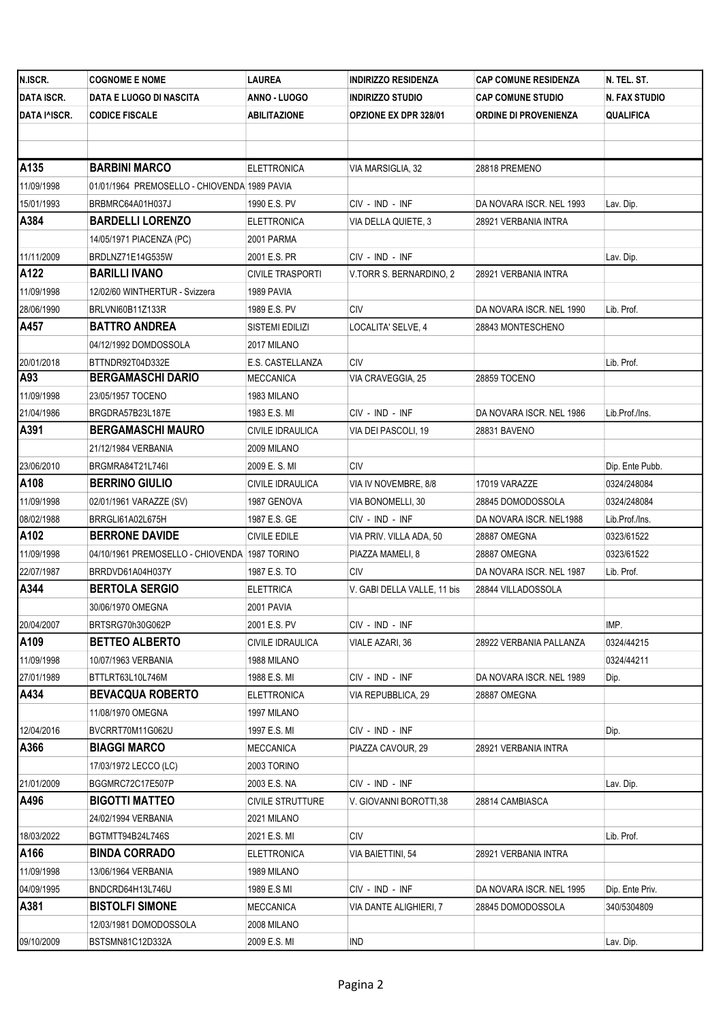| N.ISCR.           | <b>COGNOME E NOME</b>                         | LAUREA                  | <b>INDIRIZZO RESIDENZA</b>   | <b>CAP COMUNE RESIDENZA</b> | N. TEL. ST.          |
|-------------------|-----------------------------------------------|-------------------------|------------------------------|-----------------------------|----------------------|
| <b>DATA ISCR.</b> | DATA E LUOGO DI NASCITA                       | ANNO - LUOGO            | <b>INDIRIZZO STUDIO</b>      | <b>CAP COMUNE STUDIO</b>    | <b>N. FAX STUDIO</b> |
| DATA I^ISCR.      | <b>CODICE FISCALE</b>                         | ABILITAZIONE            | <b>OPZIONE EX DPR 328/01</b> | ORDINE DI PROVENIENZA       | QUALIFICA            |
|                   |                                               |                         |                              |                             |                      |
|                   |                                               |                         |                              |                             |                      |
| A135              | <b>BARBINI MARCO</b>                          | <b>ELETTRONICA</b>      | VIA MARSIGLIA, 32            | 28818 PREMENO               |                      |
| 11/09/1998        | 01/01/1964 PREMOSELLO - CHIOVENDA 1989 PAVIA  |                         |                              |                             |                      |
| 15/01/1993        | BRBMRC64A01H037J                              | 1990 E.S. PV            | CIV - IND - INF              | DA NOVARA ISCR. NEL 1993    | Lav. Dip.            |
| A384              | <b>BARDELLI LORENZO</b>                       | ELETTRONICA             | VIA DELLA QUIETE, 3          | 28921 VERBANIA INTRA        |                      |
|                   | 14/05/1971 PIACENZA (PC)                      | 2001 PARMA              |                              |                             |                      |
| 11/11/2009        | BRDLNZ71E14G535W                              | 2001 E.S. PR            | CIV - IND - INF              |                             | Lav. Dip.            |
| A122              | <b>BARILLI IVANO</b>                          | <b>CIVILE TRASPORTI</b> | V.TORR S. BERNARDINO, 2      | 28921 VERBANIA INTRA        |                      |
| 11/09/1998        | 12/02/60 WINTHERTUR - Svizzera                | 1989 PAVIA              |                              |                             |                      |
| 28/06/1990        | BRLVNI60B11Z133R                              | 1989 E.S. PV            | <b>CIV</b>                   | DA NOVARA ISCR. NEL 1990    | Lib. Prof.           |
| A457              | <b>BATTRO ANDREA</b>                          | SISTEMI EDILIZI         | LOCALITA' SELVE, 4           | 28843 MONTESCHENO           |                      |
|                   | 04/12/1992 DOMDOSSOLA                         | 2017 MILANO             |                              |                             |                      |
| 20/01/2018        | BTTNDR92T04D332E                              | E.S. CASTELLANZA        | CIV                          |                             | Lib. Prof.           |
| A93               | <b>BERGAMASCHI DARIO</b>                      | MECCANICA               | VIA CRAVEGGIA, 25            | 28859 TOCENO                |                      |
| 11/09/1998        | 23/05/1957 TOCENO                             | 1983 MILANO             |                              |                             |                      |
| 21/04/1986        | BRGDRA57B23L187E                              | 1983 E.S. MI            | CIV - IND - INF              | DA NOVARA ISCR. NEL 1986    | Lib.Prof./Ins.       |
| A391              | <b>BERGAMASCHI MAURO</b>                      | CIVILE IDRAULICA        | VIA DEI PASCOLI, 19          | 28831 BAVENO                |                      |
|                   | 21/12/1984 VERBANIA                           | 2009 MILANO             |                              |                             |                      |
| 23/06/2010        | BRGMRA84T21L746I                              | 2009 E.S.MI             | CIV                          |                             | Dip. Ente Pubb.      |
| A108              | <b>BERRINO GIULIO</b>                         | CIVILE IDRAULICA        | VIA IV NOVEMBRE, 8/8         | 17019 VARAZZE               | 0324/248084          |
| 11/09/1998        | 02/01/1961 VARAZZE (SV)                       | 1987 GENOVA             | VIA BONOMELLI, 30            | 28845 DOMODOSSOLA           | 0324/248084          |
| 08/02/1988        | BRRGLI61A02L675H                              | 1987 E.S. GE            | CIV - IND - INF              | DA NOVARA ISCR. NEL1988     | Lib.Prof./Ins.       |
| A102              | <b>BERRONE DAVIDE</b>                         | CIVILE EDILE            | VIA PRIV. VILLA ADA, 50      | 28887 OMEGNA                | 0323/61522           |
| 11/09/1998        | 04/10/1961 PREMOSELLO - CHIOVENDA 1987 TORINO |                         | PIAZZA MAMELI, 8             | 28887 OMEGNA                | 0323/61522           |
| 22/07/1987        | BRRDVD61A04H037Y                              | 1987 E.S. TO            | CIV                          | DA NOVARA ISCR. NEL 1987    | Lib. Prof.           |
| A344              | <b>BERTOLA SERGIO</b>                         | <b>ELETTRICA</b>        | V. GABI DELLA VALLE, 11 bis  | 28844 VILLADOSSOLA          |                      |
|                   | 30/06/1970 OMEGNA                             | 2001 PAVIA              |                              |                             |                      |
| 20/04/2007        | BRTSRG70h30G062P                              | 2001 E.S. PV            | CIV - IND - INF              |                             | IMP.                 |
| A109              | <b>BETTEO ALBERTO</b>                         | CIVILE IDRAULICA        | VIALE AZARI, 36              | 28922 VERBANIA PALLANZA     | 0324/44215           |
| 11/09/1998        | 10/07/1963 VERBANIA                           | 1988 MILANO             |                              |                             | 0324/44211           |
| 27/01/1989        | BTTLRT63L10L746M                              | 1988 E.S. MI            | CIV - IND - INF              | DA NOVARA ISCR. NEL 1989    | Dip.                 |
| A434              | <b>BEVACQUA ROBERTO</b>                       | ELETTRONICA             | VIA REPUBBLICA, 29           | 28887 OMEGNA                |                      |
|                   | 11/08/1970 OMEGNA                             | 1997 MILANO             |                              |                             |                      |
| 12/04/2016        | BVCRRT70M11G062U                              | 1997 E.S. MI            | CIV - IND - INF              |                             | Dip.                 |
| A366              | <b>BIAGGI MARCO</b>                           | MECCANICA               | PIAZZA CAVOUR, 29            | 28921 VERBANIA INTRA        |                      |
|                   | 17/03/1972 LECCO (LC)                         | 2003 TORINO             |                              |                             |                      |
| 21/01/2009        | BGGMRC72C17E507P                              | 2003 E.S. NA            | CIV - IND - INF              |                             | Lav. Dip.            |
| A496              | <b>BIGOTTI MATTEO</b>                         | <b>CIVILE STRUTTURE</b> | V. GIOVANNI BOROTTI,38       | 28814 CAMBIASCA             |                      |
|                   | 24/02/1994 VERBANIA                           | 2021 MILANO             |                              |                             |                      |
| 18/03/2022        | BGTMTT94B24L746S                              | 2021 E.S. MI            | CIV                          |                             | Lib. Prof.           |
| A166              | <b>BINDA CORRADO</b>                          | <b>ELETTRONICA</b>      | VIA BAIETTINI, 54            | 28921 VERBANIA INTRA        |                      |
| 11/09/1998        | 13/06/1964 VERBANIA                           | 1989 MILANO             |                              |                             |                      |
| 04/09/1995        | BNDCRD64H13L746U                              | 1989 E.S MI             | CIV - IND - INF              | DA NOVARA ISCR. NEL 1995    | Dip. Ente Priv.      |
| A381              | <b>BISTOLFI SIMONE</b>                        | <b>MECCANICA</b>        | VIA DANTE ALIGHIERI, 7       | 28845 DOMODOSSOLA           | 340/5304809          |
|                   | 12/03/1981 DOMODOSSOLA                        | 2008 MILANO             |                              |                             |                      |
| 09/10/2009        | BSTSMN81C12D332A                              | 2009 E.S. MI            | IND                          |                             | Lav. Dip.            |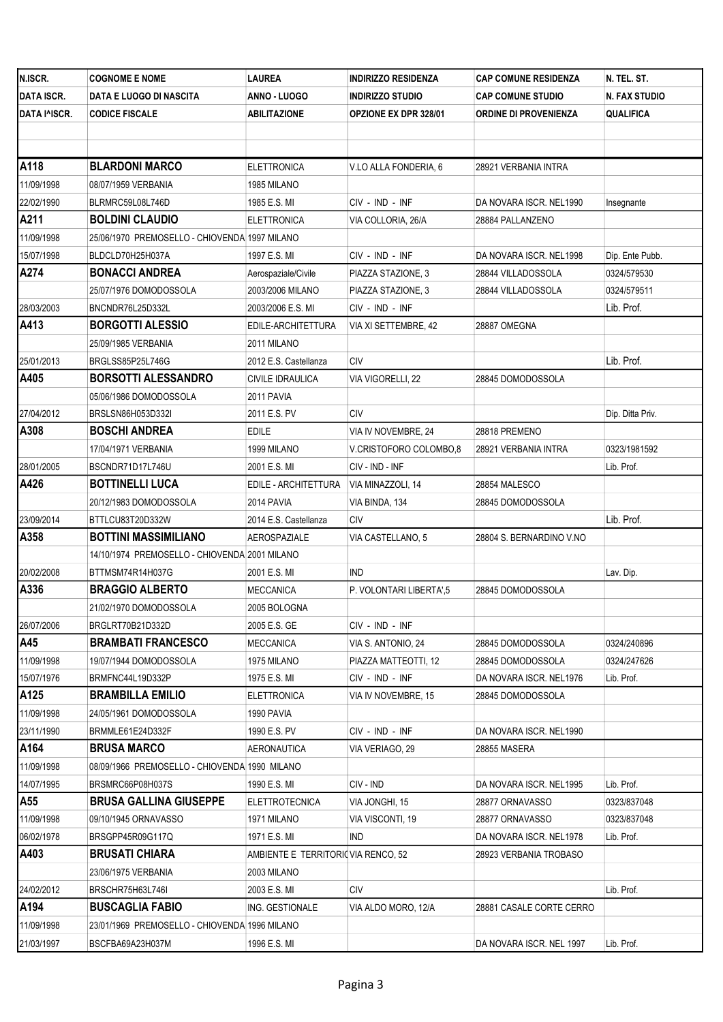| N.ISCR.           | <b>COGNOME E NOME</b>                         | LAUREA                             | <b>INDIRIZZO RESIDENZA</b> | <b>CAP COMUNE RESIDENZA</b>  | N. TEL. ST.      |
|-------------------|-----------------------------------------------|------------------------------------|----------------------------|------------------------------|------------------|
| <b>DATA ISCR.</b> | DATA E LUOGO DI NASCITA                       | ANNO - LUOGO                       | <b>INDIRIZZO STUDIO</b>    | <b>CAP COMUNE STUDIO</b>     | N. FAX STUDIO    |
| DATA I^ISCR.      | <b>CODICE FISCALE</b>                         | <b>ABILITAZIONE</b>                | OPZIONE EX DPR 328/01      | <b>ORDINE DI PROVENIENZA</b> | <b>QUALIFICA</b> |
|                   |                                               |                                    |                            |                              |                  |
|                   |                                               |                                    |                            |                              |                  |
| A118              | <b>BLARDONI MARCO</b>                         | <b>ELETTRONICA</b>                 | V.LO ALLA FONDERIA, 6      | 28921 VERBANIA INTRA         |                  |
| 11/09/1998        | 08/07/1959 VERBANIA                           | 1985 MILANO                        |                            |                              |                  |
| 22/02/1990        | BLRMRC59L08L746D                              | 1985 E.S. MI                       | CIV - IND - INF            | DA NOVARA ISCR. NEL1990      | Insegnante       |
| A211              | <b>BOLDINI CLAUDIO</b>                        | <b>ELETTRONICA</b>                 | VIA COLLORIA, 26/A         | 28884 PALLANZENO             |                  |
| 11/09/1998        | 25/06/1970 PREMOSELLO - CHIOVENDA 1997 MILANO |                                    |                            |                              |                  |
| 15/07/1998        | BLDCLD70H25H037A                              | 1997 E.S. MI                       | CIV - IND - INF            | DA NOVARA ISCR. NEL1998      | Dip. Ente Pubb.  |
| A274              | <b>BONACCI ANDREA</b>                         | Aerospaziale/Civile                | PIAZZA STAZIONE, 3         | 28844 VILLADOSSOLA           | 0324/579530      |
|                   | 25/07/1976 DOMODOSSOLA                        | 2003/2006 MILANO                   | PIAZZA STAZIONE, 3         | 28844 VILLADOSSOLA           | 0324/579511      |
| 28/03/2003        | BNCNDR76L25D332L                              | 2003/2006 E.S. MI                  | CIV - IND - INF            |                              | Lib. Prof.       |
| A413              | <b>BORGOTTI ALESSIO</b>                       | EDILE-ARCHITETTURA                 | VIA XI SETTEMBRE, 42       | 28887 OMEGNA                 |                  |
|                   | 25/09/1985 VERBANIA                           | 2011 MILANO                        |                            |                              |                  |
| 25/01/2013        | BRGLSS85P25L746G                              | 2012 E.S. Castellanza              | CIV                        |                              | Lib. Prof.       |
| A405              | <b>BORSOTTI ALESSANDRO</b>                    | CIVILE IDRAULICA                   | VIA VIGORELLI, 22          | 28845 DOMODOSSOLA            |                  |
|                   | 05/06/1986 DOMODOSSOLA                        | 2011 PAVIA                         |                            |                              |                  |
| 27/04/2012        | BRSLSN86H053D332I                             | 2011 E.S. PV                       | CIV                        |                              | Dip. Ditta Priv. |
| A308              | <b>BOSCHI ANDREA</b>                          | EDILE                              | VIA IV NOVEMBRE, 24        | 28818 PREMENO                |                  |
|                   | 17/04/1971 VERBANIA                           | 1999 MILANO                        | V.CRISTOFORO COLOMBO,8     | 28921 VERBANIA INTRA         | 0323/1981592     |
| 28/01/2005        | BSCNDR71D17L746U                              | 2001 E.S. MI                       | CIV - IND - INF            |                              | Lib. Prof.       |
| A426              | <b>BOTTINELLI LUCA</b>                        | EDILE - ARCHITETTURA               | VIA MINAZZOLI, 14          | 28854 MALESCO                |                  |
|                   | 20/12/1983 DOMODOSSOLA                        | 2014 PAVIA                         | VIA BINDA, 134             | 28845 DOMODOSSOLA            |                  |
| 23/09/2014        | BTTLCU83T20D332W                              | 2014 E.S. Castellanza              | <b>CIV</b>                 |                              | Lib. Prof.       |
| A358              | <b>BOTTINI MASSIMILIANO</b>                   | AEROSPAZIALE                       | VIA CASTELLANO, 5          | 28804 S. BERNARDINO V.NO     |                  |
|                   | 14/10/1974 PREMOSELLO - CHIOVENDA 2001 MILANO |                                    |                            |                              |                  |
| 20/02/2008        | BTTMSM74R14H037G                              | 2001 E.S. MI                       | <b>IND</b>                 |                              | Lav. Dip.        |
| A336              | <b>BRAGGIO ALBERTO</b>                        | MECCANICA                          | P. VOLONTARI LIBERTA',5    | 28845 DOMODOSSOLA            |                  |
|                   | 21/02/1970 DOMODOSSOLA                        | 2005 BOLOGNA                       |                            |                              |                  |
| 26/07/2006        | BRGLRT70B21D332D                              | 2005 E.S. GE                       | CIV - IND - INF            |                              |                  |
| A45               | <b>BRAMBATI FRANCESCO</b>                     | <b>MECCANICA</b>                   | VIA S. ANTONIO, 24         | 28845 DOMODOSSOLA            | 0324/240896      |
| 11/09/1998        | 19/07/1944 DOMODOSSOLA                        | 1975 MILANO                        | PIAZZA MATTEOTTI, 12       | 28845 DOMODOSSOLA            | 0324/247626      |
| 15/07/1976        | BRMFNC44L19D332P                              | 1975 E.S. MI                       | CIV - IND - INF            | DA NOVARA ISCR. NEL1976      | Lib. Prof.       |
| A125              | <b>BRAMBILLA EMILIO</b>                       | ELETTRONICA                        | VIA IV NOVEMBRE, 15        | 28845 DOMODOSSOLA            |                  |
| 11/09/1998        | 24/05/1961 DOMODOSSOLA                        | 1990 PAVIA                         |                            |                              |                  |
| 23/11/1990        | BRMMLE61E24D332F                              | 1990 E.S. PV                       | CIV - IND - INF            | DA NOVARA ISCR. NEL1990      |                  |
| A164              | <b>BRUSA MARCO</b>                            | AERONAUTICA                        | VIA VERIAGO. 29            | 28855 MASERA                 |                  |
| 11/09/1998        | 08/09/1966 PREMOSELLO - CHIOVENDA 1990 MILANO |                                    |                            |                              |                  |
| 14/07/1995        | BRSMRC66P08H037S                              | 1990 E.S. MI                       | CIV - IND                  | DA NOVARA ISCR. NEL1995      | Lib. Prof.       |
| A55               | <b>BRUSA GALLINA GIUSEPPE</b>                 | <b>ELETTROTECNICA</b>              | VIA JONGHI, 15             | 28877 ORNAVASSO              | 0323/837048      |
| 11/09/1998        | 09/10/1945 ORNAVASSO                          | 1971 MILANO                        | VIA VISCONTI, 19           | 28877 ORNAVASSO              | 0323/837048      |
| 06/02/1978        | BRSGPP45R09G117Q                              | 1971 E.S. MI                       | IND                        | DA NOVARA ISCR. NEL1978      | Lib. Prof.       |
| A403              | <b>BRUSATI CHIARA</b>                         | AMBIENTE E TERRITORI(VIA RENCO, 52 |                            | 28923 VERBANIA TROBASO       |                  |
|                   | 23/06/1975 VERBANIA                           | 2003 MILANO                        |                            |                              |                  |
| 24/02/2012        | BRSCHR75H63L746I                              | 2003 E.S. MI                       | CIV                        |                              | Lib. Prof.       |
| A194              | <b>BUSCAGLIA FABIO</b>                        | ING. GESTIONALE                    | VIA ALDO MORO, 12/A        | 28881 CASALE CORTE CERRO     |                  |
| 11/09/1998        | 23/01/1969 PREMOSELLO - CHIOVENDA 1996 MILANO |                                    |                            |                              |                  |
| 21/03/1997        | BSCFBA69A23H037M                              | 1996 E.S. MI                       |                            | DA NOVARA ISCR. NEL 1997     | Lib. Prof.       |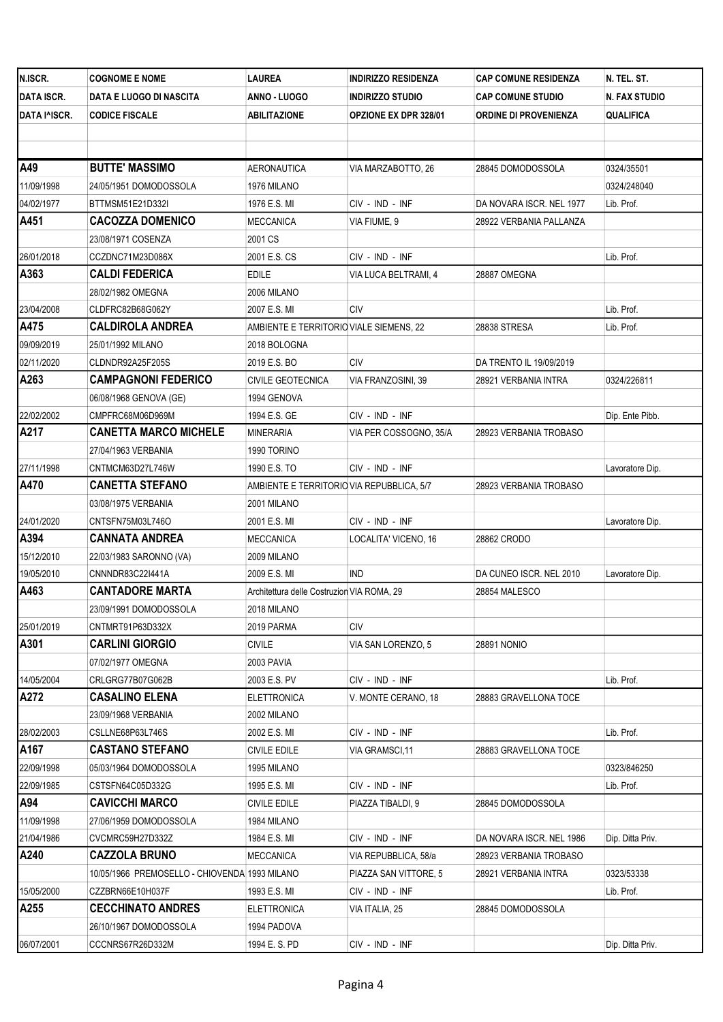| N.ISCR.           | <b>COGNOME E NOME</b>                         | <b>LAUREA</b>                              | <b>INDIRIZZO RESIDENZA</b> | <b>CAP COMUNE RESIDENZA</b>  | N. TEL. ST.      |
|-------------------|-----------------------------------------------|--------------------------------------------|----------------------------|------------------------------|------------------|
| <b>DATA ISCR.</b> | DATA E LUOGO DI NASCITA                       | ANNO - LUOGO                               | <b>INDIRIZZO STUDIO</b>    | <b>CAP COMUNE STUDIO</b>     | N. FAX STUDIO    |
| DATA I^ISCR.      | <b>CODICE FISCALE</b>                         | ABILITAZIONE                               | OPZIONE EX DPR 328/01      | <b>ORDINE DI PROVENIENZA</b> | <b>QUALIFICA</b> |
|                   |                                               |                                            |                            |                              |                  |
|                   |                                               |                                            |                            |                              |                  |
| A49               | <b>BUTTE' MASSIMO</b>                         | AERONAUTICA                                | VIA MARZABOTTO, 26         | 28845 DOMODOSSOLA            | 0324/35501       |
| 11/09/1998        | 24/05/1951 DOMODOSSOLA                        | 1976 MILANO                                |                            |                              | 0324/248040      |
| 04/02/1977        | BTTMSM51E21D332I                              | 1976 E.S. MI                               | CIV - IND - INF            | DA NOVARA ISCR. NEL 1977     | Lib. Prof.       |
| A451              | <b>CACOZZA DOMENICO</b>                       | MECCANICA                                  | VIA FIUME, 9               | 28922 VERBANIA PALLANZA      |                  |
|                   | 23/08/1971 COSENZA                            | 2001 CS                                    |                            |                              |                  |
| 26/01/2018        | CCZDNC71M23D086X                              | 2001 E.S. CS                               | CIV - IND - INF            |                              | Lib. Prof.       |
| A363              | <b>CALDI FEDERICA</b>                         | EDILE                                      | VIA LUCA BELTRAMI, 4       | 28887 OMEGNA                 |                  |
|                   | 28/02/1982 OMEGNA                             | 2006 MILANO                                |                            |                              |                  |
| 23/04/2008        | CLDFRC82B68G062Y                              | 2007 E.S. MI                               | CIV                        |                              | Lib. Prof.       |
| A475              | <b>CALDIROLA ANDREA</b>                       | AMBIENTE E TERRITORIO VIALE SIEMENS, 22    |                            | 28838 STRESA                 | Lib. Prof.       |
| 09/09/2019        | 25/01/1992 MILANO                             | 2018 BOLOGNA                               |                            |                              |                  |
| 02/11/2020        | CLDNDR92A25F205S                              | 2019 E.S. BO                               | <b>CIV</b>                 | DA TRENTO IL 19/09/2019      |                  |
| A263              | <b>CAMPAGNONI FEDERICO</b>                    | <b>CIVILE GEOTECNICA</b>                   | VIA FRANZOSINI, 39         | 28921 VERBANIA INTRA         | 0324/226811      |
|                   | 06/08/1968 GENOVA (GE)                        | 1994 GENOVA                                |                            |                              |                  |
| 22/02/2002        | CMPFRC68M06D969M                              | 1994 E.S. GE                               | CIV - IND - INF            |                              | Dip. Ente Pibb.  |
| A217              | <b>CANETTA MARCO MICHELE</b>                  | MINERARIA                                  | VIA PER COSSOGNO, 35/A     | 28923 VERBANIA TROBASO       |                  |
|                   | 27/04/1963 VERBANIA                           | 1990 TORINO                                |                            |                              |                  |
| 27/11/1998        | CNTMCM63D27L746W                              | 1990 E.S. TO                               | CIV - IND - INF            |                              | Lavoratore Dip.  |
| A470              | <b>CANETTA STEFANO</b>                        | AMBIENTE E TERRITORIO VIA REPUBBLICA, 5/7  |                            | 28923 VERBANIA TROBASO       |                  |
|                   | 03/08/1975 VERBANIA                           | 2001 MILANO                                |                            |                              |                  |
| 24/01/2020        | CNTSFN75M03L746O                              | 2001 E.S. MI                               | CIV - IND - INF            |                              | Lavoratore Dip.  |
| A394              | <b>CANNATA ANDREA</b>                         | MECCANICA                                  | LOCALITA' VICENO, 16       | 28862 CRODO                  |                  |
| 15/12/2010        | 22/03/1983 SARONNO (VA)                       | 2009 MILANO                                |                            |                              |                  |
| 19/05/2010        | CNNNDR83C22I441A                              | 2009 E.S. MI                               | <b>IND</b>                 | DA CUNEO ISCR. NEL 2010      | Lavoratore Dip.  |
| A463              | <b>CANTADORE MARTA</b>                        | Architettura delle Costruzion VIA ROMA, 29 |                            | 28854 MALESCO                |                  |
|                   | 23/09/1991 DOMODOSSOLA                        | 2018 MILANO                                |                            |                              |                  |
| 25/01/2019        | CNTMRT91P63D332X                              | 2019 PARMA                                 | CIV                        |                              |                  |
| A301              | <b>CARLINI GIORGIO</b>                        | <b>CIVILE</b>                              | VIA SAN LORENZO, 5         | <b>28891 NONIO</b>           |                  |
|                   | 07/02/1977 OMEGNA                             | 2003 PAVIA                                 |                            |                              |                  |
| 14/05/2004        | CRLGRG77B07G062B                              | 2003 E.S. PV                               | CIV - IND - INF            |                              | Lib. Prof.       |
| A272              | <b>CASALINO ELENA</b>                         | <b>ELETTRONICA</b>                         | V. MONTE CERANO, 18        | 28883 GRAVELLONA TOCE        |                  |
|                   | 23/09/1968 VERBANIA                           | 2002 MILANO                                |                            |                              |                  |
| 28/02/2003        | CSLLNE68P63L746S                              | 2002 E.S. MI                               | CIV - IND - INF            |                              | Lib. Prof.       |
| A167              | <b>CASTANO STEFANO</b>                        | <b>CIVILE EDILE</b>                        | VIA GRAMSCI,11             | 28883 GRAVELLONA TOCE        |                  |
| 22/09/1998        | 05/03/1964 DOMODOSSOLA                        | 1995 MILANO                                |                            |                              | 0323/846250      |
| 22/09/1985        | CSTSFN64C05D332G                              | 1995 E.S. MI                               | CIV - IND - INF            |                              | Lib. Prof.       |
| A94               | <b>CAVICCHI MARCO</b>                         | <b>CIVILE EDILE</b>                        | PIAZZA TIBALDI, 9          | 28845 DOMODOSSOLA            |                  |
| 11/09/1998        | 27/06/1959 DOMODOSSOLA                        | 1984 MILANO                                |                            |                              |                  |
| 21/04/1986        | CVCMRC59H27D332Z                              | 1984 E.S. MI                               | CIV - IND - INF            | DA NOVARA ISCR. NEL 1986     | Dip. Ditta Priv. |
| A240              | <b>CAZZOLA BRUNO</b>                          | MECCANICA                                  | VIA REPUBBLICA, 58/a       | 28923 VERBANIA TROBASO       |                  |
|                   | 10/05/1966 PREMOSELLO - CHIOVENDA 1993 MILANO |                                            | PIAZZA SAN VITTORE, 5      | 28921 VERBANIA INTRA         | 0323/53338       |
| 15/05/2000        | CZZBRN66E10H037F                              | 1993 E.S. MI                               | CIV - IND - INF            |                              | Lib. Prof.       |
| A255              | <b>CECCHINATO ANDRES</b>                      | <b>ELETTRONICA</b>                         | VIA ITALIA, 25             | 28845 DOMODOSSOLA            |                  |
|                   | 26/10/1967 DOMODOSSOLA                        | 1994 PADOVA                                |                            |                              |                  |
| 06/07/2001        | CCCNRS67R26D332M                              | 1994 E.S. PD                               | CIV - IND - INF            |                              | Dip. Ditta Priv. |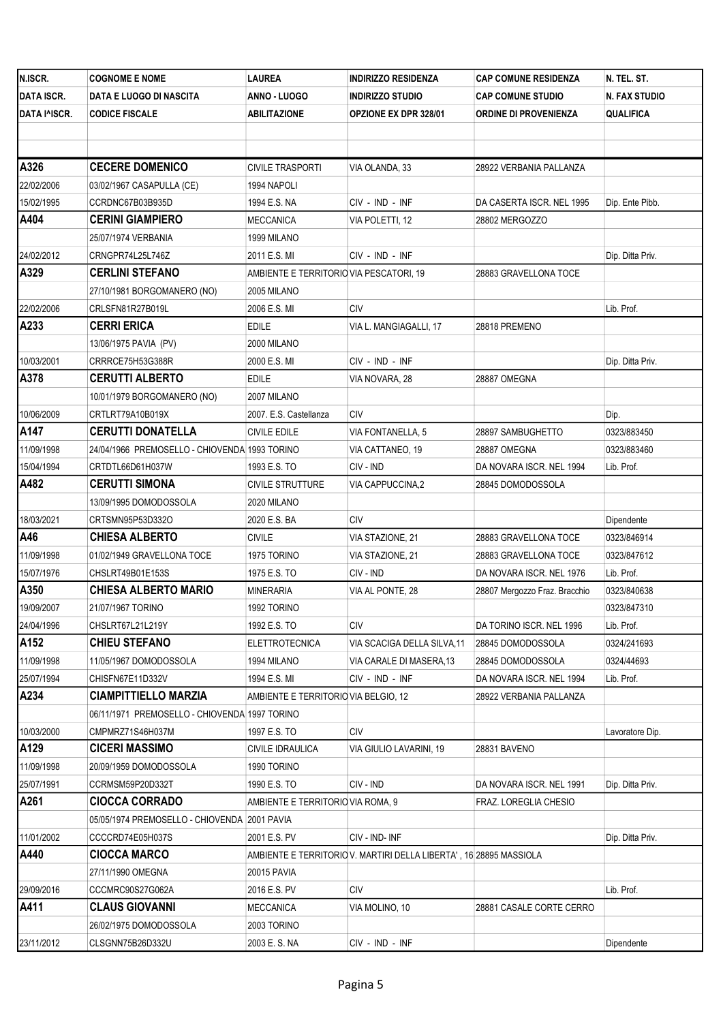| N.ISCR.           | <b>COGNOME E NOME</b>                         | LAUREA                                  | <b>INDIRIZZO RESIDENZA</b>                                         | <b>CAP COMUNE RESIDENZA</b>   | N. TEL. ST.          |
|-------------------|-----------------------------------------------|-----------------------------------------|--------------------------------------------------------------------|-------------------------------|----------------------|
| <b>DATA ISCR.</b> | DATA E LUOGO DI NASCITA                       | ANNO - LUOGO                            | <b>INDIRIZZO STUDIO</b>                                            | <b>CAP COMUNE STUDIO</b>      | <b>N. FAX STUDIO</b> |
| DATA I^ISCR.      | <b>CODICE FISCALE</b>                         | <b>ABILITAZIONE</b>                     | <b>OPZIONE EX DPR 328/01</b>                                       | ORDINE DI PROVENIENZA         | <b>QUALIFICA</b>     |
|                   |                                               |                                         |                                                                    |                               |                      |
|                   |                                               |                                         |                                                                    |                               |                      |
| A326              | <b>CECERE DOMENICO</b>                        | CIVILE TRASPORTI                        | VIA OLANDA, 33                                                     | 28922 VERBANIA PALLANZA       |                      |
| 22/02/2006        | 03/02/1967 CASAPULLA (CE)                     | 1994 NAPOLI                             |                                                                    |                               |                      |
| 15/02/1995        | CCRDNC67B03B935D                              | 1994 E.S. NA                            | CIV - IND - INF                                                    | DA CASERTA ISCR. NEL 1995     | Dip. Ente Pibb.      |
| A404              | <b>CERINI GIAMPIERO</b>                       | MECCANICA                               | VIA POLETTI, 12                                                    | 28802 MERGOZZO                |                      |
|                   | 25/07/1974 VERBANIA                           | 1999 MILANO                             |                                                                    |                               |                      |
| 24/02/2012        | CRNGPR74L25L746Z                              | 2011 E.S. MI                            | CIV - IND - INF                                                    |                               | Dip. Ditta Priv.     |
| A329              | <b>CERLINI STEFANO</b>                        | AMBIENTE E TERRITORIO VIA PESCATORI, 19 |                                                                    | 28883 GRAVELLONA TOCE         |                      |
|                   | 27/10/1981 BORGOMANERO (NO)                   | 2005 MILANO                             |                                                                    |                               |                      |
| 22/02/2006        | CRLSFN81R27B019L                              | 2006 E.S. MI                            | <b>CIV</b>                                                         |                               | Lib. Prof.           |
| A233              | <b>CERRI ERICA</b>                            | EDILE                                   | VIA L. MANGIAGALLI, 17                                             | 28818 PREMENO                 |                      |
|                   | 13/06/1975 PAVIA (PV)                         | 2000 MILANO                             |                                                                    |                               |                      |
| 10/03/2001        | CRRRCE75H53G388R                              | 2000 E.S. MI                            | CIV - IND - INF                                                    |                               | Dip. Ditta Priv.     |
| A378              | <b>CERUTTI ALBERTO</b>                        | <b>EDILE</b>                            | VIA NOVARA, 28                                                     | 28887 OMEGNA                  |                      |
|                   | 10/01/1979 BORGOMANERO (NO)                   | 2007 MILANO                             |                                                                    |                               |                      |
| 10/06/2009        | CRTLRT79A10B019X                              | 2007. E.S. Castellanza                  | CIV                                                                |                               | Dip.                 |
| A147              | <b>CERUTTI DONATELLA</b>                      | CIVILE EDILE                            | VIA FONTANELLA, 5                                                  | 28897 SAMBUGHETTO             | 0323/883450          |
| 11/09/1998        | 24/04/1966 PREMOSELLO - CHIOVENDA 1993 TORINO |                                         | VIA CATTANEO, 19                                                   | 28887 OMEGNA                  | 0323/883460          |
| 15/04/1994        | CRTDTL66D61H037W                              | 1993 E.S. TO                            | CIV - IND                                                          | DA NOVARA ISCR. NEL 1994      | Lib. Prof.           |
| A482              | <b>CERUTTI SIMONA</b>                         | <b>CIVILE STRUTTURE</b>                 | VIA CAPPUCCINA,2                                                   | 28845 DOMODOSSOLA             |                      |
|                   | 13/09/1995 DOMODOSSOLA                        | 2020 MILANO                             |                                                                    |                               |                      |
| 18/03/2021        | CRTSMN95P53D332O                              | 2020 E.S. BA                            | <b>CIV</b>                                                         |                               | Dipendente           |
| A46               | <b>CHIESA ALBERTO</b>                         | <b>CIVILE</b>                           | VIA STAZIONE, 21                                                   | 28883 GRAVELLONA TOCE         | 0323/846914          |
| 11/09/1998        | 01/02/1949 GRAVELLONA TOCE                    | 1975 TORINO                             | VIA STAZIONE, 21                                                   | 28883 GRAVELLONA TOCE         | 0323/847612          |
| 15/07/1976        | CHSLRT49B01E153S                              | 1975 E.S. TO                            | CIV - IND                                                          | DA NOVARA ISCR. NEL 1976      | Lib. Prof.           |
| A350              | <b>CHIESA ALBERTO MARIO</b>                   | MINERARIA                               | VIA AL PONTE, 28                                                   | 28807 Mergozzo Fraz. Bracchio | 0323/840638          |
| 19/09/2007        | 21/07/1967 TORINO                             | 1992 TORINO                             |                                                                    |                               | 0323/847310          |
| 24/04/1996        | CHSLRT67L21L219Y                              | 1992 E.S. TO                            | CIV                                                                | DA TORINO ISCR. NEL 1996      | Lib. Prof.           |
| A152              | <b>CHIEU STEFANO</b>                          | <b>ELETTROTECNICA</b>                   | VIA SCACIGA DELLA SILVA, 11                                        | 28845 DOMODOSSOLA             | 0324/241693          |
| 11/09/1998        | 11/05/1967 DOMODOSSOLA                        | 1994 MILANO                             | VIA CARALE DI MASERA, 13                                           | 28845 DOMODOSSOLA             | 0324/44693           |
| 25/07/1994        | CHISFN67E11D332V                              | 1994 E.S. MI                            | CIV - IND - INF                                                    | DA NOVARA ISCR. NEL 1994      | Lib. Prof.           |
| A234              | <b>CIAMPITTIELLO MARZIA</b>                   | AMBIENTE E TERRITORIO VIA BELGIO, 12    |                                                                    | 28922 VERBANIA PALLANZA       |                      |
|                   | 06/11/1971 PREMOSELLO - CHIOVENDA 1997 TORINO |                                         |                                                                    |                               |                      |
| 10/03/2000        | CMPMRZ71S46H037M                              | 1997 E.S. TO                            | CIV                                                                |                               | Lavoratore Dip.      |
| A129              | <b>CICERI MASSIMO</b>                         | CIVILE IDRAULICA                        | VIA GIULIO LAVARINI, 19                                            | 28831 BAVENO                  |                      |
| 11/09/1998        | 20/09/1959 DOMODOSSOLA                        | 1990 TORINO                             |                                                                    |                               |                      |
| 25/07/1991        | CCRMSM59P20D332T                              | 1990 E.S. TO                            | CIV - IND                                                          | DA NOVARA ISCR. NEL 1991      | Dip. Ditta Priv.     |
| A261              | <b>CIOCCA CORRADO</b>                         | AMBIENTE E TERRITORIO VIA ROMA, 9       |                                                                    | FRAZ. LOREGLIA CHESIO         |                      |
|                   | 05/05/1974 PREMOSELLO - CHIOVENDA 2001 PAVIA  |                                         |                                                                    |                               |                      |
| 11/01/2002        | CCCCRD74E05H037S                              | 2001 E.S. PV                            | CIV - IND- INF                                                     |                               | Dip. Ditta Priv.     |
| A440              | <b>CIOCCA MARCO</b>                           |                                         | AMBIENTE E TERRITORIO V. MARTIRI DELLA LIBERTA', 16 28895 MASSIOLA |                               |                      |
|                   | 27/11/1990 OMEGNA                             | 20015 PAVIA                             |                                                                    |                               |                      |
| 29/09/2016        | CCCMRC90S27G062A                              | 2016 E.S. PV                            | CIV                                                                |                               | Lib. Prof.           |
| A411              | <b>CLAUS GIOVANNI</b>                         | MECCANICA                               | VIA MOLINO, 10                                                     | 28881 CASALE CORTE CERRO      |                      |
|                   | 26/02/1975 DOMODOSSOLA                        | 2003 TORINO                             |                                                                    |                               |                      |
| 23/11/2012        | CLSGNN75B26D332U                              | 2003 E.S. NA                            | CIV - IND - INF                                                    |                               | Dipendente           |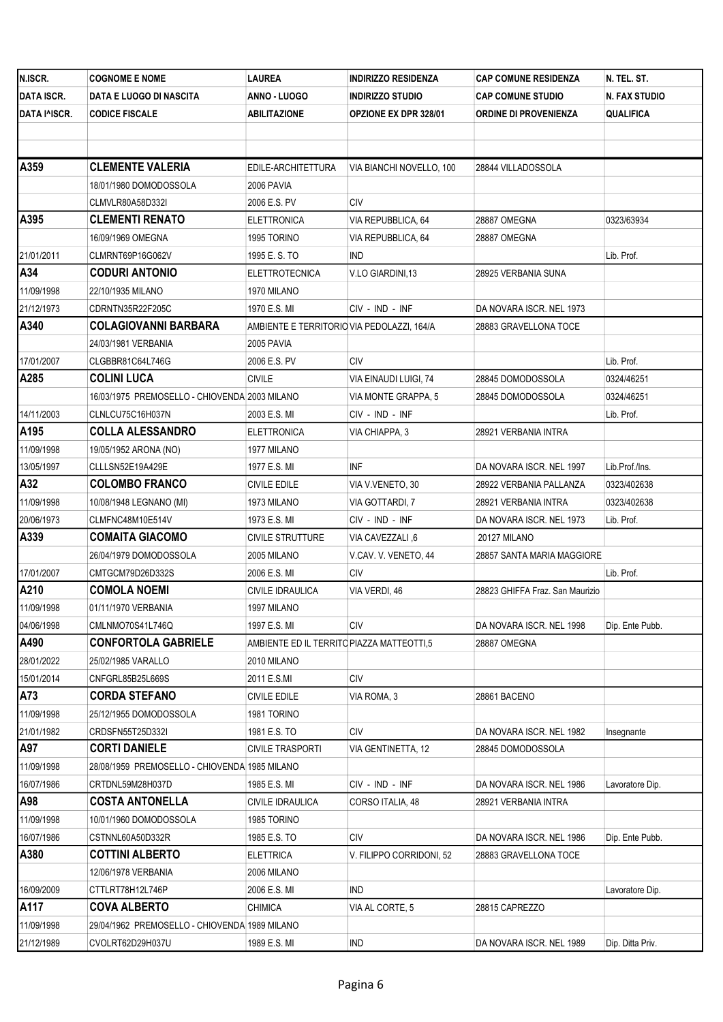| N.ISCR.           | <b>COGNOME E NOME</b>                         | LAUREA                                     | <b>INDIRIZZO RESIDENZA</b>   | <b>CAP COMUNE RESIDENZA</b>     | N. TEL. ST.      |
|-------------------|-----------------------------------------------|--------------------------------------------|------------------------------|---------------------------------|------------------|
| <b>DATA ISCR.</b> | DATA E LUOGO DI NASCITA                       | ANNO - LUOGO                               | <b>INDIRIZZO STUDIO</b>      | <b>CAP COMUNE STUDIO</b>        | N. FAX STUDIO    |
| DATA I^ISCR.      | <b>CODICE FISCALE</b>                         | ABILITAZIONE                               | <b>OPZIONE EX DPR 328/01</b> | ORDINE DI PROVENIENZA           | QUALIFICA        |
|                   |                                               |                                            |                              |                                 |                  |
| A359              | <b>CLEMENTE VALERIA</b>                       | EDILE-ARCHITETTURA                         | VIA BIANCHI NOVELLO, 100     | 28844 VILLADOSSOLA              |                  |
|                   | 18/01/1980 DOMODOSSOLA                        | 2006 PAVIA                                 |                              |                                 |                  |
|                   | CLMVLR80A58D332I                              | 2006 E.S. PV                               | CIV                          |                                 |                  |
| A395              | <b>CLEMENTI RENATO</b>                        | ELETTRONICA                                | VIA REPUBBLICA, 64           | 28887 OMEGNA                    | 0323/63934       |
|                   | 16/09/1969 OMEGNA                             | 1995 TORINO                                | VIA REPUBBLICA, 64           | 28887 OMEGNA                    |                  |
| 21/01/2011        | CLMRNT69P16G062V                              | 1995 E.S.TO                                | <b>IND</b>                   |                                 | Lib. Prof.       |
| A34               | <b>CODURI ANTONIO</b>                         | ELETTROTECNICA                             | V.LO GIARDINI,13             | 28925 VERBANIA SUNA             |                  |
| 11/09/1998        | 22/10/1935 MILANO                             | 1970 MILANO                                |                              |                                 |                  |
| 21/12/1973        | CDRNTN35R22F205C                              | 1970 E.S. MI                               | CIV - IND - INF              | DA NOVARA ISCR. NEL 1973        |                  |
| A340              | <b>COLAGIOVANNI BARBARA</b>                   | AMBIENTE E TERRITORIO VIA PEDOLAZZI, 164/A |                              | 28883 GRAVELLONA TOCE           |                  |
|                   | 24/03/1981 VERBANIA                           | 2005 PAVIA                                 |                              |                                 |                  |
| 17/01/2007        | CLGBBR81C64L746G                              | 2006 E.S. PV                               | <b>CIV</b>                   |                                 | Lib. Prof.       |
| A285              | <b>COLINI LUCA</b>                            | <b>CIVILE</b>                              | VIA EINAUDI LUIGI, 74        | 28845 DOMODOSSOLA               | 0324/46251       |
|                   | 16/03/1975 PREMOSELLO - CHIOVENDA 2003 MILANO |                                            | VIA MONTE GRAPPA, 5          | 28845 DOMODOSSOLA               | 0324/46251       |
| 14/11/2003        | CLNLCU75C16H037N                              | 2003 E.S. MI                               | CIV - IND - INF              |                                 | Lib. Prof.       |
| A195              | <b>COLLA ALESSANDRO</b>                       | ELETTRONICA                                | VIA CHIAPPA, 3               | 28921 VERBANIA INTRA            |                  |
| 11/09/1998        | 19/05/1952 ARONA (NO)                         | 1977 MILANO                                |                              |                                 |                  |
| 13/05/1997        | CLLLSN52E19A429E                              | 1977 E.S. MI                               | INF                          | DA NOVARA ISCR. NEL 1997        | Lib.Prof./Ins.   |
| A32               | <b>COLOMBO FRANCO</b>                         | CIVILE EDILE                               | VIA V.VENETO, 30             | 28922 VERBANIA PALLANZA         | 0323/402638      |
| 11/09/1998        | 10/08/1948 LEGNANO (MI)                       | 1973 MILANO                                | VIA GOTTARDI, 7              | 28921 VERBANIA INTRA            | 0323/402638      |
| 20/06/1973        | CLMFNC48M10E514V                              | 1973 E.S. MI                               | CIV - IND - INF              | DA NOVARA ISCR. NEL 1973        | Lib. Prof.       |
| A339              | <b>COMAITA GIACOMO</b>                        | <b>CIVILE STRUTTURE</b>                    | VIA CAVEZZALI, 6             | <b>20127 MILANO</b>             |                  |
|                   | 26/04/1979 DOMODOSSOLA                        | 2005 MILANO                                | V.CAV. V. VENETO, 44         | 28857 SANTA MARIA MAGGIORE      |                  |
| 17/01/2007        | CMTGCM79D26D332S                              | 2006 E.S. MI                               | CIV                          |                                 | Lib. Prof.       |
| A210              | <b>COMOLA NOEMI</b>                           | CIVILE IDRAULICA                           | VIA VERDI, 46                | 28823 GHIFFA Fraz. San Maurizio |                  |
| 11/09/1998        | 01/11/1970 VERBANIA                           | 1997 MILANO                                |                              |                                 |                  |
| 04/06/1998        | CMLNMO70S41L746Q                              | 1997 E.S. MI                               | CIV                          | DA NOVARA ISCR. NEL 1998        | Dip. Ente Pubb.  |
| A490              | <b>CONFORTOLA GABRIELE</b>                    | AMBIENTE ED IL TERRITO PIAZZA MATTEOTTI,5  |                              | 28887 OMEGNA                    |                  |
| 28/01/2022        | 25/02/1985 VARALLO                            | 2010 MILANO                                |                              |                                 |                  |
| 15/01/2014        | CNFGRL85B25L669S                              | 2011 E.S.MI                                | <b>CIV</b>                   |                                 |                  |
| A73               | <b>CORDA STEFANO</b>                          | <b>CIVILE EDILE</b>                        | VIA ROMA, 3                  | 28861 BACENO                    |                  |
| 11/09/1998        | 25/12/1955 DOMODOSSOLA                        | 1981 TORINO                                |                              |                                 |                  |
| 21/01/1982        | CRDSFN55T25D332I                              | 1981 E.S. TO                               | CIV                          | DA NOVARA ISCR. NEL 1982        | Insegnante       |
| A97               | <b>CORTI DANIELE</b>                          | <b>CIVILE TRASPORTI</b>                    | VIA GENTINETTA, 12           | 28845 DOMODOSSOLA               |                  |
| 11/09/1998        | 28/08/1959 PREMOSELLO - CHIOVENDA 1985 MILANO |                                            |                              |                                 |                  |
| 16/07/1986        | CRTDNL59M28H037D                              | 1985 E.S. MI                               | CIV - IND - INF              | DA NOVARA ISCR. NEL 1986        | Lavoratore Dip.  |
| A98               | <b>COSTA ANTONELLA</b>                        | CIVILE IDRAULICA                           | CORSO ITALIA, 48             | 28921 VERBANIA INTRA            |                  |
| 11/09/1998        | 10/01/1960 DOMODOSSOLA                        | 1985 TORINO                                |                              |                                 |                  |
| 16/07/1986        | CSTNNL60A50D332R                              | 1985 E.S. TO                               | <b>CIV</b>                   | DA NOVARA ISCR. NEL 1986        | Dip. Ente Pubb.  |
| A380              | <b>COTTINI ALBERTO</b>                        | <b>ELETTRICA</b>                           | V. FILIPPO CORRIDONI, 52     | 28883 GRAVELLONA TOCE           |                  |
|                   | 12/06/1978 VERBANIA                           | 2006 MILANO                                |                              |                                 |                  |
| 16/09/2009        | CTTLRT78H12L746P                              | 2006 E.S. MI                               | <b>IND</b>                   |                                 | Lavoratore Dip.  |
| A117              | <b>COVA ALBERTO</b>                           | <b>CHIMICA</b>                             | VIA AL CORTE, 5              | 28815 CAPREZZO                  |                  |
| 11/09/1998        | 29/04/1962 PREMOSELLO - CHIOVENDA 1989 MILANO |                                            |                              |                                 |                  |
| 21/12/1989        | CVOLRT62D29H037U                              | 1989 E.S. MI                               | IND                          | DA NOVARA ISCR. NEL 1989        | Dip. Ditta Priv. |
|                   |                                               |                                            |                              |                                 |                  |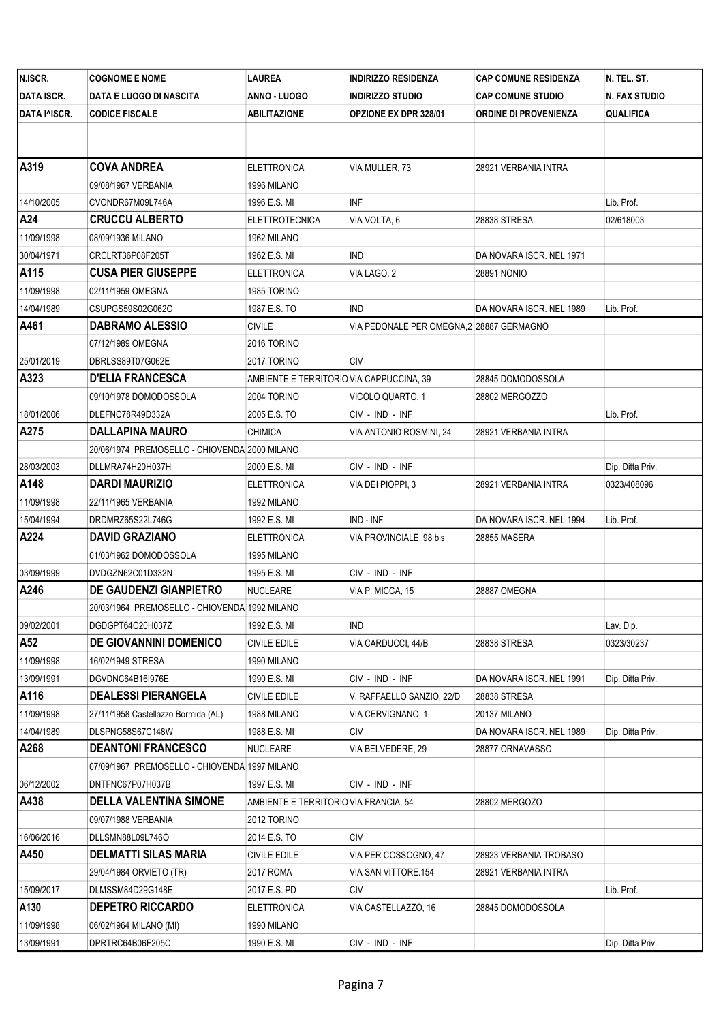| N.ISCR.           | <b>COGNOME E NOME</b>                         | LAUREA                                   | <b>INDIRIZZO RESIDENZA</b>               | <b>CAP COMUNE RESIDENZA</b>  | N. TEL. ST.      |
|-------------------|-----------------------------------------------|------------------------------------------|------------------------------------------|------------------------------|------------------|
| <b>DATA ISCR.</b> | DATA E LUOGO DI NASCITA                       | ANNO - LUOGO                             | <b>INDIRIZZO STUDIO</b>                  | <b>CAP COMUNE STUDIO</b>     | N. FAX STUDIO    |
| DATA I^ISCR.      | <b>CODICE FISCALE</b>                         | ABILITAZIONE                             | <b>OPZIONE EX DPR 328/01</b>             | <b>ORDINE DI PROVENIENZA</b> | <b>QUALIFICA</b> |
|                   |                                               |                                          |                                          |                              |                  |
|                   |                                               |                                          |                                          |                              |                  |
| A319              | <b>COVA ANDREA</b>                            | <b>ELETTRONICA</b>                       | VIA MULLER, 73                           | 28921 VERBANIA INTRA         |                  |
|                   | 09/08/1967 VERBANIA                           | 1996 MILANO                              |                                          |                              |                  |
| 14/10/2005        | CVONDR67M09L746A                              | 1996 E.S. MI                             | INF                                      |                              | Lib. Prof.       |
| A24               | <b>CRUCCU ALBERTO</b>                         | <b>ELETTROTECNICA</b>                    | VIA VOLTA, 6                             | 28838 STRESA                 | 02/618003        |
| 11/09/1998        | 08/09/1936 MILANO                             | 1962 MILANO                              |                                          |                              |                  |
| 30/04/1971        | CRCLRT36P08F205T                              | 1962 E.S. MI                             | IND                                      | DA NOVARA ISCR. NEL 1971     |                  |
| A115              | <b>CUSA PIER GIUSEPPE</b>                     | ELETTRONICA                              | VIA LAGO, 2                              | 28891 NONIO                  |                  |
| 11/09/1998        | 02/11/1959 OMEGNA                             | 1985 TORINO                              |                                          |                              |                  |
| 14/04/1989        | CSUPGS59S02G062O                              | 1987 E.S. TO                             | <b>IND</b>                               | DA NOVARA ISCR. NEL 1989     | Lib. Prof.       |
| A461              | <b>DABRAMO ALESSIO</b>                        | <b>CIVILE</b>                            | VIA PEDONALE PER OMEGNA,2 28887 GERMAGNO |                              |                  |
|                   | 07/12/1989 OMEGNA                             | 2016 TORINO                              |                                          |                              |                  |
| 25/01/2019        | DBRLSS89T07G062E                              | 2017 TORINO                              | CIV                                      |                              |                  |
| A323              | <b>D'ELIA FRANCESCA</b>                       | AMBIENTE E TERRITORIO VIA CAPPUCCINA, 39 |                                          | 28845 DOMODOSSOLA            |                  |
|                   | 09/10/1978 DOMODOSSOLA                        | 2004 TORINO                              | VICOLO QUARTO, 1                         | 28802 MERGOZZO               |                  |
| 18/01/2006        | DLEFNC78R49D332A                              | 2005 E.S. TO                             | CIV - IND - INF                          |                              | Lib. Prof.       |
| A275              | <b>DALLAPINA MAURO</b>                        | CHIMICA                                  | VIA ANTONIO ROSMINI, 24                  | 28921 VERBANIA INTRA         |                  |
|                   | 20/06/1974 PREMOSELLO - CHIOVENDA 2000 MILANO |                                          |                                          |                              |                  |
| 28/03/2003        | DLLMRA74H20H037H                              | 2000 E.S. MI                             | CIV - IND - INF                          |                              | Dip. Ditta Priv. |
| A148              | <b>DARDI MAURIZIO</b>                         | ELETTRONICA                              | VIA DEI PIOPPI, 3                        | 28921 VERBANIA INTRA         | 0323/408096      |
| 11/09/1998        | 22/11/1965 VERBANIA                           | 1992 MILANO                              |                                          |                              |                  |
| 15/04/1994        | DRDMRZ65S22L746G                              | 1992 E.S. MI                             | IND - INF                                | DA NOVARA ISCR. NEL 1994     | Lib. Prof.       |
| A224              | <b>DAVID GRAZIANO</b>                         | ELETTRONICA                              | VIA PROVINCIALE, 98 bis                  | 28855 MASERA                 |                  |
|                   | 01/03/1962 DOMODOSSOLA                        | 1995 MILANO                              |                                          |                              |                  |
| 03/09/1999        | DVDGZN62C01D332N                              | 1995 E.S. MI                             | CIV - IND - INF                          |                              |                  |
| A246              | <b>DE GAUDENZI GIANPIETRO</b>                 | NUCLEARE                                 | VIA P. MICCA, 15                         | 28887 OMEGNA                 |                  |
|                   | 20/03/1964 PREMOSELLO - CHIOVENDA 1992 MILANO |                                          |                                          |                              |                  |
| 09/02/2001        | DGDGPT64C20H037Z                              | 1992 E.S. MI                             | IND                                      |                              | Lav. Dip.        |
| A52               | DE GIOVANNINI DOMENICO                        | <b>CIVILE EDILE</b>                      | VIA CARDUCCI, 44/B                       | 28838 STRESA                 | 0323/30237       |
| 11/09/1998        | 16/02/1949 STRESA                             | 1990 MILANO                              |                                          |                              |                  |
| 13/09/1991        | DGVDNC64B16I976E                              | 1990 E.S. MI                             | CIV - IND - INF                          | DA NOVARA ISCR. NEL 1991     | Dip. Ditta Priv. |
| A116              | <b>DEALESSI PIERANGELA</b>                    | CIVILE EDILE                             | V. RAFFAELLO SANZIO, 22/D                | 28838 STRESA                 |                  |
| 11/09/1998        | 27/11/1958 Castellazzo Bormida (AL)           | 1988 MILANO                              | VIA CERVIGNANO, 1                        | 20137 MILANO                 |                  |
| 14/04/1989        | DLSPNG58S67C148W                              | 1988 E.S. MI                             | CIV                                      | DA NOVARA ISCR. NEL 1989     | Dip. Ditta Priv. |
| A268              | <b>DEANTONI FRANCESCO</b>                     | NUCLEARE                                 | VIA BELVEDERE, 29                        | 28877 ORNAVASSO              |                  |
|                   | 07/09/1967 PREMOSELLO - CHIOVENDA 1997 MILANO |                                          |                                          |                              |                  |
| 06/12/2002        | DNTFNC67P07H037B                              | 1997 E.S. MI                             | CIV - IND - INF                          |                              |                  |
| A438              | <b>DELLA VALENTINA SIMONE</b>                 | AMBIENTE E TERRITORIO VIA FRANCIA, 54    |                                          | 28802 MERGOZO                |                  |
|                   | 09/07/1988 VERBANIA                           | 2012 TORINO                              |                                          |                              |                  |
| 16/06/2016        | DLLSMN88L09L746O                              | 2014 E.S. TO                             | <b>CIV</b>                               |                              |                  |
| A450              | DELMATTI SILAS MARIA                          | <b>CIVILE EDILE</b>                      | VIA PER COSSOGNO, 47                     | 28923 VERBANIA TROBASO       |                  |
|                   | 29/04/1984 ORVIETO (TR)                       | 2017 ROMA                                | VIA SAN VITTORE.154                      | 28921 VERBANIA INTRA         |                  |
| 15/09/2017        | DLMSSM84D29G148E                              | 2017 E.S. PD                             | CIV                                      |                              | Lib. Prof.       |
| A130              | <b>DEPETRO RICCARDO</b>                       | <b>ELETTRONICA</b>                       | VIA CASTELLAZZO, 16                      | 28845 DOMODOSSOLA            |                  |
| 11/09/1998        | 06/02/1964 MILANO (MI)                        | 1990 MILANO                              |                                          |                              |                  |
| 13/09/1991        | DPRTRC64B06F205C                              | 1990 E.S. MI                             | CIV - IND - INF                          |                              | Dip. Ditta Priv. |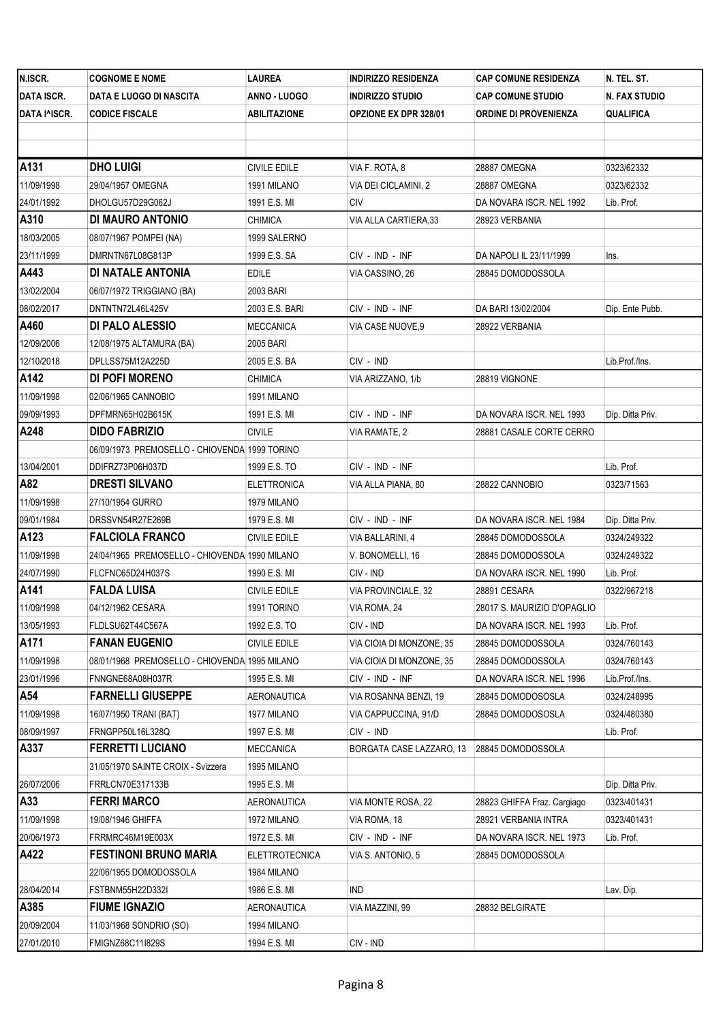| N.ISCR.           | <b>COGNOME E NOME</b>                         | LAUREA                | <b>INDIRIZZO RESIDENZA</b>   | <b>CAP COMUNE RESIDENZA</b>  | N. TEL. ST.      |
|-------------------|-----------------------------------------------|-----------------------|------------------------------|------------------------------|------------------|
| <b>DATA ISCR.</b> | DATA E LUOGO DI NASCITA                       | ANNO - LUOGO          | <b>INDIRIZZO STUDIO</b>      | <b>CAP COMUNE STUDIO</b>     | N. FAX STUDIO    |
| DATA I^ISCR.      | <b>CODICE FISCALE</b>                         | ABILITAZIONE          | <b>OPZIONE EX DPR 328/01</b> | <b>ORDINE DI PROVENIENZA</b> | QUALIFICA        |
|                   |                                               |                       |                              |                              |                  |
| A131              | <b>DHO LUIGI</b>                              | <b>CIVILE EDILE</b>   | VIA F. ROTA, 8               | 28887 OMEGNA                 | 0323/62332       |
| 11/09/1998        | 29/04/1957 OMEGNA                             | 1991 MILANO           | VIA DEI CICLAMINI, 2         | 28887 OMEGNA                 | 0323/62332       |
| 24/01/1992        | DHOLGU57D29G062J                              | 1991 E.S. MI          | CIV                          | DA NOVARA ISCR. NEL 1992     | Lib. Prof.       |
| A310              | DI MAURO ANTONIO                              | CHIMICA               | VIA ALLA CARTIERA, 33        | 28923 VERBANIA               |                  |
| 18/03/2005        | 08/07/1967 POMPEI (NA)                        | 1999 SALERNO          |                              |                              |                  |
| 23/11/1999        | DMRNTN67L08G813P                              | 1999 E.S. SA          | CIV - IND - INF              | DA NAPOLI IL 23/11/1999      | Ins.             |
| A443              | DI NATALE ANTONIA                             | EDILE                 | VIA CASSINO, 26              | 28845 DOMODOSSOLA            |                  |
| 13/02/2004        | 06/07/1972 TRIGGIANO (BA)                     | 2003 BARI             |                              |                              |                  |
| 08/02/2017        | DNTNTN72L46L425V                              | 2003 E.S. BARI        | CIV - IND - INF              | DA BARI 13/02/2004           | Dip. Ente Pubb.  |
| A460              | DI PALO ALESSIO                               | MECCANICA             | VIA CASE NUOVE,9             | 28922 VERBANIA               |                  |
| 12/09/2006        | 12/08/1975 ALTAMURA (BA)                      | 2005 BARI             |                              |                              |                  |
| 12/10/2018        | DPLLSS75M12A225D                              | 2005 E.S. BA          | CIV - IND                    |                              | Lib.Prof./Ins.   |
| A142              | DI POFI MORENO                                | <b>CHIMICA</b>        | VIA ARIZZANO, 1/b            | 28819 VIGNONE                |                  |
| 11/09/1998        | 02/06/1965 CANNOBIO                           | 1991 MILANO           |                              |                              |                  |
| 09/09/1993        | DPFMRN65H02B615K                              | 1991 E.S. MI          | CIV - IND - INF              | DA NOVARA ISCR. NEL 1993     | Dip. Ditta Priv. |
| A248              | <b>DIDO FABRIZIO</b>                          | CIVILE                | VIA RAMATE, 2                | 28881 CASALE CORTE CERRO     |                  |
|                   | 06/09/1973 PREMOSELLO - CHIOVENDA 1999 TORINO |                       |                              |                              |                  |
| 13/04/2001        | DDIFRZ73P06H037D                              | 1999 E.S. TO          | CIV - IND - INF              |                              | Lib. Prof.       |
| A82               | <b>DRESTI SILVANO</b>                         | ELETTRONICA           | VIA ALLA PIANA, 80           | 28822 CANNOBIO               | 0323/71563       |
| 11/09/1998        | 27/10/1954 GURRO                              | 1979 MILANO           |                              |                              |                  |
| 09/01/1984        | DRSSVN54R27E269B                              | 1979 E.S. MI          | CIV - IND - INF              | DA NOVARA ISCR. NEL 1984     | Dip. Ditta Priv. |
| A123              | <b>FALCIOLA FRANCO</b>                        | CIVILE EDILE          | VIA BALLARINI, 4             | 28845 DOMODOSSOLA            | 0324/249322      |
| 11/09/1998        | 24/04/1965 PREMOSELLO - CHIOVENDA 1990 MILANO |                       | V. BONOMELLI, 16             | 28845 DOMODOSSOLA            | 0324/249322      |
| 24/07/1990        | FLCFNC65D24H037S                              | 1990 E.S. MI          | CIV - IND                    | DA NOVARA ISCR. NEL 1990     | Lib. Prof.       |
| A141              | <b>FALDA LUISA</b>                            | CIVILE EDILE          | VIA PROVINCIALE, 32          | 28891 CESARA                 | 0322/967218      |
| 11/09/1998        | 04/12/1962 CESARA                             | 1991 TORINO           | VIA ROMA, 24                 | 28017 S. MAURIZIO D'OPAGLIO  |                  |
| 13/05/1993        | FLDLSU62T44C567A                              | 1992 E.S. TO          | CIV - IND                    | DA NOVARA ISCR. NEL 1993     | Lib. Prof.       |
| A171              | <b>FANAN EUGENIO</b>                          | <b>CIVILE EDILE</b>   | VIA CIOIA DI MONZONE, 35     | 28845 DOMODOSSOLA            | 0324/760143      |
| 11/09/1998        | 08/01/1968 PREMOSELLO - CHIOVENDA 1995 MILANO |                       | VIA CIOIA DI MONZONE, 35     | 28845 DOMODOSSOLA            | 0324/760143      |
| 23/01/1996        | FNNGNE68A08H037R                              | 1995 E.S. MI          | CIV - IND - INF              | DA NOVARA ISCR. NEL 1996     | Lib.Prof./Ins.   |
| A54               | <b>FARNELLI GIUSEPPE</b>                      | AERONAUTICA           | VIA ROSANNA BENZI, 19        | 28845 DOMODOSOSLA            | 0324/248995      |
| 11/09/1998        | 16/07/1950 TRANI (BAT)                        | 1977 MILANO           | VIA CAPPUCCINA, 91/D         | 28845 DOMODOSOSLA            | 0324/480380      |
| 08/09/1997        | FRNGPP50L16L328Q                              | 1997 E.S. MI          | CIV - IND                    |                              | Lib. Prof.       |
| A337              | <b>FERRETTI LUCIANO</b>                       | <b>MECCANICA</b>      | BORGATA CASE LAZZARO, 13     | 28845 DOMODOSSOLA            |                  |
|                   | 31/05/1970 SAINTE CROIX - Svizzera            | 1995 MILANO           |                              |                              |                  |
| 26/07/2006        | FRRLCN70E317133B                              | 1995 E.S. MI          |                              |                              | Dip. Ditta Priv. |
| A33               | <b>FERRI MARCO</b>                            | <b>AERONAUTICA</b>    | VIA MONTE ROSA, 22           | 28823 GHIFFA Fraz. Cargiago  | 0323/401431      |
| 11/09/1998        | 19/08/1946 GHIFFA                             | 1972 MILANO           | VIA ROMA, 18                 | 28921 VERBANIA INTRA         | 0323/401431      |
| 20/06/1973        | FRRMRC46M19E003X                              | 1972 E.S. MI          | CIV - IND - INF              | DA NOVARA ISCR. NEL 1973     | Lib. Prof.       |
| A422              | <b>FESTINONI BRUNO MARIA</b>                  | <b>ELETTROTECNICA</b> | VIA S. ANTONIO, 5            | 28845 DOMODOSSOLA            |                  |
|                   | 22/06/1955 DOMODOSSOLA                        | 1984 MILANO           |                              |                              |                  |
| 28/04/2014        | FSTBNM55H22D332I                              | 1986 E.S. MI          | IND                          |                              | Lav. Dip.        |
| A385              | <b>FIUME IGNAZIO</b>                          | AERONAUTICA           | VIA MAZZINI, 99              | 28832 BELGIRATE              |                  |
| 20/09/2004        | 11/03/1968 SONDRIO (SO)                       | 1994 MILANO           |                              |                              |                  |
| 27/01/2010        | FMIGNZ68C11I829S                              | 1994 E.S. MI          | CIV - IND                    |                              |                  |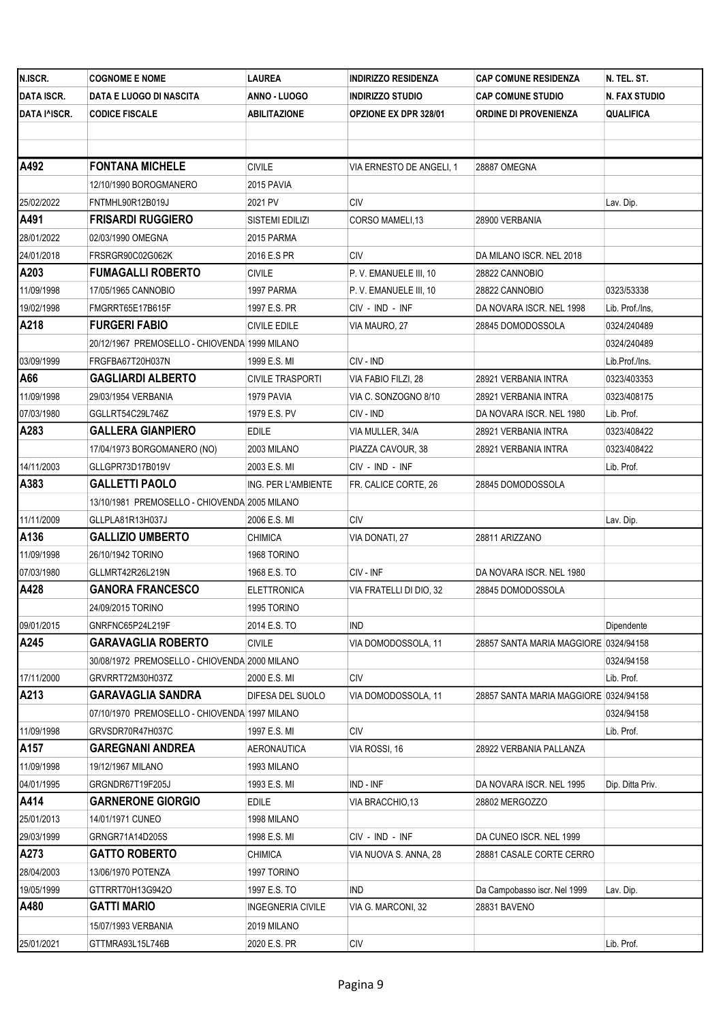| N.ISCR.           | <b>COGNOME E NOME</b>                         | LAUREA              | <b>INDIRIZZO RESIDENZA</b>   | <b>CAP COMUNE RESIDENZA</b>           | N. TEL. ST.      |
|-------------------|-----------------------------------------------|---------------------|------------------------------|---------------------------------------|------------------|
| <b>DATA ISCR.</b> | DATA E LUOGO DI NASCITA                       | ANNO - LUOGO        | <b>INDIRIZZO STUDIO</b>      | <b>CAP COMUNE STUDIO</b>              | N. FAX STUDIO    |
| DATA I^ISCR.      | <b>CODICE FISCALE</b>                         | ABILITAZIONE        | <b>OPZIONE EX DPR 328/01</b> | ORDINE DI PROVENIENZA                 | QUALIFICA        |
|                   |                                               |                     |                              |                                       |                  |
|                   |                                               |                     |                              |                                       |                  |
| A492              | <b>FONTANA MICHELE</b>                        | <b>CIVILE</b>       | VIA ERNESTO DE ANGELI, 1     | 28887 OMEGNA                          |                  |
|                   | 12/10/1990 BOROGMANERO                        | 2015 PAVIA          |                              |                                       |                  |
| 25/02/2022        | FNTMHL90R12B019J                              | 2021 PV             | CIV                          |                                       | Lav. Dip.        |
| A491              | <b>FRISARDI RUGGIERO</b>                      | SISTEMI EDILIZI     | CORSO MAMELI,13              | 28900 VERBANIA                        |                  |
| 28/01/2022        | 02/03/1990 OMEGNA                             | 2015 PARMA          |                              |                                       |                  |
| 24/01/2018        | FRSRGR90C02G062K                              | 2016 E.S PR         | CIV                          | DA MILANO ISCR. NEL 2018              |                  |
| A203              | <b>FUMAGALLI ROBERTO</b>                      | CIVILE              | P.V. EMANUELE III, 10        | 28822 CANNOBIO                        |                  |
| 11/09/1998        | 17/05/1965 CANNOBIO                           | 1997 PARMA          | P.V. EMANUELE III, 10        | 28822 CANNOBIO                        | 0323/53338       |
| 19/02/1998        | FMGRRT65E17B615F                              | 1997 E.S. PR        | CIV - IND - INF              | DA NOVARA ISCR. NEL 1998              | Lib. Prof./Ins,  |
| A218              | <b>FURGERI FABIO</b>                          | CIVILE EDILE        | VIA MAURO, 27                | 28845 DOMODOSSOLA                     | 0324/240489      |
|                   | 20/12/1967 PREMOSELLO - CHIOVENDA 1999 MILANO |                     |                              |                                       | 0324/240489      |
| 03/09/1999        | FRGFBA67T20H037N                              | 1999 E.S. MI        | CIV - IND                    |                                       | Lib.Prof./Ins.   |
| A66               | <b>GAGLIARDI ALBERTO</b>                      | CIVILE TRASPORTI    | VIA FABIO FILZI. 28          | 28921 VERBANIA INTRA                  | 0323/403353      |
| 11/09/1998        | 29/03/1954 VERBANIA                           | 1979 PAVIA          | VIA C. SONZOGNO 8/10         | 28921 VERBANIA INTRA                  | 0323/408175      |
| 07/03/1980        | GGLLRT54C29L746Z                              | 1979 E.S. PV        | CIV - IND                    | DA NOVARA ISCR. NEL 1980              | Lib. Prof.       |
| A283              | <b>GALLERA GIANPIERO</b>                      | EDILE               | VIA MULLER, 34/A             | 28921 VERBANIA INTRA                  | 0323/408422      |
|                   | 17/04/1973 BORGOMANERO (NO)                   | 2003 MILANO         | PIAZZA CAVOUR, 38            | 28921 VERBANIA INTRA                  | 0323/408422      |
| 14/11/2003        | GLLGPR73D17B019V                              | 2003 E.S. MI        | CIV - IND - INF              |                                       | Lib. Prof.       |
| A383              | <b>GALLETTI PAOLO</b>                         | ING. PER L'AMBIENTE | FR. CALICE CORTE, 26         | 28845 DOMODOSSOLA                     |                  |
|                   | 13/10/1981 PREMOSELLO - CHIOVENDA 2005 MILANO |                     |                              |                                       |                  |
| 11/11/2009        | GLLPLA81R13H037J                              | 2006 E.S. MI        | <b>CIV</b>                   |                                       | Lav. Dip.        |
| A136              | <b>GALLIZIO UMBERTO</b>                       | CHIMICA             | VIA DONATI, 27               | 28811 ARIZZANO                        |                  |
| 11/09/1998        | 26/10/1942 TORINO                             | 1968 TORINO         |                              |                                       |                  |
| 07/03/1980        | GLLMRT42R26L219N                              | 1968 E.S. TO        | CIV - INF                    | DA NOVARA ISCR. NEL 1980              |                  |
| A428              | <b>GANORA FRANCESCO</b>                       | <b>ELETTRONICA</b>  | VIA FRATELLI DI DIO, 32      | 28845 DOMODOSSOLA                     |                  |
|                   | 24/09/2015 TORINO                             | 1995 TORINO         |                              |                                       |                  |
| 09/01/2015        | GNRFNC65P24L219F                              | 2014 E.S. TO        | IND.                         |                                       | Dipendente       |
| A245              | <b>GARAVAGLIA ROBERTO</b>                     | CIVILE              | VIA DOMODOSSOLA, 11          | 28857 SANTA MARIA MAGGIORE 0324/94158 |                  |
|                   | 30/08/1972 PREMOSELLO - CHIOVENDA 2000 MILANO |                     |                              |                                       | 0324/94158       |
| 17/11/2000        | GRVRRT72M30H037Z                              | 2000 E.S. MI        | <b>CIV</b>                   |                                       | Lib. Prof.       |
| A213              | <b>GARAVAGLIA SANDRA</b>                      | DIFESA DEL SUOLO    | VIA DOMODOSSOLA, 11          | 28857 SANTA MARIA MAGGIORE 0324/94158 |                  |
|                   | 07/10/1970 PREMOSELLO - CHIOVENDA 1997 MILANO |                     |                              |                                       | 0324/94158       |
| 11/09/1998        | GRVSDR70R47H037C                              | 1997 E.S. MI        | CIV                          |                                       | Lib. Prof.       |
| A157              | <b>GAREGNANI ANDREA</b>                       | <b>AERONAUTICA</b>  | VIA ROSSI, 16                | 28922 VERBANIA PALLANZA               |                  |
| 11/09/1998        | 19/12/1967 MILANO                             | 1993 MILANO         |                              |                                       |                  |
| 04/01/1995        | GRGNDR67T19F205J                              | 1993 E.S. MI        | IND - INF                    | DA NOVARA ISCR. NEL 1995              | Dip. Ditta Priv. |
| A414              | <b>GARNERONE GIORGIO</b>                      | EDILE               | VIA BRACCHIO, 13             | 28802 MERGOZZO                        |                  |
| 25/01/2013        | 14/01/1971 CUNEO                              | 1998 MILANO         |                              |                                       |                  |
| 29/03/1999        | GRNGR71A14D205S                               | 1998 E.S. MI        | CIV - IND - INF              | DA CUNEO ISCR. NEL 1999               |                  |
| A273              | <b>GATTO ROBERTO</b>                          | <b>CHIMICA</b>      | VIA NUOVA S. ANNA, 28        | 28881 CASALE CORTE CERRO              |                  |
| 28/04/2003        | 13/06/1970 POTENZA                            | 1997 TORINO         |                              |                                       |                  |
| 19/05/1999        | GTTRRT70H13G942O                              | 1997 E.S. TO        | IND                          | Da Campobasso iscr. Nel 1999          | Lav. Dip.        |
| A480              | <b>GATTI MARIO</b>                            | INGEGNERIA CIVILE   | VIA G. MARCONI, 32           | 28831 BAVENO                          |                  |
|                   | 15/07/1993 VERBANIA                           | 2019 MILANO         |                              |                                       |                  |
| 25/01/2021        | GTTMRA93L15L746B                              | 2020 E.S. PR        | CIV                          |                                       | Lib. Prof.       |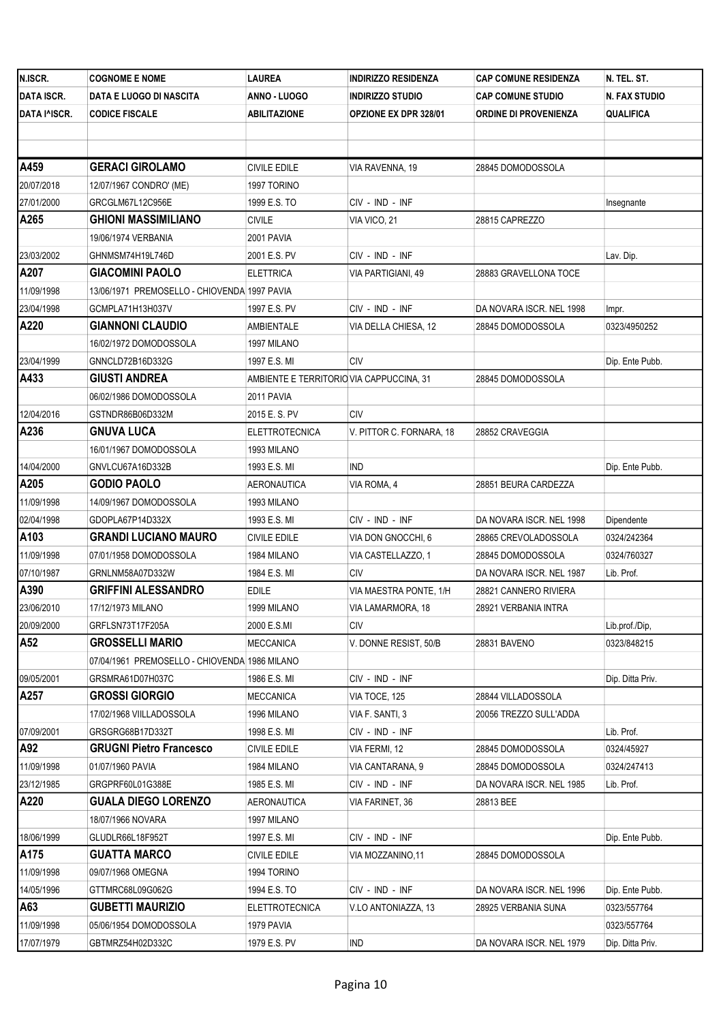| N.ISCR.           | <b>COGNOME E NOME</b>                         | LAUREA                                   | <b>INDIRIZZO RESIDENZA</b>   | <b>CAP COMUNE RESIDENZA</b>  | N. TEL. ST.      |
|-------------------|-----------------------------------------------|------------------------------------------|------------------------------|------------------------------|------------------|
| <b>DATA ISCR.</b> | DATA E LUOGO DI NASCITA                       | ANNO - LUOGO                             | <b>INDIRIZZO STUDIO</b>      | <b>CAP COMUNE STUDIO</b>     | N. FAX STUDIO    |
| DATA I^ISCR.      | <b>CODICE FISCALE</b>                         | ABILITAZIONE                             | <b>OPZIONE EX DPR 328/01</b> | <b>ORDINE DI PROVENIENZA</b> | QUALIFICA        |
|                   |                                               |                                          |                              |                              |                  |
|                   |                                               |                                          |                              |                              |                  |
| A459              | <b>GERACI GIROLAMO</b>                        | <b>CIVILE EDILE</b>                      | VIA RAVENNA, 19              | 28845 DOMODOSSOLA            |                  |
| 20/07/2018        | 12/07/1967 CONDRO' (ME)                       | 1997 TORINO                              |                              |                              |                  |
| 27/01/2000        | GRCGLM67L12C956E                              | 1999 E.S. TO                             | CIV - IND - INF              |                              | Insegnante       |
| A265              | <b>GHIONI MASSIMILIANO</b>                    | <b>CIVILE</b>                            | VIA VICO, 21                 | 28815 CAPREZZO               |                  |
|                   | 19/06/1974 VERBANIA                           | 2001 PAVIA                               |                              |                              |                  |
| 23/03/2002        | GHNMSM74H19L746D                              | 2001 E.S. PV                             | CIV - IND - INF              |                              | Lav. Dip.        |
| A207              | <b>GIACOMINI PAOLO</b>                        | <b>ELETTRICA</b>                         | VIA PARTIGIANI, 49           | 28883 GRAVELLONA TOCE        |                  |
| 11/09/1998        | 13/06/1971 PREMOSELLO - CHIOVENDA 1997 PAVIA  |                                          |                              |                              |                  |
| 23/04/1998        | GCMPLA71H13H037V                              | 1997 E.S. PV                             | CIV - IND - INF              | DA NOVARA ISCR. NEL 1998     | Impr.            |
| A220              | <b>GIANNONI CLAUDIO</b>                       | <b>AMBIENTALE</b>                        | VIA DELLA CHIESA, 12         | 28845 DOMODOSSOLA            | 0323/4950252     |
|                   | 16/02/1972 DOMODOSSOLA                        | 1997 MILANO                              |                              |                              |                  |
| 23/04/1999        | GNNCLD72B16D332G                              | 1997 E.S. MI                             | CIV                          |                              | Dip. Ente Pubb.  |
| A433              | <b>GIUSTI ANDREA</b>                          | AMBIENTE E TERRITORIO VIA CAPPUCCINA, 31 |                              | 28845 DOMODOSSOLA            |                  |
|                   | 06/02/1986 DOMODOSSOLA                        | 2011 PAVIA                               |                              |                              |                  |
| 12/04/2016        | GSTNDR86B06D332M                              | 2015 E.S. PV                             | <b>CIV</b>                   |                              |                  |
| A236              | <b>GNUVA LUCA</b>                             | <b>ELETTROTECNICA</b>                    | V. PITTOR C. FORNARA, 18     | 28852 CRAVEGGIA              |                  |
|                   | 16/01/1967 DOMODOSSOLA                        | 1993 MILANO                              |                              |                              |                  |
| 14/04/2000        | GNVLCU67A16D332B                              | 1993 E.S. MI                             | <b>IND</b>                   |                              | Dip. Ente Pubb.  |
| A205              | <b>GODIO PAOLO</b>                            | AERONAUTICA                              | VIA ROMA, 4                  | 28851 BEURA CARDEZZA         |                  |
| 11/09/1998        | 14/09/1967 DOMODOSSOLA                        | 1993 MILANO                              |                              |                              |                  |
| 02/04/1998        | GDOPLA67P14D332X                              | 1993 E.S. MI                             | CIV - IND - INF              | DA NOVARA ISCR. NEL 1998     | Dipendente       |
| A103              | <b>GRANDI LUCIANO MAURO</b>                   | <b>CIVILE EDILE</b>                      | VIA DON GNOCCHI, 6           | 28865 CREVOLADOSSOLA         | 0324/242364      |
| 11/09/1998        | 07/01/1958 DOMODOSSOLA                        | 1984 MILANO                              | VIA CASTELLAZZO, 1           | 28845 DOMODOSSOLA            | 0324/760327      |
| 07/10/1987        | GRNLNM58A07D332W                              | 1984 E.S. MI                             | CIV                          | DA NOVARA ISCR. NEL 1987     | Lib. Prof.       |
| A390              | <b>GRIFFINI ALESSANDRO</b>                    | EDILE                                    | VIA MAESTRA PONTE, 1/H       | 28821 CANNERO RIVIERA        |                  |
| 23/06/2010        | 17/12/1973 MILANO                             | 1999 MILANO                              | VIA LAMARMORA, 18            | 28921 VERBANIA INTRA         |                  |
| 20/09/2000        | GRFLSN73T17F205A                              | 2000 E.S.MI                              | CIV                          |                              | Lib.prof./Dip,   |
| A52               | <b>GROSSELLI MARIO</b>                        | <b>MECCANICA</b>                         | V. DONNE RESIST, 50/B        | 28831 BAVENO                 | 0323/848215      |
|                   | 07/04/1961 PREMOSELLO - CHIOVENDA 1986 MILANO |                                          |                              |                              |                  |
| 09/05/2001        | GRSMRA61D07H037C                              | 1986 E.S. MI                             | CIV - IND - INF              |                              | Dip. Ditta Priv. |
| A257              | <b>GROSSI GIORGIO</b>                         | MECCANICA                                | VIA TOCE, 125                | 28844 VILLADOSSOLA           |                  |
|                   | 17/02/1968 VIILLADOSSOLA                      | 1996 MILANO                              | VIA F. SANTI, 3              | 20056 TREZZO SULL'ADDA       |                  |
| 07/09/2001        | GRSGRG68B17D332T                              | 1998 E.S. MI                             | CIV - IND - INF              |                              | Lib. Prof.       |
| A92               | <b>GRUGNI Pietro Francesco</b>                | CIVILE EDILE                             | VIA FERMI, 12                | 28845 DOMODOSSOLA            | 0324/45927       |
| 11/09/1998        | 01/07/1960 PAVIA                              | 1984 MILANO                              | VIA CANTARANA, 9             | 28845 DOMODOSSOLA            | 0324/247413      |
| 23/12/1985        | GRGPRF60L01G388E                              | 1985 E.S. MI                             | CIV - IND - INF              | DA NOVARA ISCR. NEL 1985     | Lib. Prof.       |
| A220              | <b>GUALA DIEGO LORENZO</b>                    | AERONAUTICA                              | VIA FARINET, 36              | 28813 BEE                    |                  |
|                   | 18/07/1966 NOVARA                             | 1997 MILANO                              |                              |                              |                  |
| 18/06/1999        | GLUDLR66L18F952T                              | 1997 E.S. MI                             | CIV - IND - INF              |                              | Dip. Ente Pubb.  |
| A175              | <b>GUATTA MARCO</b>                           | <b>CIVILE EDILE</b>                      | VIA MOZZANINO,11             | 28845 DOMODOSSOLA            |                  |
| 11/09/1998        | 09/07/1968 OMEGNA                             | 1994 TORINO                              |                              |                              |                  |
| 14/05/1996        | GTTMRC68L09G062G                              | 1994 E.S. TO                             | CIV - IND - INF              | DA NOVARA ISCR. NEL 1996     | Dip. Ente Pubb.  |
| A63               | <b>GUBETTI MAURIZIO</b>                       | ELETTROTECNICA                           | V.LO ANTONIAZZA, 13          | 28925 VERBANIA SUNA          | 0323/557764      |
| 11/09/1998        | 05/06/1954 DOMODOSSOLA                        | 1979 PAVIA                               |                              |                              | 0323/557764      |
| 17/07/1979        | GBTMRZ54H02D332C                              | 1979 E.S. PV                             | IND                          | DA NOVARA ISCR. NEL 1979     | Dip. Ditta Priv. |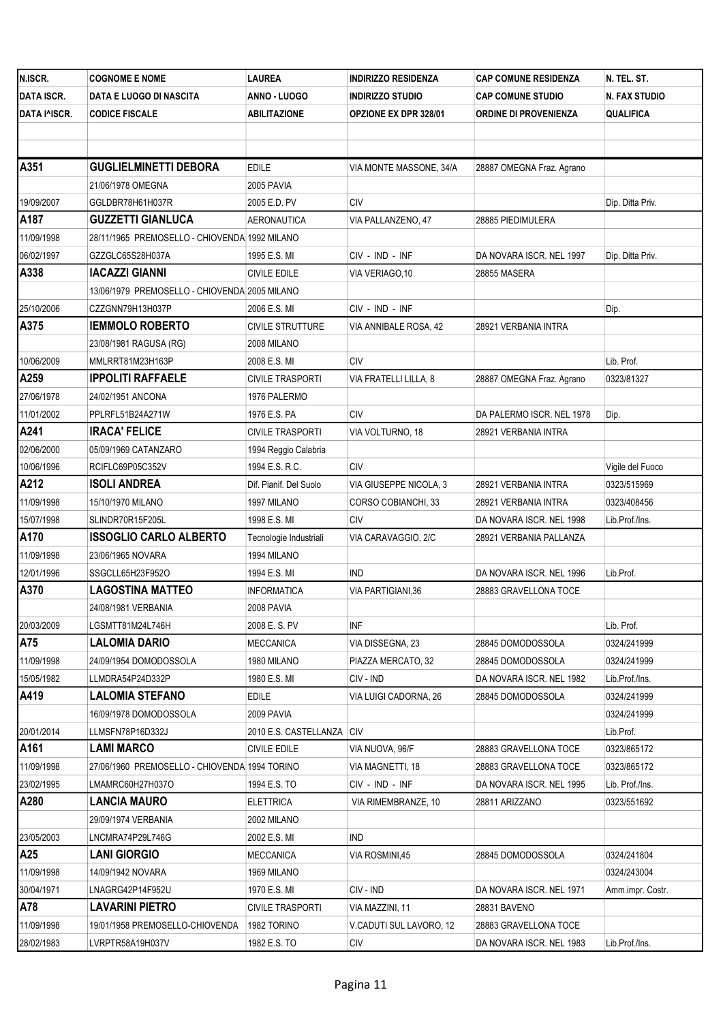| N.ISCR.           | <b>COGNOME E NOME</b>                         | <b>LAUREA</b>               | <b>INDIRIZZO RESIDENZA</b> | <b>CAP COMUNE RESIDENZA</b>  | N. TEL. ST.      |
|-------------------|-----------------------------------------------|-----------------------------|----------------------------|------------------------------|------------------|
| <b>DATA ISCR.</b> | DATA E LUOGO DI NASCITA                       | ANNO - LUOGO                | <b>INDIRIZZO STUDIO</b>    | <b>CAP COMUNE STUDIO</b>     | N. FAX STUDIO    |
| DATA I^ISCR.      | <b>CODICE FISCALE</b>                         | <b>ABILITAZIONE</b>         | OPZIONE EX DPR 328/01      | <b>ORDINE DI PROVENIENZA</b> | <b>QUALIFICA</b> |
|                   |                                               |                             |                            |                              |                  |
|                   |                                               |                             |                            |                              |                  |
| A351              | <b>GUGLIELMINETTI DEBORA</b>                  | <b>EDILE</b>                | VIA MONTE MASSONE, 34/A    | 28887 OMEGNA Fraz. Agrano    |                  |
|                   | 21/06/1978 OMEGNA                             | 2005 PAVIA                  |                            |                              |                  |
| 19/09/2007        | GGLDBR78H61H037R                              | 2005 E.D. PV                | <b>CIV</b>                 |                              | Dip. Ditta Priv. |
| A187              | <b>GUZZETTI GIANLUCA</b>                      | AERONAUTICA                 | VIA PALLANZENO, 47         | 28885 PIEDIMULERA            |                  |
| 11/09/1998        | 28/11/1965 PREMOSELLO - CHIOVENDA 1992 MILANO |                             |                            |                              |                  |
| 06/02/1997        | GZZGLC65S28H037A                              | 1995 E.S. MI                | CIV - IND - INF            | DA NOVARA ISCR. NEL 1997     | Dip. Ditta Priv. |
| A338              | <b>IACAZZI GIANNI</b>                         | <b>CIVILE EDILE</b>         | VIA VERIAGO, 10            | 28855 MASERA                 |                  |
|                   | 13/06/1979 PREMOSELLO - CHIOVENDA 2005 MILANO |                             |                            |                              |                  |
| 25/10/2006        | CZZGNN79H13H037P                              | 2006 E.S. MI                | CIV - IND - INF            |                              | Dip.             |
| A375              | <b>IEMMOLO ROBERTO</b>                        | <b>CIVILE STRUTTURE</b>     | VIA ANNIBALE ROSA, 42      | 28921 VERBANIA INTRA         |                  |
|                   | 23/08/1981 RAGUSA (RG)                        | 2008 MILANO                 |                            |                              |                  |
| 10/06/2009        | MMLRRT81M23H163P                              | 2008 E.S. MI                | <b>CIV</b>                 |                              | Lib. Prof.       |
| A259              | <b>IPPOLITI RAFFAELE</b>                      | <b>CIVILE TRASPORTI</b>     | VIA FRATELLI LILLA, 8      | 28887 OMEGNA Fraz. Agrano    | 0323/81327       |
| 27/06/1978        | 24/02/1951 ANCONA                             | 1976 PALERMO                |                            |                              |                  |
| 11/01/2002        | PPLRFL51B24A271W                              | 1976 E.S. PA                | <b>CIV</b>                 | DA PALERMO ISCR. NEL 1978    | Dip.             |
| A241              | <b>IRACA' FELICE</b>                          | <b>CIVILE TRASPORTI</b>     | VIA VOLTURNO, 18           | 28921 VERBANIA INTRA         |                  |
| 02/06/2000        | 05/09/1969 CATANZARO                          | 1994 Reggio Calabria        |                            |                              |                  |
| 10/06/1996        | RCIFLC69P05C352V                              | 1994 E.S. R.C.              | <b>CIV</b>                 |                              | Vigile del Fuoco |
| A212              | <b>ISOLI ANDREA</b>                           | Dif. Pianif. Del Suolo      | VIA GIUSEPPE NICOLA, 3     | 28921 VERBANIA INTRA         | 0323/515969      |
| 11/09/1998        | 15/10/1970 MILANO                             | 1997 MILANO                 | CORSO COBIANCHI, 33        | 28921 VERBANIA INTRA         | 0323/408456      |
| 15/07/1998        | SLINDR70R15F205L                              | 1998 E.S. MI                | <b>CIV</b>                 | DA NOVARA ISCR. NEL 1998     | Lib.Prof./Ins.   |
| A170              | <b>ISSOGLIO CARLO ALBERTO</b>                 | Tecnologie Industriali      | VIA CARAVAGGIO, 2/C        | 28921 VERBANIA PALLANZA      |                  |
| 11/09/1998        | 23/06/1965 NOVARA                             | 1994 MILANO                 |                            |                              |                  |
| 12/01/1996        | SSGCLL65H23F952O                              | 1994 E.S. MI                | <b>IND</b>                 | DA NOVARA ISCR. NEL 1996     | Lib.Prof.        |
| A370              | <b>LAGOSTINA MATTEO</b>                       | <b>INFORMATICA</b>          | VIA PARTIGIANI, 36         | 28883 GRAVELLONA TOCE        |                  |
|                   | 24/08/1981 VERBANIA                           | 2008 PAVIA                  |                            |                              |                  |
| 20/03/2009        | LGSMTT81M24L746H                              | 2008 E.S. PV                | INF                        |                              | Lib. Prof.       |
| A75               | <b>LALOMIA DARIO</b>                          | <b>MECCANICA</b>            | VIA DISSEGNA, 23           | 28845 DOMODOSSOLA            | 0324/241999      |
| 11/09/1998        | 24/09/1954 DOMODOSSOLA                        | 1980 MILANO                 | PIAZZA MERCATO, 32         | 28845 DOMODOSSOLA            | 0324/241999      |
| 15/05/1982        | LLMDRA54P24D332P                              | 1980 E.S. MI                | CIV - IND                  | DA NOVARA ISCR. NEL 1982     | Lib.Prof./Ins.   |
| A419              | <b>LALOMIA STEFANO</b>                        | <b>EDILE</b>                | VIA LUIGI CADORNA, 26      | 28845 DOMODOSSOLA            | 0324/241999      |
|                   | 16/09/1978 DOMODOSSOLA                        | 2009 PAVIA                  |                            |                              | 0324/241999      |
| 20/01/2014        | LLMSFN78P16D332J                              | 2010 E.S. CASTELLANZA   CIV |                            |                              | Lib.Prof.        |
| A161              | <b>LAMI MARCO</b>                             | <b>CIVILE EDILE</b>         | VIA NUOVA, 96/F            | 28883 GRAVELLONA TOCE        | 0323/865172      |
| 11/09/1998        | 27/06/1960 PREMOSELLO - CHIOVENDA 1994 TORINO |                             | VIA MAGNETTI, 18           | 28883 GRAVELLONA TOCE        | 0323/865172      |
| 23/02/1995        | LMAMRC60H27H037O                              | 1994 E.S. TO                | CIV - IND - INF            | DA NOVARA ISCR. NEL 1995     | Lib. Prof./Ins.  |
| A280              | <b>LANCIA MAURO</b>                           | <b>ELETTRICA</b>            | VIA RIMEMBRANZE, 10        | 28811 ARIZZANO               | 0323/551692      |
|                   | 29/09/1974 VERBANIA                           | 2002 MILANO                 |                            |                              |                  |
| 23/05/2003        | LNCMRA74P29L746G                              | 2002 E.S. MI                | <b>IND</b>                 |                              |                  |
| A25               | <b>LANI GIORGIO</b>                           | <b>MECCANICA</b>            | VIA ROSMINI,45             | 28845 DOMODOSSOLA            | 0324/241804      |
| 11/09/1998        | 14/09/1942 NOVARA                             | 1969 MILANO                 |                            |                              | 0324/243004      |
| 30/04/1971        | LNAGRG42P14F952U                              | 1970 E.S. MI                | CIV - IND                  | DA NOVARA ISCR. NEL 1971     | Amm.impr. Costr. |
| A78               | LAVARINI PIETRO                               | <b>CIVILE TRASPORTI</b>     | VIA MAZZINI, 11            | 28831 BAVENO                 |                  |
| 11/09/1998        | 19/01/1958 PREMOSELLO-CHIOVENDA               | 1982 TORINO                 | V.CADUTI SUL LAVORO, 12    | 28883 GRAVELLONA TOCE        |                  |
| 28/02/1983        | LVRPTR58A19H037V                              | 1982 E.S. TO                | CIV                        | DA NOVARA ISCR. NEL 1983     | Lib.Prof./Ins.   |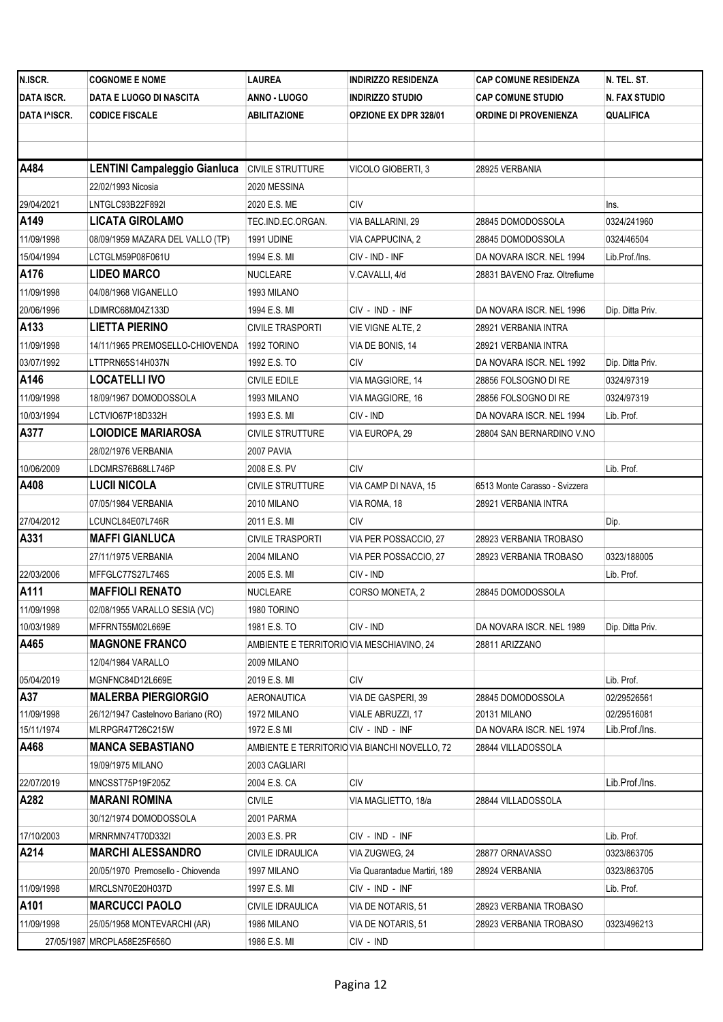| N.ISCR.           | <b>COGNOME E NOME</b>               | LAUREA                                    | <b>INDIRIZZO RESIDENZA</b>                    | <b>CAP COMUNE RESIDENZA</b>   | N. TEL. ST.      |
|-------------------|-------------------------------------|-------------------------------------------|-----------------------------------------------|-------------------------------|------------------|
| <b>DATA ISCR.</b> | DATA E LUOGO DI NASCITA             | ANNO - LUOGO                              | <b>INDIRIZZO STUDIO</b>                       | <b>CAP COMUNE STUDIO</b>      | N. FAX STUDIO    |
| DATA I^ISCR.      | <b>CODICE FISCALE</b>               | ABILITAZIONE                              | <b>OPZIONE EX DPR 328/01</b>                  | <b>ORDINE DI PROVENIENZA</b>  | QUALIFICA        |
|                   |                                     |                                           |                                               |                               |                  |
|                   |                                     |                                           |                                               |                               |                  |
| A484              | <b>LENTINI Campaleggio Gianluca</b> | <b>CIVILE STRUTTURE</b>                   | VICOLO GIOBERTI, 3                            | 28925 VERBANIA                |                  |
|                   | 22/02/1993 Nicosia                  | 2020 MESSINA                              |                                               |                               |                  |
| 29/04/2021        | LNTGLC93B22F892I                    | 2020 E.S. ME                              | CIV                                           |                               | Ins.             |
| A149              | <b>LICATA GIROLAMO</b>              | TEC.IND.EC.ORGAN.                         | VIA BALLARINI, 29                             | 28845 DOMODOSSOLA             | 0324/241960      |
| 11/09/1998        | 08/09/1959 MAZARA DEL VALLO (TP)    | <b>1991 UDINE</b>                         | VIA CAPPUCINA, 2                              | 28845 DOMODOSSOLA             | 0324/46504       |
| 15/04/1994        | LCTGLM59P08F061U                    | 1994 E.S. MI                              | CIV - IND - INF                               | DA NOVARA ISCR. NEL 1994      | Lib.Prof./Ins.   |
| A176              | <b>LIDEO MARCO</b>                  | NUCLEARE                                  | V.CAVALLI, 4/d                                | 28831 BAVENO Fraz. Oltrefiume |                  |
| 11/09/1998        | 04/08/1968 VIGANELLO                | 1993 MILANO                               |                                               |                               |                  |
| 20/06/1996        | LDIMRC68M04Z133D                    | 1994 E.S. MI                              | CIV - IND - INF                               | DA NOVARA ISCR. NEL 1996      | Dip. Ditta Priv. |
| A133              | <b>LIETTA PIERINO</b>               | <b>CIVILE TRASPORTI</b>                   | VIE VIGNE ALTE, 2                             | 28921 VERBANIA INTRA          |                  |
| 11/09/1998        | 14/11/1965 PREMOSELLO-CHIOVENDA     | 1992 TORINO                               | VIA DE BONIS, 14                              | 28921 VERBANIA INTRA          |                  |
| 03/07/1992        | LTTPRN65S14H037N                    | 1992 E.S. TO                              | CIV                                           | DA NOVARA ISCR. NEL 1992      | Dip. Ditta Priv. |
| A146              | <b>LOCATELLI IVO</b>                | CIVILE EDILE                              | VIA MAGGIORE, 14                              | 28856 FOLSOGNO DI RE          | 0324/97319       |
| 11/09/1998        | 18/09/1967 DOMODOSSOLA              | 1993 MILANO                               | VIA MAGGIORE, 16                              | 28856 FOLSOGNO DI RE          | 0324/97319       |
| 10/03/1994        | LCTVIO67P18D332H                    | 1993 E.S. MI                              | CIV - IND                                     | DA NOVARA ISCR. NEL 1994      | Lib. Prof.       |
| A377              | <b>LOIODICE MARIAROSA</b>           | <b>CIVILE STRUTTURE</b>                   | VIA EUROPA, 29                                | 28804 SAN BERNARDINO V.NO     |                  |
|                   | 28/02/1976 VERBANIA                 | 2007 PAVIA                                |                                               |                               |                  |
| 10/06/2009        | LDCMRS76B68LL746P                   | 2008 E.S. PV                              | <b>CIV</b>                                    |                               | Lib. Prof.       |
| A408              | <b>LUCII NICOLA</b>                 | <b>CIVILE STRUTTURE</b>                   | VIA CAMP DI NAVA, 15                          | 6513 Monte Carasso - Svizzera |                  |
|                   | 07/05/1984 VERBANIA                 | 2010 MILANO                               | VIA ROMA, 18                                  | 28921 VERBANIA INTRA          |                  |
| 27/04/2012        | LCUNCL84E07L746R                    | 2011 E.S. MI                              | <b>CIV</b>                                    |                               | Dip.             |
| A331              | <b>MAFFI GIANLUCA</b>               | <b>CIVILE TRASPORTI</b>                   | VIA PER POSSACCIO, 27                         | 28923 VERBANIA TROBASO        |                  |
|                   | 27/11/1975 VERBANIA                 | 2004 MILANO                               | VIA PER POSSACCIO, 27                         | 28923 VERBANIA TROBASO        | 0323/188005      |
| 22/03/2006        | MFFGLC77S27L746S                    | 2005 E.S. MI                              | CIV - IND                                     |                               | Lib. Prof.       |
| A111              | <b>MAFFIOLI RENATO</b>              | NUCLEARE                                  | CORSO MONETA, 2                               | 28845 DOMODOSSOLA             |                  |
| 11/09/1998        | 02/08/1955 VARALLO SESIA (VC)       | 1980 TORINO                               |                                               |                               |                  |
| 10/03/1989        | MFFRNT55M02L669E                    | 1981 E.S. TO                              | CIV - IND                                     | DA NOVARA ISCR. NEL 1989      | Dip. Ditta Priv. |
| A465              | <b>MAGNONE FRANCO</b>               | AMBIENTE E TERRITORIO VIA MESCHIAVINO, 24 |                                               | 28811 ARIZZANO                |                  |
|                   | 12/04/1984 VARALLO                  | 2009 MILANO                               |                                               |                               |                  |
| 05/04/2019        | MGNFNC84D12L669E                    | 2019 E.S. MI                              | <b>CIV</b>                                    |                               | Lib. Prof.       |
| A37               | <b>MALERBA PIERGIORGIO</b>          | AERONAUTICA                               | VIA DE GASPERI, 39                            | 28845 DOMODOSSOLA             | 02/29526561      |
| 11/09/1998        | 26/12/1947 Castelnovo Bariano (RO)  | 1972 MILANO                               | VIALE ABRUZZI, 17                             | 20131 MILANO                  | 02/29516081      |
| 15/11/1974        | MLRPGR47T26C215W                    | 1972 E.S MI                               | CIV - IND - INF                               | DA NOVARA ISCR. NEL 1974      | Lib.Prof./Ins.   |
| A468              | <b>MANCA SEBASTIANO</b>             |                                           | AMBIENTE E TERRITORIO VIA BIANCHI NOVELLO, 72 | 28844 VILLADOSSOLA            |                  |
|                   | 19/09/1975 MILANO                   | 2003 CAGLIARI                             |                                               |                               |                  |
| 22/07/2019        | MNCSST75P19F205Z                    | 2004 E.S. CA                              | <b>CIV</b>                                    |                               | Lib.Prof./Ins.   |
| A282              | <b>MARANI ROMINA</b>                | <b>CIVILE</b>                             | VIA MAGLIETTO, 18/a                           | 28844 VILLADOSSOLA            |                  |
|                   | 30/12/1974 DOMODOSSOLA              | 2001 PARMA                                |                                               |                               |                  |
| 17/10/2003        | MRNRMN74T70D332I                    | 2003 E.S. PR                              | CIV - IND - INF                               |                               | Lib. Prof.       |
| A214              | <b>MARCHI ALESSANDRO</b>            | CIVILE IDRAULICA                          | VIA ZUGWEG, 24                                | 28877 ORNAVASSO               | 0323/863705      |
|                   | 20/05/1970 Premosello - Chiovenda   | 1997 MILANO                               | Via Quarantadue Martiri, 189                  | 28924 VERBANIA                | 0323/863705      |
| 11/09/1998        | MRCLSN70E20H037D                    | 1997 E.S. MI                              | CIV - IND - INF                               |                               | Lib. Prof.       |
| A101              | <b>MARCUCCI PAOLO</b>               | CIVILE IDRAULICA                          | VIA DE NOTARIS, 51                            | 28923 VERBANIA TROBASO        |                  |
| 11/09/1998        | 25/05/1958 MONTEVARCHI (AR)         | 1986 MILANO                               | VIA DE NOTARIS, 51                            | 28923 VERBANIA TROBASO        | 0323/496213      |
|                   | 27/05/1987 MRCPLA58E25F656O         | 1986 E.S. MI                              | CIV - IND                                     |                               |                  |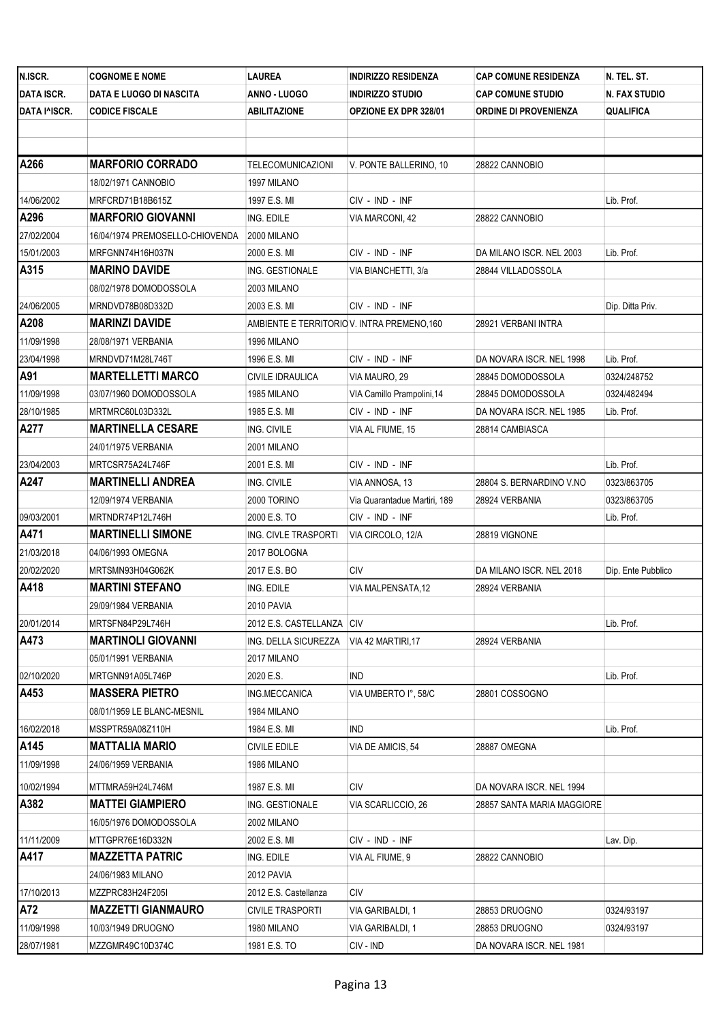| N.ISCR.           | <b>COGNOME E NOME</b>           | LAUREA                                      | <b>INDIRIZZO RESIDENZA</b>   | CAP COMUNE RESIDENZA       | N. TEL. ST.        |
|-------------------|---------------------------------|---------------------------------------------|------------------------------|----------------------------|--------------------|
| <b>DATA ISCR.</b> | DATA E LUOGO DI NASCITA         | ANNO - LUOGO                                | INDIRIZZO STUDIO             | <b>CAP COMUNE STUDIO</b>   | N. FAX STUDIO      |
| DATA I^ISCR.      | <b>CODICE FISCALE</b>           | <b>ABILITAZIONE</b>                         | <b>OPZIONE EX DPR 328/01</b> | ORDINE DI PROVENIENZA      | QUALIFICA          |
|                   |                                 |                                             |                              |                            |                    |
|                   |                                 |                                             |                              |                            |                    |
| A266              | <b>MARFORIO CORRADO</b>         | TELECOMUNICAZIONI                           | V. PONTE BALLERINO, 10       | 28822 CANNOBIO             |                    |
|                   | 18/02/1971 CANNOBIO             | 1997 MILANO                                 |                              |                            |                    |
| 14/06/2002        | MRFCRD71B18B615Z                | 1997 E.S. MI                                | CIV - IND - INF              |                            | Lib. Prof.         |
| A296              | <b>MARFORIO GIOVANNI</b>        | ING. EDILE                                  | VIA MARCONI, 42              | 28822 CANNOBIO             |                    |
| 27/02/2004        | 16/04/1974 PREMOSELLO-CHIOVENDA | 2000 MILANO                                 |                              |                            |                    |
| 15/01/2003        | MRFGNN74H16H037N                | 2000 E.S. MI                                | CIV - IND - INF              | DA MILANO ISCR. NEL 2003   | Lib. Prof.         |
| A315              | <b>MARINO DAVIDE</b>            | ING. GESTIONALE                             | VIA BIANCHETTI, 3/a          | 28844 VILLADOSSOLA         |                    |
|                   | 08/02/1978 DOMODOSSOLA          | 2003 MILANO                                 |                              |                            |                    |
| 24/06/2005        | MRNDVD78B08D332D                | 2003 E.S. MI                                | CIV - IND - INF              |                            | Dip. Ditta Priv.   |
| A208              | <b>MARINZI DAVIDE</b>           | AMBIENTE E TERRITORIO V. INTRA PREMENO, 160 |                              | 28921 VERBANI INTRA        |                    |
| 11/09/1998        | 28/08/1971 VERBANIA             | 1996 MILANO                                 |                              |                            |                    |
| 23/04/1998        | MRNDVD71M28L746T                | 1996 E.S. MI                                | CIV - IND - INF              | DA NOVARA ISCR. NEL 1998   | Lib. Prof.         |
| A91               | <b>MARTELLETTI MARCO</b>        | <b>CIVILE IDRAULICA</b>                     | VIA MAURO, 29                | 28845 DOMODOSSOLA          | 0324/248752        |
| 11/09/1998        | 03/07/1960 DOMODOSSOLA          | 1985 MILANO                                 | VIA Camillo Prampolini, 14   | 28845 DOMODOSSOLA          | 0324/482494        |
| 28/10/1985        | MRTMRC60L03D332L                | 1985 E.S. MI                                | CIV - IND - INF              | DA NOVARA ISCR. NEL 1985   | Lib. Prof.         |
| A277              | <b>MARTINELLA CESARE</b>        | ING. CIVILE                                 | VIA AL FIUME, 15             | 28814 CAMBIASCA            |                    |
|                   | 24/01/1975 VERBANIA             | 2001 MILANO                                 |                              |                            |                    |
| 23/04/2003        | MRTCSR75A24L746F                | 2001 E.S. MI                                | CIV - IND - INF              |                            | Lib. Prof.         |
| A247              | <b>MARTINELLI ANDREA</b>        | ING. CIVILE                                 | VIA ANNOSA, 13               | 28804 S. BERNARDINO V.NO   | 0323/863705        |
|                   | 12/09/1974 VERBANIA             | 2000 TORINO                                 | Via Quarantadue Martiri, 189 | 28924 VERBANIA             | 0323/863705        |
| 09/03/2001        | MRTNDR74P12L746H                | 2000 E.S. TO                                | CIV - IND - INF              |                            | Lib. Prof.         |
| A471              | <b>MARTINELLI SIMONE</b>        | ING. CIVLE TRASPORTI                        | VIA CIRCOLO, 12/A            | 28819 VIGNONE              |                    |
| 21/03/2018        | 04/06/1993 OMEGNA               | 2017 BOLOGNA                                |                              |                            |                    |
| 20/02/2020        | MRTSMN93H04G062K                | 2017 E.S. BO                                | СIV                          | DA MILANO ISCR. NEL 2018   | Dip. Ente Pubblico |
| A418              | <b>MARTINI STEFANO</b>          | ING. EDILE                                  | VIA MALPENSATA, 12           | 28924 VERBANIA             |                    |
|                   | 29/09/1984 VERBANIA             | 2010 PAVIA                                  |                              |                            |                    |
| 20/01/2014        | MRTSFN84P29L746H                | 2012 E.S. CASTELLANZA   CIV                 |                              |                            | Lib. Prof.         |
| A473              | <b>MARTINOLI GIOVANNI</b>       | ING. DELLA SICUREZZA                        | VIA 42 MARTIRI, 17           | 28924 VERBANIA             |                    |
|                   | 05/01/1991 VERBANIA             | 2017 MILANO                                 |                              |                            |                    |
| 02/10/2020        | MRTGNN91A05L746P                | 2020 E.S.                                   | <b>IND</b>                   |                            | Lib. Prof.         |
| A453              | <b>MASSERA PIETRO</b>           | ING.MECCANICA                               | VIA UMBERTO I°, 58/C         | 28801 COSSOGNO             |                    |
|                   | 08/01/1959 LE BLANC-MESNIL      | 1984 MILANO                                 |                              |                            |                    |
| 16/02/2018        | MSSPTR59A08Z110H                | 1984 E.S. MI                                | ind                          |                            | Lib. Prof.         |
| A145              | <b>MATTALIA MARIO</b>           | <b>CIVILE EDILE</b>                         | VIA DE AMICIS, 54            | 28887 OMEGNA               |                    |
| 11/09/1998        | 24/06/1959 VERBANIA             | 1986 MILANO                                 |                              |                            |                    |
| 10/02/1994        | MTTMRA59H24L746M                | 1987 E.S. MI                                | CIV                          | DA NOVARA ISCR. NEL 1994   |                    |
| A382              | <b>MATTEI GIAMPIERO</b>         | ING. GESTIONALE                             | VIA SCARLICCIO, 26           | 28857 SANTA MARIA MAGGIORE |                    |
|                   | 16/05/1976 DOMODOSSOLA          | 2002 MILANO                                 |                              |                            |                    |
| 11/11/2009        | MTTGPR76E16D332N                | 2002 E.S. MI                                | CIV - IND - INF              |                            | Lav. Dip.          |
| A417              | <b>MAZZETTA PATRIC</b>          | ING. EDILE                                  | VIA AL FIUME, 9              | 28822 CANNOBIO             |                    |
|                   | 24/06/1983 MILANO               | 2012 PAVIA                                  |                              |                            |                    |
| 17/10/2013        | MZZPRC83H24F205I                | 2012 E.S. Castellanza                       | CIV                          |                            |                    |
| A72               | <b>MAZZETTI GIANMAURO</b>       | <b>CIVILE TRASPORTI</b>                     | VIA GARIBALDI, 1             | 28853 DRUOGNO              | 0324/93197         |
| 11/09/1998        | 10/03/1949 DRUOGNO              | 1980 MILANO                                 | VIA GARIBALDI, 1             | 28853 DRUOGNO              | 0324/93197         |
| 28/07/1981        | MZZGMR49C10D374C                | 1981 E.S. TO                                | CIV - IND                    | DA NOVARA ISCR. NEL 1981   |                    |
|                   |                                 |                                             |                              |                            |                    |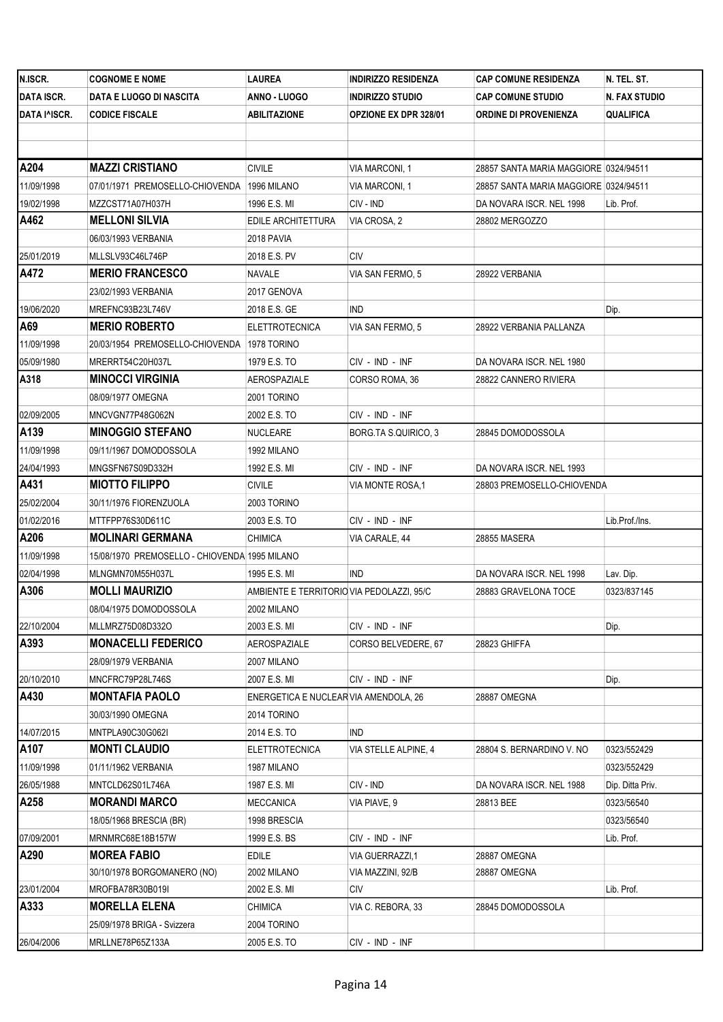| N.ISCR.           | <b>COGNOME E NOME</b>                         | LAUREA                                    | <b>INDIRIZZO RESIDENZA</b>   | <b>CAP COMUNE RESIDENZA</b>           | N. TEL. ST.      |
|-------------------|-----------------------------------------------|-------------------------------------------|------------------------------|---------------------------------------|------------------|
| <b>DATA ISCR.</b> | DATA E LUOGO DI NASCITA                       | ANNO - LUOGO                              | <b>INDIRIZZO STUDIO</b>      | <b>CAP COMUNE STUDIO</b>              | N. FAX STUDIO    |
| DATA I^ISCR.      | <b>CODICE FISCALE</b>                         | ABILITAZIONE                              | <b>OPZIONE EX DPR 328/01</b> | ORDINE DI PROVENIENZA                 | QUALIFICA        |
|                   |                                               |                                           |                              |                                       |                  |
|                   |                                               |                                           |                              |                                       |                  |
| A204              | <b>MAZZI CRISTIANO</b>                        | <b>CIVILE</b>                             | VIA MARCONI, 1               | 28857 SANTA MARIA MAGGIORE 0324/94511 |                  |
| 11/09/1998        | 07/01/1971 PREMOSELLO-CHIOVENDA               | 1996 MILANO                               | VIA MARCONI, 1               | 28857 SANTA MARIA MAGGIORE 0324/94511 |                  |
| 19/02/1998        | MZZCST71A07H037H                              | 1996 E.S. MI                              | CIV - IND                    | DA NOVARA ISCR. NEL 1998              | Lib. Prof.       |
| A462              | <b>MELLONI SILVIA</b>                         | EDILE ARCHITETTURA                        | VIA CROSA, 2                 | 28802 MERGOZZO                        |                  |
|                   | 06/03/1993 VERBANIA                           | 2018 PAVIA                                |                              |                                       |                  |
| 25/01/2019        | MLLSLV93C46L746P                              | 2018 E.S. PV                              | CIV                          |                                       |                  |
| A472              | <b>MERIO FRANCESCO</b>                        | NAVALE                                    | VIA SAN FERMO, 5             | 28922 VERBANIA                        |                  |
|                   | 23/02/1993 VERBANIA                           | 2017 GENOVA                               |                              |                                       |                  |
| 19/06/2020        | MREFNC93B23L746V                              | 2018 E.S. GE                              | <b>IND</b>                   |                                       | Dip.             |
| A69               | <b>MERIO ROBERTO</b>                          | <b>ELETTROTECNICA</b>                     | VIA SAN FERMO, 5             | 28922 VERBANIA PALLANZA               |                  |
| 11/09/1998        | 20/03/1954 PREMOSELLO-CHIOVENDA   1978 TORINO |                                           |                              |                                       |                  |
| 05/09/1980        | MRERRT54C20H037L                              | 1979 E.S. TO                              | CIV - IND - INF              | DA NOVARA ISCR. NEL 1980              |                  |
| A318              | <b>MINOCCI VIRGINIA</b>                       | <b>AEROSPAZIALE</b>                       | CORSO ROMA, 36               | 28822 CANNERO RIVIERA                 |                  |
|                   | 08/09/1977 OMEGNA                             | 2001 TORINO                               |                              |                                       |                  |
| 02/09/2005        | MNCVGN77P48G062N                              | 2002 E.S. TO                              | CIV - IND - INF              |                                       |                  |
| A139              | <b>MINOGGIO STEFANO</b>                       | NUCLEARE                                  | BORG TA S QUIRICO, 3         | 28845 DOMODOSSOLA                     |                  |
| 11/09/1998        | 09/11/1967 DOMODOSSOLA                        | 1992 MILANO                               |                              |                                       |                  |
| 24/04/1993        | MNGSFN67S09D332H                              | 1992 E.S. MI                              | CIV - IND - INF              | DA NOVARA ISCR. NEL 1993              |                  |
| A431              | <b>MIOTTO FILIPPO</b>                         | CIVILE                                    | VIA MONTE ROSA,1             | 28803 PREMOSELLO-CHIOVENDA            |                  |
| 25/02/2004        | 30/11/1976 FIORENZUOLA                        | 2003 TORINO                               |                              |                                       |                  |
| 01/02/2016        | MTTFPP76S30D611C                              | 2003 E.S. TO                              | CIV - IND - INF              |                                       | Lib.Prof./Ins.   |
| A206              | <b>MOLINARI GERMANA</b>                       | <b>CHIMICA</b>                            | VIA CARALE, 44               | 28855 MASERA                          |                  |
| 11/09/1998        | 15/08/1970 PREMOSELLO - CHIOVENDA 1995 MILANO |                                           |                              |                                       |                  |
| 02/04/1998        | MLNGMN70M55H037L                              | 1995 E.S. MI                              | IND.                         | DA NOVARA ISCR. NEL 1998              | Lav. Dip.        |
| A306              | <b>MOLLI MAURIZIO</b>                         | AMBIENTE E TERRITORIO VIA PEDOLAZZI, 95/C |                              | 28883 GRAVELONA TOCE                  | 0323/837145      |
|                   | 08/04/1975 DOMODOSSOLA                        | 2002 MILANO                               |                              |                                       |                  |
| 22/10/2004        | MLLMRZ75D08D332O                              | 2003 E.S. MI                              | CIV - IND - INF              |                                       | Dip.             |
| A393              | <b>MONACELLI FEDERICO</b>                     | AEROSPAZIALE                              | CORSO BELVEDERE, 67          | 28823 GHIFFA                          |                  |
|                   | 28/09/1979 VERBANIA                           | 2007 MILANO                               |                              |                                       |                  |
| 20/10/2010        | MNCFRC79P28L746S                              | 2007 E.S. MI                              | CIV - IND - INF              |                                       | Dip.             |
| A430              | <b>MONTAFIA PAOLO</b>                         | ENERGETICA E NUCLEAR VIA AMENDOLA, 26     |                              | 28887 OMEGNA                          |                  |
|                   | 30/03/1990 OMEGNA                             | 2014 TORINO                               |                              |                                       |                  |
| 14/07/2015        | MNTPLA90C30G062I                              | 2014 E.S. TO                              | IND                          |                                       |                  |
| A107              | <b>MONTI CLAUDIO</b>                          | <b>ELETTROTECNICA</b>                     | VIA STELLE ALPINE, 4         | 28804 S. BERNARDINO V. NO             | 0323/552429      |
| 11/09/1998        | 01/11/1962 VERBANIA                           | 1987 MILANO                               |                              |                                       | 0323/552429      |
| 26/05/1988        | MNTCLD62S01L746A                              | 1987 E.S. MI                              | CIV - IND                    | DA NOVARA ISCR. NEL 1988              | Dip. Ditta Priv. |
| A258              | <b>MORANDI MARCO</b>                          | MECCANICA                                 | VIA PIAVE, 9                 | 28813 BEE                             | 0323/56540       |
|                   | 18/05/1968 BRESCIA (BR)                       | 1998 BRESCIA                              |                              |                                       | 0323/56540       |
| 07/09/2001        | MRNMRC68E18B157W                              | 1999 E.S. BS                              | CIV - IND - INF              |                                       | Lib. Prof.       |
| A290              | <b>MOREA FABIO</b>                            | <b>EDILE</b>                              | VIA GUERRAZZI,1              | 28887 OMEGNA                          |                  |
|                   | 30/10/1978 BORGOMANERO (NO)                   | 2002 MILANO                               | VIA MAZZINI, 92/B            | 28887 OMEGNA                          |                  |
| 23/01/2004        | MROFBA78R30B019I                              | 2002 E.S. MI                              | CIV                          |                                       | Lib. Prof.       |
| A333              | <b>MORELLA ELENA</b>                          | CHIMICA                                   | VIA C. REBORA, 33            | 28845 DOMODOSSOLA                     |                  |
|                   | 25/09/1978 BRIGA - Svizzera                   | 2004 TORINO                               |                              |                                       |                  |
| 26/04/2006        | MRLLNE78P65Z133A                              | 2005 E.S. TO                              | CIV - IND - INF              |                                       |                  |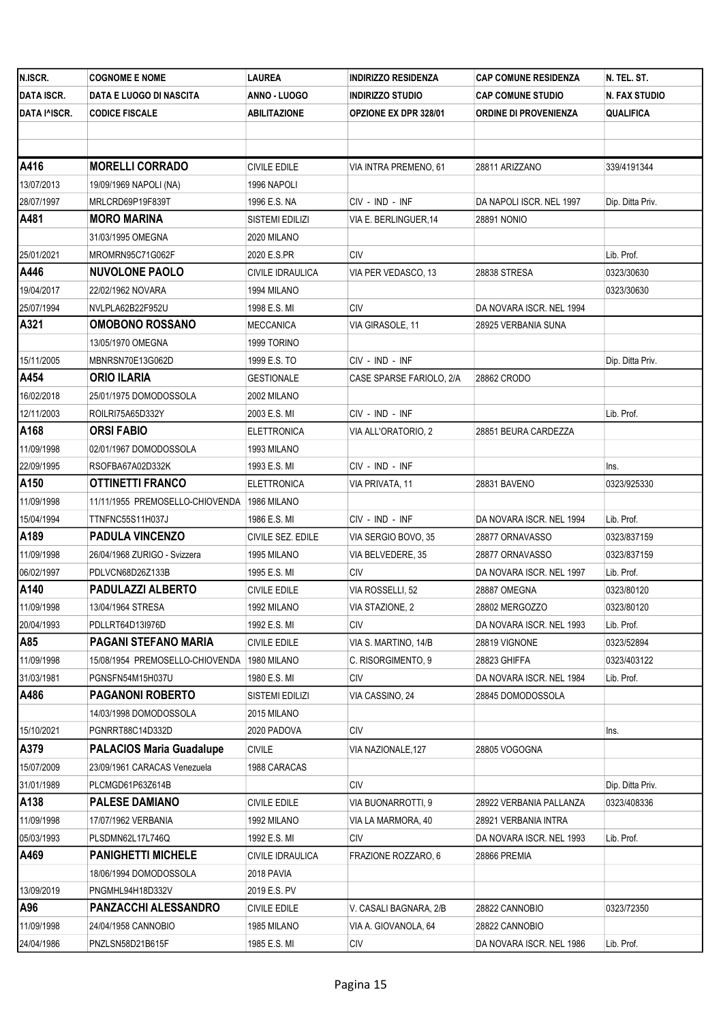| <b>DATA ISCR.</b><br>ANNO - LUOGO<br>N. FAX STUDIO<br>DATA E LUOGO DI NASCITA<br><b>INDIRIZZO STUDIO</b><br><b>CAP COMUNE STUDIO</b><br><b>CODICE FISCALE</b><br>ABILITAZIONE<br><b>OPZIONE EX DPR 328/01</b><br>ORDINE DI PROVENIENZA<br>QUALIFICA<br>A416<br><b>MORELLI CORRADO</b><br><b>CIVILE EDILE</b><br>VIA INTRA PREMENO, 61<br>28811 ARIZZANO<br>339/4191344<br>13/07/2013<br>19/09/1969 NAPOLI (NA)<br>1996 NAPOLI<br>28/07/1997<br>MRLCRD69P19F839T<br>CIV - IND - INF<br>DA NAPOLI ISCR. NEL 1997<br>1996 E.S. NA<br>Dip. Ditta Priv.<br>A481<br><b>MORO MARINA</b><br>SISTEMI EDILIZI<br>VIA E. BERLINGUER, 14<br><b>28891 NONIO</b><br>31/03/1995 OMEGNA<br>2020 MILANO<br><b>CIV</b><br>Lib. Prof.<br>MROMRN95C71G062F<br>2020 E.S.PR<br>A446<br><b>NUVOLONE PAOLO</b><br>CIVILE IDRAULICA<br>VIA PER VEDASCO, 13<br>28838 STRESA<br>0323/30630<br>19/04/2017<br>22/02/1962 NOVARA<br>1994 MILANO<br>0323/30630<br>NVLPLA62B22F952U<br><b>CIV</b><br>DA NOVARA ISCR. NEL 1994<br>1998 E.S. MI<br>A321<br><b>OMOBONO ROSSANO</b><br>VIA GIRASOLE, 11<br>MECCANICA<br>28925 VERBANIA SUNA<br>13/05/1970 OMEGNA<br>1999 TORINO<br>15/11/2005<br>MBNRSN70E13G062D<br>CIV - IND - INF<br>1999 E.S. TO<br>Dip. Ditta Priv.<br>A454<br><b>ORIO ILARIA</b><br><b>GESTIONALE</b><br>CASE SPARSE FARIOLO, 2/A<br>28862 CRODO<br>16/02/2018<br>25/01/1975 DOMODOSSOLA<br>2002 MILANO<br>ROILRI75A65D332Y<br>2003 E.S. MI<br>CIV - IND - INF<br>Lib. Prof.<br><b>ORSI FABIO</b><br>VIA ALL'ORATORIO, 2<br>28851 BEURA CARDEZZA<br>ELETTRONICA<br>11/09/1998<br>02/01/1967 DOMODOSSOLA<br>1993 MILANO<br>RSOFBA67A02D332K<br>1993 E.S. MI<br>CIV - IND - INF<br>Ins.<br>A150<br><b>OTTINETTI FRANCO</b><br>28831 BAVENO<br>0323/925330<br>ELETTRONICA<br>VIA PRIVATA, 11<br>11/09/1998<br>11/11/1955 PREMOSELLO-CHIOVENDA<br>1986 MILANO |
|---------------------------------------------------------------------------------------------------------------------------------------------------------------------------------------------------------------------------------------------------------------------------------------------------------------------------------------------------------------------------------------------------------------------------------------------------------------------------------------------------------------------------------------------------------------------------------------------------------------------------------------------------------------------------------------------------------------------------------------------------------------------------------------------------------------------------------------------------------------------------------------------------------------------------------------------------------------------------------------------------------------------------------------------------------------------------------------------------------------------------------------------------------------------------------------------------------------------------------------------------------------------------------------------------------------------------------------------------------------------------------------------------------------------------------------------------------------------------------------------------------------------------------------------------------------------------------------------------------------------------------------------------------------------------------------------------------------------------------------------------------------------------------------------------------------------------------------------|
| DATA I^ISCR.<br>25/01/2021<br>25/07/1994<br>12/11/2003<br>A168<br>22/09/1995                                                                                                                                                                                                                                                                                                                                                                                                                                                                                                                                                                                                                                                                                                                                                                                                                                                                                                                                                                                                                                                                                                                                                                                                                                                                                                                                                                                                                                                                                                                                                                                                                                                                                                                                                                |
|                                                                                                                                                                                                                                                                                                                                                                                                                                                                                                                                                                                                                                                                                                                                                                                                                                                                                                                                                                                                                                                                                                                                                                                                                                                                                                                                                                                                                                                                                                                                                                                                                                                                                                                                                                                                                                             |
|                                                                                                                                                                                                                                                                                                                                                                                                                                                                                                                                                                                                                                                                                                                                                                                                                                                                                                                                                                                                                                                                                                                                                                                                                                                                                                                                                                                                                                                                                                                                                                                                                                                                                                                                                                                                                                             |
|                                                                                                                                                                                                                                                                                                                                                                                                                                                                                                                                                                                                                                                                                                                                                                                                                                                                                                                                                                                                                                                                                                                                                                                                                                                                                                                                                                                                                                                                                                                                                                                                                                                                                                                                                                                                                                             |
|                                                                                                                                                                                                                                                                                                                                                                                                                                                                                                                                                                                                                                                                                                                                                                                                                                                                                                                                                                                                                                                                                                                                                                                                                                                                                                                                                                                                                                                                                                                                                                                                                                                                                                                                                                                                                                             |
|                                                                                                                                                                                                                                                                                                                                                                                                                                                                                                                                                                                                                                                                                                                                                                                                                                                                                                                                                                                                                                                                                                                                                                                                                                                                                                                                                                                                                                                                                                                                                                                                                                                                                                                                                                                                                                             |
|                                                                                                                                                                                                                                                                                                                                                                                                                                                                                                                                                                                                                                                                                                                                                                                                                                                                                                                                                                                                                                                                                                                                                                                                                                                                                                                                                                                                                                                                                                                                                                                                                                                                                                                                                                                                                                             |
|                                                                                                                                                                                                                                                                                                                                                                                                                                                                                                                                                                                                                                                                                                                                                                                                                                                                                                                                                                                                                                                                                                                                                                                                                                                                                                                                                                                                                                                                                                                                                                                                                                                                                                                                                                                                                                             |
|                                                                                                                                                                                                                                                                                                                                                                                                                                                                                                                                                                                                                                                                                                                                                                                                                                                                                                                                                                                                                                                                                                                                                                                                                                                                                                                                                                                                                                                                                                                                                                                                                                                                                                                                                                                                                                             |
|                                                                                                                                                                                                                                                                                                                                                                                                                                                                                                                                                                                                                                                                                                                                                                                                                                                                                                                                                                                                                                                                                                                                                                                                                                                                                                                                                                                                                                                                                                                                                                                                                                                                                                                                                                                                                                             |
|                                                                                                                                                                                                                                                                                                                                                                                                                                                                                                                                                                                                                                                                                                                                                                                                                                                                                                                                                                                                                                                                                                                                                                                                                                                                                                                                                                                                                                                                                                                                                                                                                                                                                                                                                                                                                                             |
|                                                                                                                                                                                                                                                                                                                                                                                                                                                                                                                                                                                                                                                                                                                                                                                                                                                                                                                                                                                                                                                                                                                                                                                                                                                                                                                                                                                                                                                                                                                                                                                                                                                                                                                                                                                                                                             |
|                                                                                                                                                                                                                                                                                                                                                                                                                                                                                                                                                                                                                                                                                                                                                                                                                                                                                                                                                                                                                                                                                                                                                                                                                                                                                                                                                                                                                                                                                                                                                                                                                                                                                                                                                                                                                                             |
|                                                                                                                                                                                                                                                                                                                                                                                                                                                                                                                                                                                                                                                                                                                                                                                                                                                                                                                                                                                                                                                                                                                                                                                                                                                                                                                                                                                                                                                                                                                                                                                                                                                                                                                                                                                                                                             |
|                                                                                                                                                                                                                                                                                                                                                                                                                                                                                                                                                                                                                                                                                                                                                                                                                                                                                                                                                                                                                                                                                                                                                                                                                                                                                                                                                                                                                                                                                                                                                                                                                                                                                                                                                                                                                                             |
|                                                                                                                                                                                                                                                                                                                                                                                                                                                                                                                                                                                                                                                                                                                                                                                                                                                                                                                                                                                                                                                                                                                                                                                                                                                                                                                                                                                                                                                                                                                                                                                                                                                                                                                                                                                                                                             |
|                                                                                                                                                                                                                                                                                                                                                                                                                                                                                                                                                                                                                                                                                                                                                                                                                                                                                                                                                                                                                                                                                                                                                                                                                                                                                                                                                                                                                                                                                                                                                                                                                                                                                                                                                                                                                                             |
|                                                                                                                                                                                                                                                                                                                                                                                                                                                                                                                                                                                                                                                                                                                                                                                                                                                                                                                                                                                                                                                                                                                                                                                                                                                                                                                                                                                                                                                                                                                                                                                                                                                                                                                                                                                                                                             |
|                                                                                                                                                                                                                                                                                                                                                                                                                                                                                                                                                                                                                                                                                                                                                                                                                                                                                                                                                                                                                                                                                                                                                                                                                                                                                                                                                                                                                                                                                                                                                                                                                                                                                                                                                                                                                                             |
|                                                                                                                                                                                                                                                                                                                                                                                                                                                                                                                                                                                                                                                                                                                                                                                                                                                                                                                                                                                                                                                                                                                                                                                                                                                                                                                                                                                                                                                                                                                                                                                                                                                                                                                                                                                                                                             |
|                                                                                                                                                                                                                                                                                                                                                                                                                                                                                                                                                                                                                                                                                                                                                                                                                                                                                                                                                                                                                                                                                                                                                                                                                                                                                                                                                                                                                                                                                                                                                                                                                                                                                                                                                                                                                                             |
|                                                                                                                                                                                                                                                                                                                                                                                                                                                                                                                                                                                                                                                                                                                                                                                                                                                                                                                                                                                                                                                                                                                                                                                                                                                                                                                                                                                                                                                                                                                                                                                                                                                                                                                                                                                                                                             |
|                                                                                                                                                                                                                                                                                                                                                                                                                                                                                                                                                                                                                                                                                                                                                                                                                                                                                                                                                                                                                                                                                                                                                                                                                                                                                                                                                                                                                                                                                                                                                                                                                                                                                                                                                                                                                                             |
|                                                                                                                                                                                                                                                                                                                                                                                                                                                                                                                                                                                                                                                                                                                                                                                                                                                                                                                                                                                                                                                                                                                                                                                                                                                                                                                                                                                                                                                                                                                                                                                                                                                                                                                                                                                                                                             |
| 15/04/1994<br>CIV - IND - INF<br>DA NOVARA ISCR. NEL 1994<br>Lib. Prof.<br>TTNFNC55S11H037J<br>1986 E.S. MI                                                                                                                                                                                                                                                                                                                                                                                                                                                                                                                                                                                                                                                                                                                                                                                                                                                                                                                                                                                                                                                                                                                                                                                                                                                                                                                                                                                                                                                                                                                                                                                                                                                                                                                                 |
| A189<br><b>PADULA VINCENZO</b><br>CIVILE SEZ. EDILE<br>VIA SERGIO BOVO, 35<br>28877 ORNAVASSO<br>0323/837159                                                                                                                                                                                                                                                                                                                                                                                                                                                                                                                                                                                                                                                                                                                                                                                                                                                                                                                                                                                                                                                                                                                                                                                                                                                                                                                                                                                                                                                                                                                                                                                                                                                                                                                                |
| 11/09/1998<br>26/04/1968 ZURIGO - Svizzera<br>1995 MILANO<br>VIA BELVEDERE, 35<br>28877 ORNAVASSO<br>0323/837159                                                                                                                                                                                                                                                                                                                                                                                                                                                                                                                                                                                                                                                                                                                                                                                                                                                                                                                                                                                                                                                                                                                                                                                                                                                                                                                                                                                                                                                                                                                                                                                                                                                                                                                            |
| 06/02/1997<br>CIV<br>DA NOVARA ISCR. NEL 1997<br>PDLVCN68D26Z133B<br>1995 E.S. MI<br>Lib. Prof.                                                                                                                                                                                                                                                                                                                                                                                                                                                                                                                                                                                                                                                                                                                                                                                                                                                                                                                                                                                                                                                                                                                                                                                                                                                                                                                                                                                                                                                                                                                                                                                                                                                                                                                                             |
| A140<br><b>PADULAZZI ALBERTO</b><br>CIVILE EDILE<br>VIA ROSSELLI, 52<br>28887 OMEGNA<br>0323/80120                                                                                                                                                                                                                                                                                                                                                                                                                                                                                                                                                                                                                                                                                                                                                                                                                                                                                                                                                                                                                                                                                                                                                                                                                                                                                                                                                                                                                                                                                                                                                                                                                                                                                                                                          |
| 11/09/1998<br>1992 MILANO<br>0323/80120<br>13/04/1964 STRESA<br>VIA STAZIONE, 2<br>28802 MERGOZZO                                                                                                                                                                                                                                                                                                                                                                                                                                                                                                                                                                                                                                                                                                                                                                                                                                                                                                                                                                                                                                                                                                                                                                                                                                                                                                                                                                                                                                                                                                                                                                                                                                                                                                                                           |
| 20/04/1993<br>1992 E.S. MI<br>CIV<br>DA NOVARA ISCR. NEL 1993<br>Lib. Prof.<br>PDLLRT64D13I976D                                                                                                                                                                                                                                                                                                                                                                                                                                                                                                                                                                                                                                                                                                                                                                                                                                                                                                                                                                                                                                                                                                                                                                                                                                                                                                                                                                                                                                                                                                                                                                                                                                                                                                                                             |
| A85<br>PAGANI STEFANO MARIA<br>VIA S. MARTINO, 14/B<br><b>CIVILE EDILE</b><br>28819 VIGNONE<br>0323/52894                                                                                                                                                                                                                                                                                                                                                                                                                                                                                                                                                                                                                                                                                                                                                                                                                                                                                                                                                                                                                                                                                                                                                                                                                                                                                                                                                                                                                                                                                                                                                                                                                                                                                                                                   |
| 11/09/1998<br>15/08/1954 PREMOSELLO-CHIOVENDA<br>C. RISORGIMENTO, 9<br>28823 GHIFFA<br>0323/403122<br>1980 MILANO                                                                                                                                                                                                                                                                                                                                                                                                                                                                                                                                                                                                                                                                                                                                                                                                                                                                                                                                                                                                                                                                                                                                                                                                                                                                                                                                                                                                                                                                                                                                                                                                                                                                                                                           |
| 31/03/1981<br><b>CIV</b><br>DA NOVARA ISCR. NEL 1984<br>PGNSFN54M15H037U<br>1980 E.S. MI<br>Lib. Prof.                                                                                                                                                                                                                                                                                                                                                                                                                                                                                                                                                                                                                                                                                                                                                                                                                                                                                                                                                                                                                                                                                                                                                                                                                                                                                                                                                                                                                                                                                                                                                                                                                                                                                                                                      |
| A486<br><b>PAGANONI ROBERTO</b><br>VIA CASSINO, 24<br>SISTEMI EDILIZI<br>28845 DOMODOSSOLA                                                                                                                                                                                                                                                                                                                                                                                                                                                                                                                                                                                                                                                                                                                                                                                                                                                                                                                                                                                                                                                                                                                                                                                                                                                                                                                                                                                                                                                                                                                                                                                                                                                                                                                                                  |
| 14/03/1998 DOMODOSSOLA<br>2015 MILANO                                                                                                                                                                                                                                                                                                                                                                                                                                                                                                                                                                                                                                                                                                                                                                                                                                                                                                                                                                                                                                                                                                                                                                                                                                                                                                                                                                                                                                                                                                                                                                                                                                                                                                                                                                                                       |
| 15/10/2021<br>PGNRRT88C14D332D<br>CIV<br>2020 PADOVA<br>lns.                                                                                                                                                                                                                                                                                                                                                                                                                                                                                                                                                                                                                                                                                                                                                                                                                                                                                                                                                                                                                                                                                                                                                                                                                                                                                                                                                                                                                                                                                                                                                                                                                                                                                                                                                                                |
| A379<br><b>PALACIOS Maria Guadalupe</b><br><b>CIVILE</b><br>VIA NAZIONALE, 127<br>28805 VOGOGNA                                                                                                                                                                                                                                                                                                                                                                                                                                                                                                                                                                                                                                                                                                                                                                                                                                                                                                                                                                                                                                                                                                                                                                                                                                                                                                                                                                                                                                                                                                                                                                                                                                                                                                                                             |
| 15/07/2009<br>23/09/1961 CARACAS Venezuela<br>1988 CARACAS                                                                                                                                                                                                                                                                                                                                                                                                                                                                                                                                                                                                                                                                                                                                                                                                                                                                                                                                                                                                                                                                                                                                                                                                                                                                                                                                                                                                                                                                                                                                                                                                                                                                                                                                                                                  |
| 31/01/1989<br>PLCMGD61P63Z614B<br>CIV<br>Dip. Ditta Priv.                                                                                                                                                                                                                                                                                                                                                                                                                                                                                                                                                                                                                                                                                                                                                                                                                                                                                                                                                                                                                                                                                                                                                                                                                                                                                                                                                                                                                                                                                                                                                                                                                                                                                                                                                                                   |
| A138<br><b>PALESE DAMIANO</b><br><b>CIVILE EDILE</b><br>VIA BUONARROTTI, 9<br>28922 VERBANIA PALLANZA<br>0323/408336                                                                                                                                                                                                                                                                                                                                                                                                                                                                                                                                                                                                                                                                                                                                                                                                                                                                                                                                                                                                                                                                                                                                                                                                                                                                                                                                                                                                                                                                                                                                                                                                                                                                                                                        |
| 11/09/1998<br>17/07/1962 VERBANIA<br>VIA LA MARMORA, 40<br>1992 MILANO<br>28921 VERBANIA INTRA                                                                                                                                                                                                                                                                                                                                                                                                                                                                                                                                                                                                                                                                                                                                                                                                                                                                                                                                                                                                                                                                                                                                                                                                                                                                                                                                                                                                                                                                                                                                                                                                                                                                                                                                              |
| 05/03/1993<br><b>CIV</b><br>1992 E.S. MI<br>Lib. Prof.<br>PLSDMN62L17L746Q<br>DA NOVARA ISCR. NEL 1993                                                                                                                                                                                                                                                                                                                                                                                                                                                                                                                                                                                                                                                                                                                                                                                                                                                                                                                                                                                                                                                                                                                                                                                                                                                                                                                                                                                                                                                                                                                                                                                                                                                                                                                                      |
| A469<br><b>PANIGHETTI MICHELE</b><br>CIVILE IDRAULICA<br>FRAZIONE ROZZARO, 6<br>28866 PREMIA                                                                                                                                                                                                                                                                                                                                                                                                                                                                                                                                                                                                                                                                                                                                                                                                                                                                                                                                                                                                                                                                                                                                                                                                                                                                                                                                                                                                                                                                                                                                                                                                                                                                                                                                                |
| 18/06/1994 DOMODOSSOLA<br>2018 PAVIA                                                                                                                                                                                                                                                                                                                                                                                                                                                                                                                                                                                                                                                                                                                                                                                                                                                                                                                                                                                                                                                                                                                                                                                                                                                                                                                                                                                                                                                                                                                                                                                                                                                                                                                                                                                                        |
| 13/09/2019<br>PNGMHL94H18D332V<br>2019 E.S. PV                                                                                                                                                                                                                                                                                                                                                                                                                                                                                                                                                                                                                                                                                                                                                                                                                                                                                                                                                                                                                                                                                                                                                                                                                                                                                                                                                                                                                                                                                                                                                                                                                                                                                                                                                                                              |
| A96<br><b>PANZACCHI ALESSANDRO</b><br><b>CIVILE EDILE</b><br>V. CASALI BAGNARA, 2/B<br>28822 CANNOBIO<br>0323/72350                                                                                                                                                                                                                                                                                                                                                                                                                                                                                                                                                                                                                                                                                                                                                                                                                                                                                                                                                                                                                                                                                                                                                                                                                                                                                                                                                                                                                                                                                                                                                                                                                                                                                                                         |
| 11/09/1998<br>24/04/1958 CANNOBIO<br>1985 MILANO<br>VIA A. GIOVANOLA, 64<br>28822 CANNOBIO                                                                                                                                                                                                                                                                                                                                                                                                                                                                                                                                                                                                                                                                                                                                                                                                                                                                                                                                                                                                                                                                                                                                                                                                                                                                                                                                                                                                                                                                                                                                                                                                                                                                                                                                                  |
| 24/04/1986<br>PNZLSN58D21B615F<br><b>CIV</b><br>1985 E.S. MI<br>DA NOVARA ISCR. NEL 1986<br>Lib. Prof.                                                                                                                                                                                                                                                                                                                                                                                                                                                                                                                                                                                                                                                                                                                                                                                                                                                                                                                                                                                                                                                                                                                                                                                                                                                                                                                                                                                                                                                                                                                                                                                                                                                                                                                                      |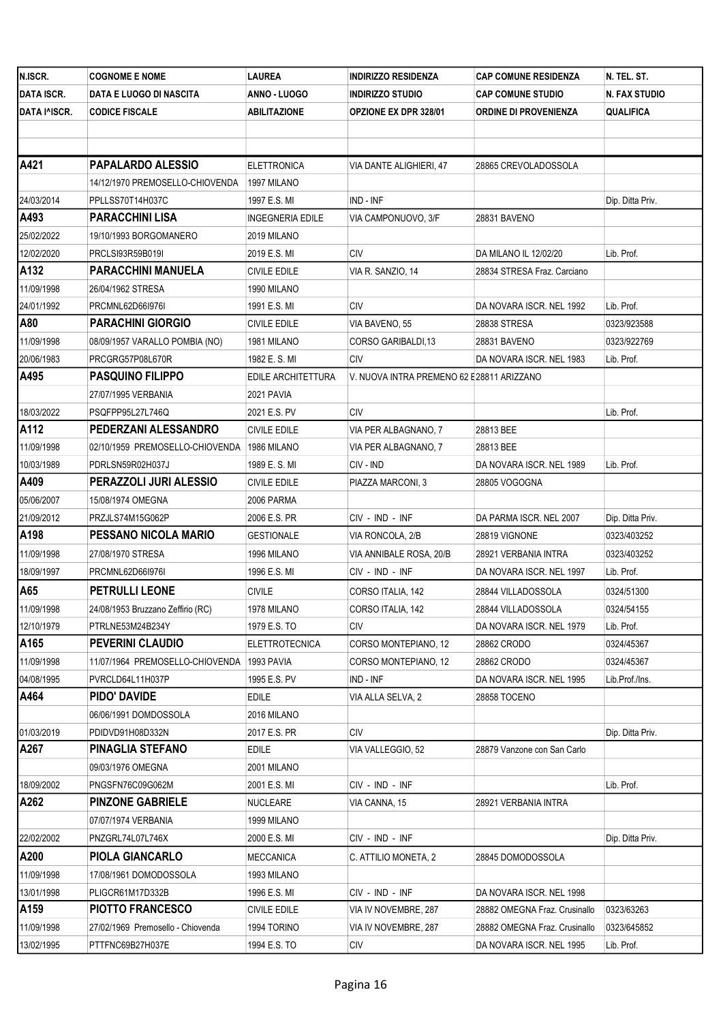| N.ISCR.           | <b>COGNOME E NOME</b>                      | LAUREA                  | <b>INDIRIZZO RESIDENZA</b>                 | <b>CAP COMUNE RESIDENZA</b>   | N. TEL. ST.      |
|-------------------|--------------------------------------------|-------------------------|--------------------------------------------|-------------------------------|------------------|
| <b>DATA ISCR.</b> | DATA E LUOGO DI NASCITA                    | ANNO - LUOGO            | <b>INDIRIZZO STUDIO</b>                    | <b>CAP COMUNE STUDIO</b>      | N. FAX STUDIO    |
| DATA I^ISCR.      | <b>CODICE FISCALE</b>                      | ABILITAZIONE            | <b>OPZIONE EX DPR 328/01</b>               | <b>ORDINE DI PROVENIENZA</b>  | QUALIFICA        |
|                   |                                            |                         |                                            |                               |                  |
|                   |                                            |                         |                                            |                               |                  |
| A421              | PAPALARDO ALESSIO                          | <b>ELETTRONICA</b>      | VIA DANTE ALIGHIERI, 47                    | 28865 CREVOLADOSSOLA          |                  |
|                   | 14/12/1970 PREMOSELLO-CHIOVENDA            | 1997 MILANO             |                                            |                               |                  |
| 24/03/2014        | PPLLSS70T14H037C                           | 1997 E.S. MI            | IND - INF                                  |                               | Dip. Ditta Priv. |
| A493              | <b>PARACCHINI LISA</b>                     | <b>INGEGNERIA EDILE</b> | VIA CAMPONUOVO, 3/F                        | 28831 BAVENO                  |                  |
| 25/02/2022        | 19/10/1993 BORGOMANERO                     | 2019 MILANO             |                                            |                               |                  |
| 12/02/2020        | PRCLSI93R59B019I                           | 2019 E.S. MI            | <b>CIV</b>                                 | DA MILANO IL 12/02/20         | Lib. Prof.       |
| A132              | <b>PARACCHINI MANUELA</b>                  | CIVILE EDILE            | VIA R. SANZIO, 14                          | 28834 STRESA Fraz. Carciano   |                  |
| 11/09/1998        | 26/04/1962 STRESA                          | 1990 MILANO             |                                            |                               |                  |
| 24/01/1992        | PRCMNL62D661976I                           | 1991 E.S. MI            | <b>CIV</b>                                 | DA NOVARA ISCR. NEL 1992      | Lib. Prof.       |
| A80               | <b>PARACHINI GIORGIO</b>                   | CIVILE EDILE            | VIA BAVENO, 55                             | 28838 STRESA                  | 0323/923588      |
| 11/09/1998        | 08/09/1957 VARALLO POMBIA (NO)             | 1981 MILANO             | CORSO GARIBALDI,13                         | 28831 BAVENO                  | 0323/922769      |
| 20/06/1983        | PRCGRG57P08L670R                           | 1982 E.S.MI             | <b>CIV</b>                                 | DA NOVARA ISCR. NEL 1983      | Lib. Prof.       |
| A495              | <b>PASQUINO FILIPPO</b>                    | EDILE ARCHITETTURA      | V. NUOVA INTRA PREMENO 62 E 28811 ARIZZANO |                               |                  |
|                   | 27/07/1995 VERBANIA                        | 2021 PAVIA              |                                            |                               |                  |
| 18/03/2022        | PSQFPP95L27L746Q                           | 2021 E.S. PV            | CIV                                        |                               | Lib. Prof.       |
| A112              | PEDERZANI ALESSANDRO                       | CIVILE EDILE            | VIA PER ALBAGNANO, 7                       | 28813 BEE                     |                  |
| 11/09/1998        | 02/10/1959 PREMOSELLO-CHIOVENDA            | 1986 MILANO             | VIA PER ALBAGNANO, 7                       | 28813 BEE                     |                  |
| 10/03/1989        | PDRLSN59R02H037J                           | 1989 E.S.MI             | CIV - IND                                  | DA NOVARA ISCR. NEL 1989      | Lib. Prof.       |
| A409              | PERAZZOLI JURI ALESSIO                     | CIVILE EDILE            | PIAZZA MARCONI, 3                          | 28805 VOGOGNA                 |                  |
| 05/06/2007        | 15/08/1974 OMEGNA                          | 2006 PARMA              |                                            |                               |                  |
| 21/09/2012        | PRZJLS74M15G062P                           | 2006 E.S. PR            | CIV - IND - INF                            | DA PARMA ISCR. NEL 2007       | Dip. Ditta Priv. |
| A198              | PESSANO NICOLA MARIO                       | <b>GESTIONALE</b>       | VIA RONCOLA, 2/B                           | 28819 VIGNONE                 | 0323/403252      |
| 11/09/1998        | 27/08/1970 STRESA                          | 1996 MILANO             | VIA ANNIBALE ROSA, 20/B                    | 28921 VERBANIA INTRA          | 0323/403252      |
| 18/09/1997        | PRCMNL62D661976I                           | 1996 E.S. MI            | CIV - IND - INF                            | DA NOVARA ISCR. NEL 1997      | Lib. Prof.       |
| A65               | PETRULLI LEONE                             | <b>CIVILE</b>           | CORSO ITALIA, 142                          | 28844 VILLADOSSOLA            | 0324/51300       |
| 11/09/1998        | 24/08/1953 Bruzzano Zeffirio (RC)          | 1978 MILANO             | CORSO ITALIA, 142                          | 28844 VILLADOSSOLA            | 0324/54155       |
| 12/10/1979        | PTRLNE53M24B234Y                           | 1979 E.S. TO            | <b>CIV</b>                                 | DA NOVARA ISCR. NEL 1979      | Lib. Prof.       |
| A165              | PEVERINI CLAUDIO                           | <b>ELETTROTECNICA</b>   | CORSO MONTEPIANO, 12                       | 28862 CRODO                   | 0324/45367       |
| 11/09/1998        | 11/07/1964 PREMOSELLO-CHIOVENDA 1993 PAVIA |                         | CORSO MONTEPIANO, 12                       | 28862 CRODO                   | 0324/45367       |
| 04/08/1995        | PVRCLD64L11H037P                           | 1995 E.S. PV            | IND - INF                                  | DA NOVARA ISCR. NEL 1995      | Lib.Prof./Ins.   |
| A464              | PIDO' DAVIDE                               | EDILE                   | VIA ALLA SELVA, 2                          | 28858 TOCENO                  |                  |
|                   | 06/06/1991 DOMDOSSOLA                      | 2016 MILANO             |                                            |                               |                  |
| 01/03/2019        | PDIDVD91H08D332N                           | 2017 E.S. PR            | CIV                                        |                               | Dip. Ditta Priv. |
| A267              | <b>PINAGLIA STEFANO</b>                    | EDILE                   | VIA VALLEGGIO, 52                          | 28879 Vanzone con San Carlo   |                  |
|                   | 09/03/1976 OMEGNA                          | 2001 MILANO             |                                            |                               |                  |
| 18/09/2002        | PNGSFN76C09G062M                           | 2001 E.S. MI            | CIV - IND - INF                            |                               | Lib. Prof.       |
| A262              | <b>PINZONE GABRIELE</b>                    | NUCLEARE                | VIA CANNA, 15                              | 28921 VERBANIA INTRA          |                  |
|                   | 07/07/1974 VERBANIA                        | 1999 MILANO             |                                            |                               |                  |
| 22/02/2002        | PNZGRL74L07L746X                           | 2000 E.S. MI            | CIV - IND - INF                            |                               | Dip. Ditta Priv. |
| A200              | PIOLA GIANCARLO                            | MECCANICA               | C. ATTILIO MONETA, 2                       | 28845 DOMODOSSOLA             |                  |
| 11/09/1998        | 17/08/1961 DOMODOSSOLA                     | 1993 MILANO             |                                            |                               |                  |
| 13/01/1998        | PLIGCR61M17D332B                           | 1996 E.S. MI            | CIV - IND - INF                            | DA NOVARA ISCR. NEL 1998      |                  |
| A159              | <b>PIOTTO FRANCESCO</b>                    | CIVILE EDILE            | VIA IV NOVEMBRE, 287                       | 28882 OMEGNA Fraz. Crusinallo | 0323/63263       |
| 11/09/1998        | 27/02/1969 Premosello - Chiovenda          | 1994 TORINO             | VIA IV NOVEMBRE, 287                       | 28882 OMEGNA Fraz. Crusinallo | 0323/645852      |
| 13/02/1995        | PTTFNC69B27H037E                           | 1994 E.S. TO            | <b>CIV</b>                                 | DA NOVARA ISCR. NEL 1995      | Lib. Prof.       |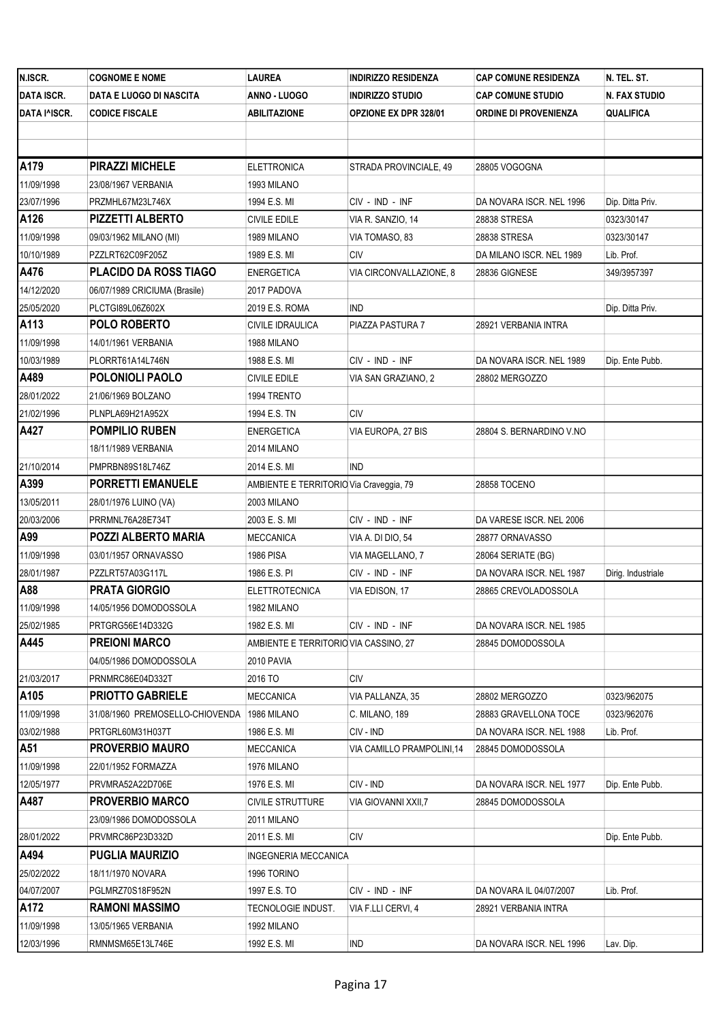| N.ISCR.           | <b>COGNOME E NOME</b>           | LAUREA                                  | <b>INDIRIZZO RESIDENZA</b>   | <b>CAP COMUNE RESIDENZA</b>  | N. TEL. ST.          |
|-------------------|---------------------------------|-----------------------------------------|------------------------------|------------------------------|----------------------|
| <b>DATA ISCR.</b> | DATA E LUOGO DI NASCITA         | ANNO - LUOGO                            | <b>INDIRIZZO STUDIO</b>      | <b>CAP COMUNE STUDIO</b>     | <b>N. FAX STUDIO</b> |
| DATA I^ISCR.      | <b>CODICE FISCALE</b>           | ABILITAZIONE                            | <b>OPZIONE EX DPR 328/01</b> | <b>ORDINE DI PROVENIENZA</b> | QUALIFICA            |
|                   |                                 |                                         |                              |                              |                      |
|                   |                                 |                                         |                              |                              |                      |
| A179              | <b>PIRAZZI MICHELE</b>          | <b>ELETTRONICA</b>                      | STRADA PROVINCIALE, 49       | 28805 VOGOGNA                |                      |
| 11/09/1998        | 23/08/1967 VERBANIA             | 1993 MILANO                             |                              |                              |                      |
| 23/07/1996        | PRZMHL67M23L746X                | 1994 E.S. MI                            | CIV - IND - INF              | DA NOVARA ISCR. NEL 1996     | Dip. Ditta Priv.     |
| A126              | <b>PIZZETTI ALBERTO</b>         | CIVILE EDILE                            | VIA R. SANZIO, 14            | 28838 STRESA                 | 0323/30147           |
| 11/09/1998        | 09/03/1962 MILANO (MI)          | 1989 MILANO                             | VIA TOMASO, 83               | 28838 STRESA                 | 0323/30147           |
| 10/10/1989        | PZZLRT62C09F205Z                | 1989 E.S. MI                            | <b>CIV</b>                   | DA MILANO ISCR. NEL 1989     | Lib. Prof.           |
| A476              | <b>PLACIDO DA ROSS TIAGO</b>    | ENERGETICA                              | VIA CIRCONVALLAZIONE, 8      | 28836 GIGNESE                | 349/3957397          |
| 14/12/2020        | 06/07/1989 CRICIUMA (Brasile)   | 2017 PADOVA                             |                              |                              |                      |
| 25/05/2020        | PLCTGI89L06Z602X                | 2019 E.S. ROMA                          | <b>IND</b>                   |                              | Dip. Ditta Priv.     |
| A113              | <b>POLO ROBERTO</b>             | CIVILE IDRAULICA                        | PIAZZA PASTURA 7             | 28921 VERBANIA INTRA         |                      |
| 11/09/1998        | 14/01/1961 VERBANIA             | 1988 MILANO                             |                              |                              |                      |
| 10/03/1989        | PLORRT61A14L746N                | 1988 E.S. MI                            | CIV - IND - INF              | DA NOVARA ISCR. NEL 1989     | Dip. Ente Pubb.      |
| A489              | POLONIOLI PAOLO                 | <b>CIVILE EDILE</b>                     | VIA SAN GRAZIANO, 2          | 28802 MERGOZZO               |                      |
| 28/01/2022        | 21/06/1969 BOLZANO              | 1994 TRENTO                             |                              |                              |                      |
| 21/02/1996        | PLNPLA69H21A952X                | 1994 E.S. TN                            | <b>CIV</b>                   |                              |                      |
| A427              | <b>POMPILIO RUBEN</b>           | <b>ENERGETICA</b>                       | VIA EUROPA, 27 BIS           | 28804 S. BERNARDINO V.NO     |                      |
|                   | 18/11/1989 VERBANIA             | 2014 MILANO                             |                              |                              |                      |
| 21/10/2014        | PMPRBN89S18L746Z                | 2014 E.S. MI                            | <b>IND</b>                   |                              |                      |
| A399              | <b>PORRETTI EMANUELE</b>        | AMBIENTE E TERRITORIO Via Craveggia, 79 |                              | 28858 TOCENO                 |                      |
| 13/05/2011        | 28/01/1976 LUINO (VA)           | 2003 MILANO                             |                              |                              |                      |
| 20/03/2006        | PRRMNL76A28E734T                | 2003 E.S.MI                             | CIV - IND - INF              | DA VARESE ISCR. NEL 2006     |                      |
| A99               | <b>POZZI ALBERTO MARIA</b>      | <b>MECCANICA</b>                        | VIA A. DI DIO, 54            | 28877 ORNAVASSO              |                      |
| 11/09/1998        | 03/01/1957 ORNAVASSO            | 1986 PISA                               | VIA MAGELLANO, 7             | 28064 SERIATE (BG)           |                      |
| 28/01/1987        | PZZLRT57A03G117L                | 1986 E.S. PI                            | CIV - IND - INF              | DA NOVARA ISCR. NEL 1987     | Dirig. Industriale   |
| A88               | <b>PRATA GIORGIO</b>            | ELETTROTECNICA                          | VIA EDISON, 17               | 28865 CREVOLADOSSOLA         |                      |
| 11/09/1998        | 14/05/1956 DOMODOSSOLA          | 1982 MILANO                             |                              |                              |                      |
| 25/02/1985        | PRTGRG56E14D332G                | 1982 E.S. MI                            | CIV - IND - INF              | DA NOVARA ISCR. NEL 1985     |                      |
| A445              | <b>PREIONI MARCO</b>            | AMBIENTE E TERRITORIO VIA CASSINO, 27   |                              | 28845 DOMODOSSOLA            |                      |
|                   | 04/05/1986 DOMODOSSOLA          | 2010 PAVIA                              |                              |                              |                      |
| 21/03/2017        | PRNMRC86E04D332T                | 2016 TO                                 | <b>CIV</b>                   |                              |                      |
| A105              | <b>PRIOTTO GABRIELE</b>         | <b>MECCANICA</b>                        | VIA PALLANZA, 35             | 28802 MERGOZZO               | 0323/962075          |
| 11/09/1998        | 31/08/1960 PREMOSELLO-CHIOVENDA | 1986 MILANO                             | C. MILANO, 189               | 28883 GRAVELLONA TOCE        | 0323/962076          |
| 03/02/1988        | PRTGRL60M31H037T                | 1986 E.S. MI                            | CIV - IND                    | DA NOVARA ISCR. NEL 1988     | Lib. Prof.           |
| A51               | <b>PROVERBIO MAURO</b>          | <b>MECCANICA</b>                        | VIA CAMILLO PRAMPOLINI,14    | 28845 DOMODOSSOLA            |                      |
| 11/09/1998        | 22/01/1952 FORMAZZA             | 1976 MILANO                             |                              |                              |                      |
| 12/05/1977        | PRVMRA52A22D706E                | 1976 E.S. MI                            | CIV - IND                    | DA NOVARA ISCR. NEL 1977     | Dip. Ente Pubb.      |
| A487              | PROVERBIO MARCO                 | <b>CIVILE STRUTTURE</b>                 | VIA GIOVANNI XXII,7          | 28845 DOMODOSSOLA            |                      |
|                   | 23/09/1986 DOMODOSSOLA          | 2011 MILANO                             |                              |                              |                      |
| 28/01/2022        | PRVMRC86P23D332D                | 2011 E.S. MI                            | CIV                          |                              | Dip. Ente Pubb.      |
| A494              | <b>PUGLIA MAURIZIO</b>          | INGEGNERIA MECCANICA                    |                              |                              |                      |
| 25/02/2022        | 18/11/1970 NOVARA               | 1996 TORINO                             |                              |                              |                      |
| 04/07/2007        | PGLMRZ70S18F952N                | 1997 E.S. TO                            | CIV - IND - INF              | DA NOVARA IL 04/07/2007      | Lib. Prof.           |
| A172              | <b>RAMONI MASSIMO</b>           | TECNOLOGIE INDUST.                      | VIA F.LLI CERVI, 4           | 28921 VERBANIA INTRA         |                      |
| 11/09/1998        | 13/05/1965 VERBANIA             | 1992 MILANO                             |                              |                              |                      |
| 12/03/1996        | RMNMSM65E13L746E                | 1992 E.S. MI                            | IND                          | DA NOVARA ISCR. NEL 1996     | Lav. Dip.            |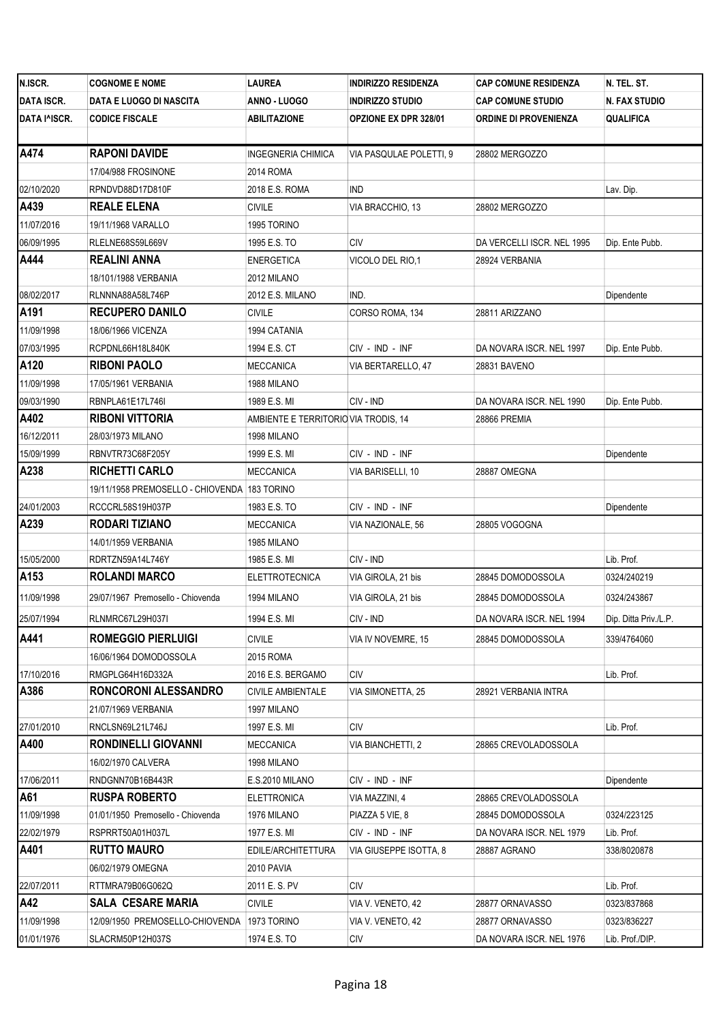| N.ISCR.           | <b>COGNOME E NOME</b>                        | LAUREA                               | INDIRIZZO RESIDENZA          | <b>CAP COMUNE RESIDENZA</b> | N. TEL. ST.           |
|-------------------|----------------------------------------------|--------------------------------------|------------------------------|-----------------------------|-----------------------|
| <b>DATA ISCR.</b> | DATA E LUOGO DI NASCITA                      | ANNO - LUOGO                         | <b>INDIRIZZO STUDIO</b>      | <b>CAP COMUNE STUDIO</b>    | <b>N. FAX STUDIO</b>  |
| DATA I^ISCR.      | <b>CODICE FISCALE</b>                        | <b>ABILITAZIONE</b>                  | <b>OPZIONE EX DPR 328/01</b> | ORDINE DI PROVENIENZA       | QUALIFICA             |
|                   |                                              |                                      |                              |                             |                       |
| A474              | <b>RAPONI DAVIDE</b>                         | <b>INGEGNERIA CHIMICA</b>            | VIA PASQULAE POLETTI, 9      | 28802 MERGOZZO              |                       |
|                   | 17/04/988 FROSINONE                          | 2014 ROMA                            |                              |                             |                       |
| 02/10/2020        | RPNDVD88D17D810F                             | 2018 E.S. ROMA                       | ind                          |                             | Lav. Dip.             |
| A439              | <b>REALE ELENA</b>                           | <b>CIVILE</b>                        | VIA BRACCHIO, 13             | 28802 MERGOZZO              |                       |
| 11/07/2016        | 19/11/1968 VARALLO                           | 1995 TORINO                          |                              |                             |                       |
| 06/09/1995        | RLELNE68S59L669V                             | 1995 E.S. TO                         | СIV                          | DA VERCELLI ISCR. NEL 1995  | Dip. Ente Pubb.       |
| A444              | <b>REALINI ANNA</b>                          | <b>ENERGETICA</b>                    | VICOLO DEL RIO,1             | 28924 VERBANIA              |                       |
|                   | 18/101/1988 VERBANIA                         | 2012 MILANO                          |                              |                             |                       |
| 08/02/2017        | RLNNNA88A58L746P                             | 2012 E.S. MILANO                     | IND.                         |                             | Dipendente            |
| A <sub>191</sub>  | <b>RECUPERO DANILO</b>                       | <b>CIVILE</b>                        | CORSO ROMA, 134              | 28811 ARIZZANO              |                       |
| 11/09/1998        | 18/06/1966 VICENZA                           | 1994 CATANIA                         |                              |                             |                       |
| 07/03/1995        | RCPDNL66H18L840K                             | 1994 E.S. CT                         | CIV - IND - INF              | DA NOVARA ISCR. NEL 1997    | Dip. Ente Pubb.       |
| A120              | <b>RIBONI PAOLO</b>                          | <b>MECCANICA</b>                     | VIA BERTARELLO, 47           | 28831 BAVENO                |                       |
| 11/09/1998        | 17/05/1961 VERBANIA                          | 1988 MILANO                          |                              |                             |                       |
| 09/03/1990        | RBNPLA61E17L746I                             | 1989 E.S. MI                         | CIV - IND                    | DA NOVARA ISCR. NEL 1990    | Dip. Ente Pubb.       |
| A402              | <b>RIBONI VITTORIA</b>                       | AMBIENTE E TERRITORIO VIA TRODIS, 14 |                              | 28866 PREMIA                |                       |
| 16/12/2011        | 28/03/1973 MILANO                            | 1998 MILANO                          |                              |                             |                       |
| 15/09/1999        | RBNVTR73C68F205Y                             | 1999 E.S. MI                         | CIV - IND - INF              |                             | Dipendente            |
| A238              | <b>RICHETTI CARLO</b>                        | <b>MECCANICA</b>                     | VIA BARISELLI, 10            | 28887 OMEGNA                |                       |
|                   | 19/11/1958 PREMOSELLO - CHIOVENDA 183 TORINO |                                      |                              |                             |                       |
| 24/01/2003        | RCCCRL58S19H037P                             | 1983 E.S. TO                         | CIV - IND - INF              |                             | Dipendente            |
| A239              | RODARI TIZIANO                               | MECCANICA                            | VIA NAZIONALE, 56            | 28805 VOGOGNA               |                       |
|                   | 14/01/1959 VERBANIA                          | 1985 MILANO                          |                              |                             |                       |
| 15/05/2000        | RDRTZN59A14L746Y                             | 1985 E.S. MI                         | CIV - IND                    |                             | Lib. Prof.            |
| A153              | <b>ROLANDI MARCO</b>                         | <b>ELETTROTECNICA</b>                | VIA GIROLA, 21 bis           | 28845 DOMODOSSOLA           | 0324/240219           |
| 11/09/1998        | 29/07/1967 Premosello - Chiovenda            | 1994 MILANO                          | VIA GIROLA, 21 bis           | 28845 DOMODOSSOLA           | 0324/243867           |
| 25/07/1994        | RLNMRC67L29H037I                             | 1994 E.S. MI                         | CIV - IND                    | DA NOVARA ISCR. NEL 1994    | Dip. Ditta Priv./L.P. |
| A441              | <b>ROMEGGIO PIERLUIGI</b>                    | <b>CIVILE</b>                        | VIA IV NOVEMRE, 15           | 28845 DOMODOSSOLA           | 339/4764060           |
|                   | 16/06/1964 DOMODOSSOLA                       | 2015 ROMA                            |                              |                             |                       |
| 17/10/2016        | RMGPLG64H16D332A                             | 2016 E.S. BERGAMO                    | СIV                          |                             | Lib. Prof.            |
| A386              | <b>RONCORONI ALESSANDRO</b>                  | CIVILE AMBIENTALE                    | VIA SIMONETTA, 25            | 28921 VERBANIA INTRA        |                       |
|                   | 21/07/1969 VERBANIA                          | 1997 MILANO                          |                              |                             |                       |
| 27/01/2010        | RNCLSN69L21L746J                             | 1997 E.S. MI                         | <b>CIV</b>                   |                             | Lib. Prof.            |
| A400              | <b>RONDINELLI GIOVANNI</b>                   | <b>MECCANICA</b>                     | VIA BIANCHETTI, 2            | 28865 CREVOLADOSSOLA        |                       |
|                   | 16/02/1970 CALVERA                           | 1998 MILANO                          |                              |                             |                       |
| 17/06/2011        | RNDGNN70B16B443R                             | E.S.2010 MILANO                      | CIV - IND - INF              |                             | Dipendente            |
| A61               | <b>RUSPA ROBERTO</b>                         | <b>ELETTRONICA</b>                   | VIA MAZZINI, 4               | 28865 CREVOLADOSSOLA        |                       |
| 11/09/1998        | 01/01/1950 Premosello - Chiovenda            | 1976 MILANO                          | PIAZZA 5 VIE, 8              | 28845 DOMODOSSOLA           | 0324/223125           |
| 22/02/1979        | RSPRRT50A01H037L                             | 1977 E.S. MI                         | CIV - IND - INF              | DA NOVARA ISCR. NEL 1979    | Lib. Prof.            |
| A401              | <b>RUTTO MAURO</b>                           | EDILE/ARCHITETTURA                   | VIA GIUSEPPE ISOTTA, 8       | 28887 AGRANO                | 338/8020878           |
|                   | 06/02/1979 OMEGNA                            | 2010 PAVIA                           |                              |                             |                       |
| 22/07/2011        | RTTMRA79B06G062Q                             | 2011 E.S. PV                         | <b>CIV</b>                   |                             | Lib. Prof.            |
| A42               | <b>SALA CESARE MARIA</b>                     | <b>CIVILE</b>                        | VIA V. VENETO, 42            | 28877 ORNAVASSO             | 0323/837868           |
| 11/09/1998        | 12/09/1950 PREMOSELLO-CHIOVENDA              | 1973 TORINO                          | VIA V. VENETO, 42            | 28877 ORNAVASSO             | 0323/836227           |
| 01/01/1976        | SLACRM50P12H037S                             | 1974 E.S. TO                         | CIV                          | DA NOVARA ISCR. NEL 1976    | Lib. Prof./DIP.       |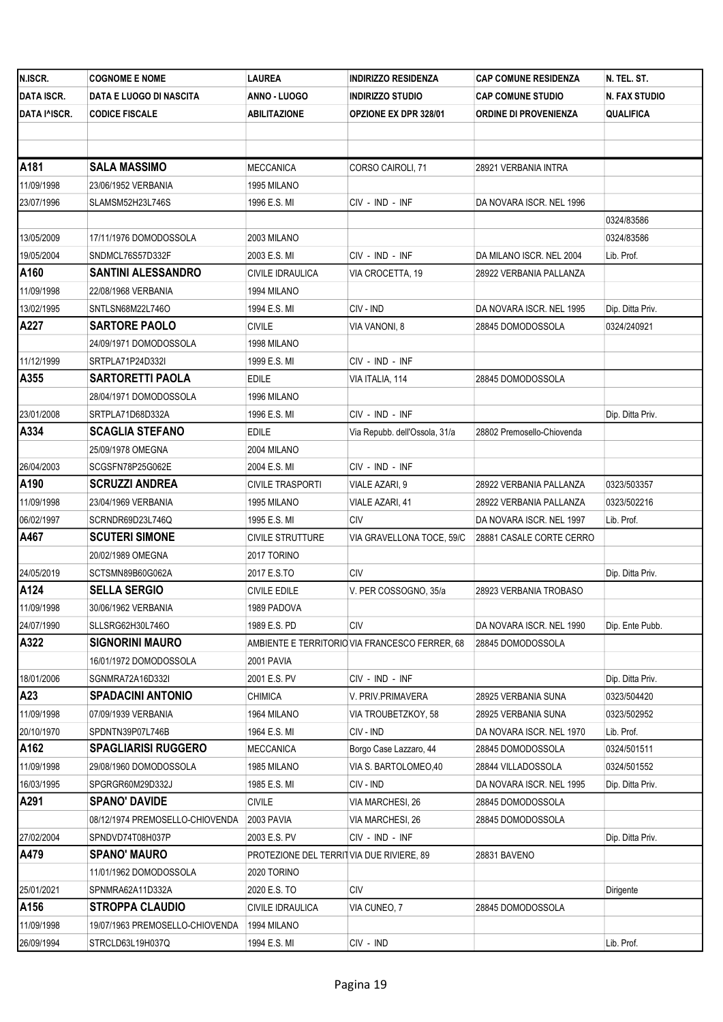| N.ISCR.           | <b>COGNOME E NOME</b>           | LAUREA                                   | <b>INDIRIZZO RESIDENZA</b>                     | <b>CAP COMUNE RESIDENZA</b> | N. TEL. ST.          |
|-------------------|---------------------------------|------------------------------------------|------------------------------------------------|-----------------------------|----------------------|
| <b>DATA ISCR.</b> | DATA E LUOGO DI NASCITA         | ANNO - LUOGO                             | <b>INDIRIZZO STUDIO</b>                        | <b>CAP COMUNE STUDIO</b>    | <b>N. FAX STUDIO</b> |
| DATA I^ISCR.      | <b>CODICE FISCALE</b>           | ABILITAZIONE                             | <b>OPZIONE EX DPR 328/01</b>                   | ORDINE DI PROVENIENZA       | <b>QUALIFICA</b>     |
|                   |                                 |                                          |                                                |                             |                      |
|                   |                                 |                                          |                                                |                             |                      |
| A181              | <b>SALA MASSIMO</b>             | <b>MECCANICA</b>                         | CORSO CAIROLI, 71                              | 28921 VERBANIA INTRA        |                      |
| 11/09/1998        | 23/06/1952 VERBANIA             | 1995 MILANO                              |                                                |                             |                      |
| 23/07/1996        | SLAMSM52H23L746S                | 1996 E.S. MI                             | CIV - IND - INF                                | DA NOVARA ISCR. NEL 1996    |                      |
|                   |                                 |                                          |                                                |                             | 0324/83586           |
| 13/05/2009        | 17/11/1976 DOMODOSSOLA          | 2003 MILANO                              |                                                |                             | 0324/83586           |
| 19/05/2004        | SNDMCL76S57D332F                | 2003 E.S. MI                             | CIV - IND - INF                                | DA MILANO ISCR. NEL 2004    | Lib. Prof.           |
| A160              | <b>SANTINI ALESSANDRO</b>       | CIVILE IDRAULICA                         | VIA CROCETTA, 19                               | 28922 VERBANIA PALLANZA     |                      |
| 11/09/1998        | 22/08/1968 VERBANIA             | 1994 MILANO                              |                                                |                             |                      |
| 13/02/1995        | SNTLSN68M22L746O                | 1994 E.S. MI                             | CIV - IND                                      | DA NOVARA ISCR. NEL 1995    | Dip. Ditta Priv.     |
| A227              | <b>SARTORE PAOLO</b>            | <b>CIVILE</b>                            | VIA VANONI, 8                                  | 28845 DOMODOSSOLA           | 0324/240921          |
|                   | 24/09/1971 DOMODOSSOLA          | 1998 MILANO                              |                                                |                             |                      |
| 11/12/1999        | SRTPLA71P24D332I                | 1999 E.S. MI                             | CIV - IND - INF                                |                             |                      |
| A355              | <b>SARTORETTI PAOLA</b>         | <b>EDILE</b>                             | VIA ITALIA, 114                                | 28845 DOMODOSSOLA           |                      |
|                   | 28/04/1971 DOMODOSSOLA          | 1996 MILANO                              |                                                |                             |                      |
| 23/01/2008        | SRTPLA71D68D332A                | 1996 E.S. MI                             | CIV - IND - INF                                |                             | Dip. Ditta Priv.     |
| A334              | <b>SCAGLIA STEFANO</b>          | EDILE                                    | Via Repubb. dell'Ossola, 31/a                  | 28802 Premosello-Chiovenda  |                      |
|                   | 25/09/1978 OMEGNA               | 2004 MILANO                              |                                                |                             |                      |
| 26/04/2003        | SCGSFN78P25G062E                | 2004 E.S. MI                             | CIV - IND - INF                                |                             |                      |
| A190              | <b>SCRUZZI ANDREA</b>           | <b>CIVILE TRASPORTI</b>                  | VIALE AZARI, 9                                 | 28922 VERBANIA PALLANZA     | 0323/503357          |
| 11/09/1998        | 23/04/1969 VERBANIA             | 1995 MILANO                              | VIALE AZARI, 41                                | 28922 VERBANIA PALLANZA     | 0323/502216          |
| 06/02/1997        | SCRNDR69D23L746Q                | 1995 E.S. MI                             | <b>CIV</b>                                     | DA NOVARA ISCR. NEL 1997    | Lib. Prof.           |
| A467              | <b>SCUTERI SIMONE</b>           | CIVILE STRUTTURE                         | VIA GRAVELLONA TOCE, 59/C                      | 28881 CASALE CORTE CERRO    |                      |
|                   | 20/02/1989 OMEGNA               | 2017 TORINO                              |                                                |                             |                      |
| 24/05/2019        | SCTSMN89B60G062A                | 2017 E.S.TO                              | <b>CIV</b>                                     |                             | Dip. Ditta Priv.     |
| A124              | <b>SELLA SERGIO</b>             | CIVILE EDILE                             | V. PER COSSOGNO, 35/a                          | 28923 VERBANIA TROBASO      |                      |
| 11/09/1998        | 30/06/1962 VERBANIA             | 1989 PADOVA                              |                                                |                             |                      |
| 24/07/1990        | SLLSRG62H30L746O                | 1989 E.S. PD                             | CIV                                            | DA NOVARA ISCR. NEL 1990    | Dip. Ente Pubb.      |
| A322              | <b>SIGNORINI MAURO</b>          |                                          | AMBIENTE E TERRITORIO VIA FRANCESCO FERRER, 68 | 28845 DOMODOSSOLA           |                      |
|                   | 16/01/1972 DOMODOSSOLA          | 2001 PAVIA                               |                                                |                             |                      |
| 18/01/2006        | SGNMRA72A16D332I                | 2001 E.S. PV                             | CIV - IND - INF                                |                             | Dip. Ditta Priv.     |
| A23               | <b>SPADACINI ANTONIO</b>        | CHIMICA                                  | V. PRIV.PRIMAVERA                              | 28925 VERBANIA SUNA         | 0323/504420          |
| 11/09/1998        | 07/09/1939 VERBANIA             | 1964 MILANO                              | VIA TROUBETZKOY, 58                            | 28925 VERBANIA SUNA         | 0323/502952          |
| 20/10/1970        | SPDNTN39P07L746B                | 1964 E.S. MI                             | CIV - IND                                      | DA NOVARA ISCR. NEL 1970    | Lib. Prof.           |
| A162              | <b>SPAGLIARISI RUGGERO</b>      | MECCANICA                                | Borgo Case Lazzaro, 44                         | 28845 DOMODOSSOLA           | 0324/501511          |
| 11/09/1998        | 29/08/1960 DOMODOSSOLA          | 1985 MILANO                              | VIA S. BARTOLOMEO,40                           | 28844 VILLADOSSOLA          | 0324/501552          |
| 16/03/1995        | SPGRGR60M29D332J                | 1985 E.S. MI                             | CIV - IND                                      | DA NOVARA ISCR. NEL 1995    | Dip. Ditta Priv.     |
| A291              | <b>SPANO' DAVIDE</b>            | CIVILE                                   | VIA MARCHESI, 26                               | 28845 DOMODOSSOLA           |                      |
|                   | 08/12/1974 PREMOSELLO-CHIOVENDA | 2003 PAVIA                               | VIA MARCHESI, 26                               | 28845 DOMODOSSOLA           |                      |
| 27/02/2004        | SPNDVD74T08H037P                | 2003 E.S. PV                             | CIV - IND - INF                                |                             | Dip. Ditta Priv.     |
| A479              | <b>SPANO' MAURO</b>             | PROTEZIONE DEL TERRITVIA DUE RIVIERE, 89 |                                                | 28831 BAVENO                |                      |
|                   | 11/01/1962 DOMODOSSOLA          | 2020 TORINO                              |                                                |                             |                      |
| 25/01/2021        | SPNMRA62A11D332A                | 2020 E.S. TO                             | CIV                                            |                             | Dirigente            |
| A156              | <b>STROPPA CLAUDIO</b>          | CIVILE IDRAULICA                         | VIA CUNEO, 7                                   | 28845 DOMODOSSOLA           |                      |
| 11/09/1998        | 19/07/1963 PREMOSELLO-CHIOVENDA | 1994 MILANO                              |                                                |                             |                      |
| 26/09/1994        | STRCLD63L19H037Q                | 1994 E.S. MI                             | CIV - IND                                      |                             | Lib. Prof.           |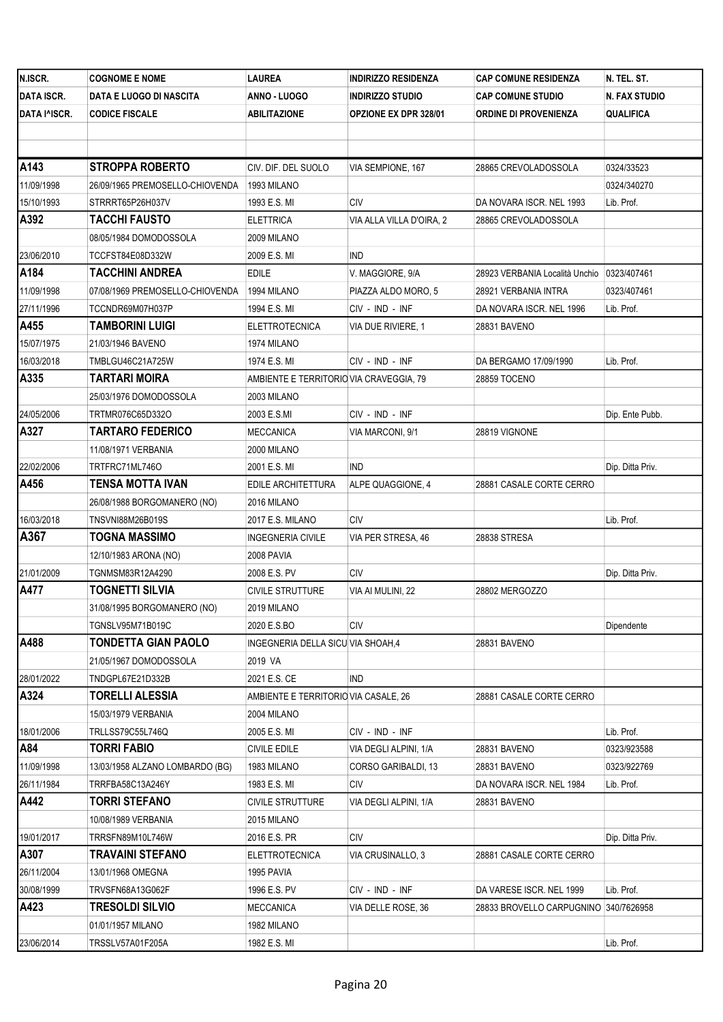| N.ISCR.           | <b>COGNOME E NOME</b>           | LAUREA                                  | <b>INDIRIZZO RESIDENZA</b>   | <b>CAP COMUNE RESIDENZA</b>                  | N. TEL. ST.      |
|-------------------|---------------------------------|-----------------------------------------|------------------------------|----------------------------------------------|------------------|
| <b>DATA ISCR.</b> | DATA E LUOGO DI NASCITA         | ANNO - LUOGO                            | <b>INDIRIZZO STUDIO</b>      | <b>CAP COMUNE STUDIO</b>                     | N. FAX STUDIO    |
| DATA I^ISCR.      | <b>CODICE FISCALE</b>           | ABILITAZIONE                            | <b>OPZIONE EX DPR 328/01</b> | <b>ORDINE DI PROVENIENZA</b>                 | QUALIFICA        |
|                   |                                 |                                         |                              |                                              |                  |
|                   |                                 |                                         |                              |                                              |                  |
| A143              | <b>STROPPA ROBERTO</b>          | CIV. DIF. DEL SUOLO                     | VIA SEMPIONE, 167            | 28865 CREVOLADOSSOLA                         | 0324/33523       |
| 11/09/1998        | 26/09/1965 PREMOSELLO-CHIOVENDA | 1993 MILANO                             |                              |                                              | 0324/340270      |
| 15/10/1993        | STRRRT65P26H037V                | 1993 E.S. MI                            | <b>CIV</b>                   | DA NOVARA ISCR. NEL 1993                     | Lib. Prof.       |
| A392              | <b>TACCHI FAUSTO</b>            | ELETTRICA                               | VIA ALLA VILLA D'OIRA, 2     | 28865 CREVOLADOSSOLA                         |                  |
|                   | 08/05/1984 DOMODOSSOLA          | 2009 MILANO                             |                              |                                              |                  |
| 23/06/2010        | TCCFST84E08D332W                | 2009 E.S. MI                            | <b>IND</b>                   |                                              |                  |
| A184              | <b>TACCHINI ANDREA</b>          | EDILE                                   | V. MAGGIORE, 9/A             | 28923 VERBANIA Località Unchio   0323/407461 |                  |
| 11/09/1998        | 07/08/1969 PREMOSELLO-CHIOVENDA | 1994 MILANO                             | PIAZZA ALDO MORO, 5          | 28921 VERBANIA INTRA                         | 0323/407461      |
| 27/11/1996        | TCCNDR69M07H037P                | 1994 E.S. MI                            | CIV - IND - INF              | DA NOVARA ISCR. NEL 1996                     | Lib. Prof.       |
| A455              | <b>TAMBORINI LUIGI</b>          | <b>ELETTROTECNICA</b>                   | VIA DUE RIVIERE, 1           | 28831 BAVENO                                 |                  |
| 15/07/1975        | 21/03/1946 BAVENO               | 1974 MILANO                             |                              |                                              |                  |
| 16/03/2018        | TMBLGU46C21A725W                | 1974 E.S. MI                            | CIV - IND - INF              | DA BERGAMO 17/09/1990                        | Lib. Prof.       |
| A335              | <b>TARTARI MOIRA</b>            | AMBIENTE E TERRITORIO VIA CRAVEGGIA, 79 |                              | 28859 TOCENO                                 |                  |
|                   | 25/03/1976 DOMODOSSOLA          | 2003 MILANO                             |                              |                                              |                  |
| 24/05/2006        | TRTMR076C65D332O                | 2003 E.S.MI                             | CIV - IND - INF              |                                              | Dip. Ente Pubb.  |
| A327              | <b>TARTARO FEDERICO</b>         | MECCANICA                               | VIA MARCONI, 9/1             | 28819 VIGNONE                                |                  |
|                   | 11/08/1971 VERBANIA             | 2000 MILANO                             |                              |                                              |                  |
| 22/02/2006        | TRTFRC71ML746O                  | 2001 E.S. MI                            | <b>IND</b>                   |                                              | Dip. Ditta Priv. |
| A456              | TENSA MOTTA IVAN                | EDILE ARCHITETTURA                      | ALPE QUAGGIONE, 4            | 28881 CASALE CORTE CERRO                     |                  |
|                   | 26/08/1988 BORGOMANERO (NO)     | 2016 MILANO                             |                              |                                              |                  |
| 16/03/2018        | TNSVNI88M26B019S                | 2017 E.S. MILANO                        | <b>CIV</b>                   |                                              | Lib. Prof.       |
| A367              | <b>TOGNA MASSIMO</b>            | <b>INGEGNERIA CIVILE</b>                | VIA PER STRESA, 46           | 28838 STRESA                                 |                  |
|                   | 12/10/1983 ARONA (NO)           | 2008 PAVIA                              |                              |                                              |                  |
| 21/01/2009        | TGNMSM83R12A4290                | 2008 E.S. PV                            | CIV                          |                                              | Dip. Ditta Priv. |
| A477              | <b>TOGNETTI SILVIA</b>          | CIVILE STRUTTURE                        | VIA AI MULINI, 22            | 28802 MERGOZZO                               |                  |
|                   | 31/08/1995 BORGOMANERO (NO)     | 2019 MILANO                             |                              |                                              |                  |
|                   | TGNSLV95M71B019C                | 2020 E.S.BO                             | <b>CIV</b>                   |                                              | Dipendente       |
| A488              | TONDETTA GIAN PAOLO             | INGEGNERIA DELLA SICU VIA SHOAH,4       |                              | 28831 BAVENO                                 |                  |
|                   | 21/05/1967 DOMODOSSOLA          | 2019 VA                                 |                              |                                              |                  |
| 28/01/2022        | TNDGPL67E21D332B                | 2021 E.S. CE                            | <b>IND</b>                   |                                              |                  |
| A324              | <b>TORELLI ALESSIA</b>          | AMBIENTE E TERRITORIO VIA CASALE, 26    |                              | 28881 CASALE CORTE CERRO                     |                  |
|                   | 15/03/1979 VERBANIA             | 2004 MILANO                             |                              |                                              |                  |
| 18/01/2006        | TRLLSS79C55L746Q                | 2005 E.S. MI                            | CIV - IND - INF              |                                              | Lib. Prof.       |
| A84               | <b>TORRI FABIO</b>              | <b>CIVILE EDILE</b>                     | VIA DEGLI ALPINI, 1/A        | 28831 BAVENO                                 | 0323/923588      |
| 11/09/1998        | 13/03/1958 ALZANO LOMBARDO (BG) | 1983 MILANO                             | CORSO GARIBALDI, 13          | 28831 BAVENO                                 | 0323/922769      |
| 26/11/1984        | TRRFBA58C13A246Y                | 1983 E.S. MI                            | CIV                          | DA NOVARA ISCR. NEL 1984                     | Lib. Prof.       |
| A442              | <b>TORRI STEFANO</b>            | <b>CIVILE STRUTTURE</b>                 | VIA DEGLI ALPINI, 1/A        | 28831 BAVENO                                 |                  |
|                   | 10/08/1989 VERBANIA             | 2015 MILANO                             |                              |                                              |                  |
| 19/01/2017        | TRRSFN89M10L746W                | 2016 E.S. PR                            | <b>CIV</b>                   |                                              | Dip. Ditta Priv. |
| A307              | TRAVAINI STEFANO                | <b>ELETTROTECNICA</b>                   | VIA CRUSINALLO, 3            | 28881 CASALE CORTE CERRO                     |                  |
| 26/11/2004        | 13/01/1968 OMEGNA               | 1995 PAVIA                              |                              |                                              |                  |
| 30/08/1999        | TRVSFN68A13G062F                | 1996 E.S. PV                            | CIV - IND - INF              | DA VARESE ISCR. NEL 1999                     | Lib. Prof.       |
| A423              | <b>TRESOLDI SILVIO</b>          | MECCANICA                               | VIA DELLE ROSE, 36           | 28833 BROVELLO CARPUGNINO 340/7626958        |                  |
|                   | 01/01/1957 MILANO               | 1982 MILANO                             |                              |                                              |                  |
| 23/06/2014        | TRSSLV57A01F205A                | 1982 E.S. MI                            |                              |                                              | Lib. Prof.       |
|                   |                                 |                                         |                              |                                              |                  |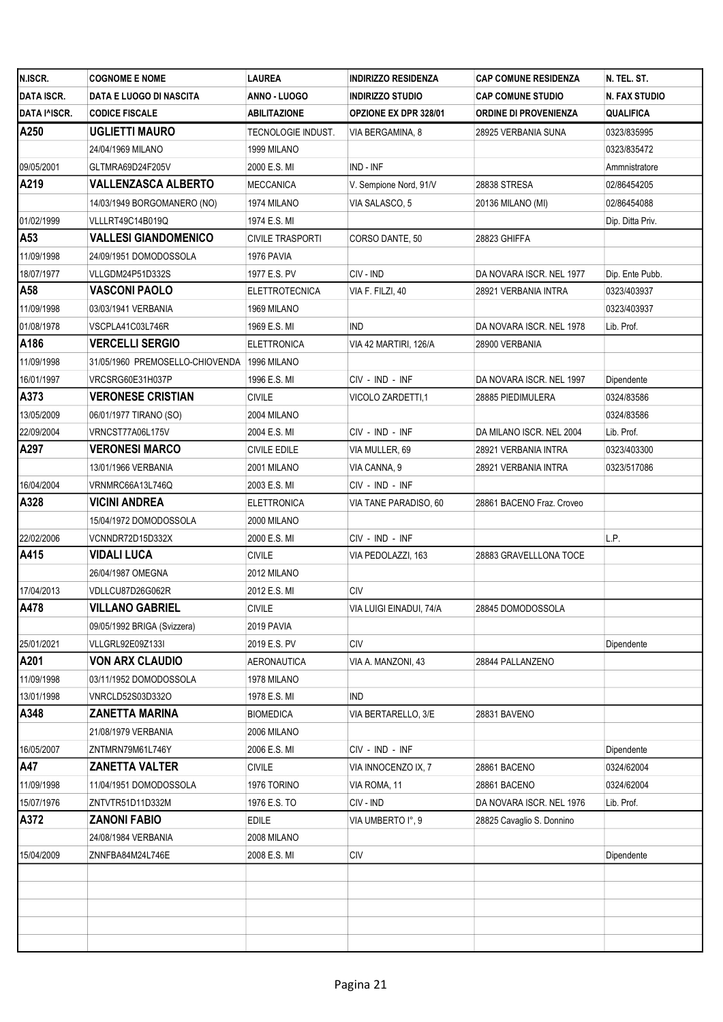| N.ISCR.           | <b>COGNOME E NOME</b>           | LAUREA             | <b>INDIRIZZO RESIDENZA</b>   | <b>CAP COMUNE RESIDENZA</b>  | N. TEL. ST.      |
|-------------------|---------------------------------|--------------------|------------------------------|------------------------------|------------------|
| <b>DATA ISCR.</b> | DATA E LUOGO DI NASCITA         | ANNO - LUOGO       | <b>INDIRIZZO STUDIO</b>      | <b>CAP COMUNE STUDIO</b>     | N. FAX STUDIO    |
| DATA I^ISCR.      | <b>CODICE FISCALE</b>           | ABILITAZIONE       | <b>OPZIONE EX DPR 328/01</b> | <b>ORDINE DI PROVENIENZA</b> | <b>QUALIFICA</b> |
| A250              | <b>UGLIETTI MAURO</b>           | TECNOLOGIE INDUST. | VIA BERGAMINA, 8             | 28925 VERBANIA SUNA          | 0323/835995      |
|                   | 24/04/1969 MILANO               | 1999 MILANO        |                              |                              | 0323/835472      |
| 09/05/2001        | GLTMRA69D24F205V                | 2000 E.S. MI       | IND - INF                    |                              | Ammnistratore    |
| A219              | VALLENZASCA ALBERTO             | MECCANICA          | V. Sempione Nord, 91/V       | 28838 STRESA                 | 02/86454205      |
|                   | 14/03/1949 BORGOMANERO (NO)     | 1974 MILANO        | VIA SALASCO, 5               | 20136 MILANO (MI)            | 02/86454088      |
| 01/02/1999        | VLLLRT49C14B019Q                | 1974 E.S. MI       |                              |                              | Dip. Ditta Priv. |
| A53               | <b>VALLESI GIANDOMENICO</b>     | CIVILE TRASPORTI   | CORSO DANTE, 50              | 28823 GHIFFA                 |                  |
| 11/09/1998        | 24/09/1951 DOMODOSSOLA          | 1976 PAVIA         |                              |                              |                  |
| 18/07/1977        | VLLGDM24P51D332S                | 1977 E.S. PV       | CIV - IND                    | DA NOVARA ISCR. NEL 1977     | Dip. Ente Pubb.  |
| A58               | <b>VASCONI PAOLO</b>            | ELETTROTECNICA     | VIA F. FILZI, 40             | 28921 VERBANIA INTRA         | 0323/403937      |
| 11/09/1998        | 03/03/1941 VERBANIA             | 1969 MILANO        |                              |                              | 0323/403937      |
| 01/08/1978        | VSCPLA41C03L746R                | 1969 E.S. MI       | <b>IND</b>                   | DA NOVARA ISCR. NEL 1978     | Lib. Prof.       |
| A186              | <b>VERCELLI SERGIO</b>          | <b>ELETTRONICA</b> | VIA 42 MARTIRI, 126/A        | 28900 VERBANIA               |                  |
| 11/09/1998        | 31/05/1960 PREMOSELLO-CHIOVENDA | 1996 MILANO        |                              |                              |                  |
| 16/01/1997        | VRCSRG60E31H037P                | 1996 E.S. MI       | CIV - IND - INF              | DA NOVARA ISCR. NEL 1997     | Dipendente       |
| A373              | <b>VERONESE CRISTIAN</b>        | CIVILE             | VICOLO ZARDETTI,1            | 28885 PIEDIMULERA            | 0324/83586       |
| 13/05/2009        | 06/01/1977 TIRANO (SO)          | 2004 MILANO        |                              |                              | 0324/83586       |
| 22/09/2004        | VRNCST77A06L175V                | 2004 E.S. MI       | CIV - IND - INF              | DA MILANO ISCR. NEL 2004     | Lib. Prof.       |
| A297              | <b>VERONESI MARCO</b>           | CIVILE EDILE       | VIA MULLER, 69               | 28921 VERBANIA INTRA         | 0323/403300      |
|                   | 13/01/1966 VERBANIA             | 2001 MILANO        | VIA CANNA, 9                 | 28921 VERBANIA INTRA         | 0323/517086      |
| 16/04/2004        | VRNMRC66A13L746Q                | 2003 E.S. MI       | CIV - IND - INF              |                              |                  |
| A328              | VICINI ANDREA                   | ELETTRONICA        | VIA TANE PARADISO, 60        | 28861 BACENO Fraz. Croveo    |                  |
|                   | 15/04/1972 DOMODOSSOLA          | 2000 MILANO        |                              |                              |                  |
| 22/02/2006        | VCNNDR72D15D332X                | 2000 E.S. MI       | CIV - IND - INF              |                              | L.P.             |
| A415              | VIDALI LUCA                     | CIVILE             | VIA PEDOLAZZI, 163           | 28883 GRAVELLLONA TOCE       |                  |
|                   | 26/04/1987 OMEGNA               | 2012 MILANO        |                              |                              |                  |
| 17/04/2013        | VDLLCU87D26G062R                | 2012 E.S. MI       | CIV                          |                              |                  |
| A478              | VILLANO GABRIEL                 | <b>CIVILE</b>      | VIA LUIGI EINADUI, 74/A      | 28845 DOMODOSSOLA            |                  |
|                   | 09/05/1992 BRIGA (Svizzera)     | 2019 PAVIA         |                              |                              |                  |
| 25/01/2021        | VLLGRL92E09Z133I                | 2019 E.S. PV       | CIV                          |                              | Dipendente       |
| A201              | <b>VON ARX CLAUDIO</b>          | AERONAUTICA        | VIA A. MANZONI, 43           | 28844 PALLANZENO             |                  |
| 11/09/1998        | 03/11/1952 DOMODOSSOLA          | 1978 MILANO        |                              |                              |                  |
| 13/01/1998        | VNRCLD52S03D332O                | 1978 E.S. MI       | IND                          |                              |                  |
| A348              | <b>ZANETTA MARINA</b>           | BIOMEDICA          | VIA BERTARELLO, 3/E          | 28831 BAVENO                 |                  |
|                   | 21/08/1979 VERBANIA             | 2006 MILANO        |                              |                              |                  |
| 16/05/2007        | ZNTMRN79M61L746Y                | 2006 E.S. MI       | CIV - IND - INF              |                              | Dipendente       |
| A47               | <b>ZANETTA VALTER</b>           | <b>CIVILE</b>      | VIA INNOCENZO IX, 7          | 28861 BACENO                 | 0324/62004       |
| 11/09/1998        | 11/04/1951 DOMODOSSOLA          | 1976 TORINO        | VIA ROMA, 11                 | 28861 BACENO                 | 0324/62004       |
| 15/07/1976        | ZNTVTR51D11D332M                | 1976 E.S. TO       | CIV - IND                    | DA NOVARA ISCR. NEL 1976     | Lib. Prof.       |
| A372              | <b>ZANONI FABIO</b>             | EDILE              | VIA UMBERTO I°, 9            | 28825 Cavaglio S. Donnino    |                  |
|                   | 24/08/1984 VERBANIA             | 2008 MILANO        |                              |                              |                  |
| 15/04/2009        | ZNNFBA84M24L746E                | 2008 E.S. MI       | CIV                          |                              | Dipendente       |
|                   |                                 |                    |                              |                              |                  |
|                   |                                 |                    |                              |                              |                  |
|                   |                                 |                    |                              |                              |                  |
|                   |                                 |                    |                              |                              |                  |
|                   |                                 |                    |                              |                              |                  |